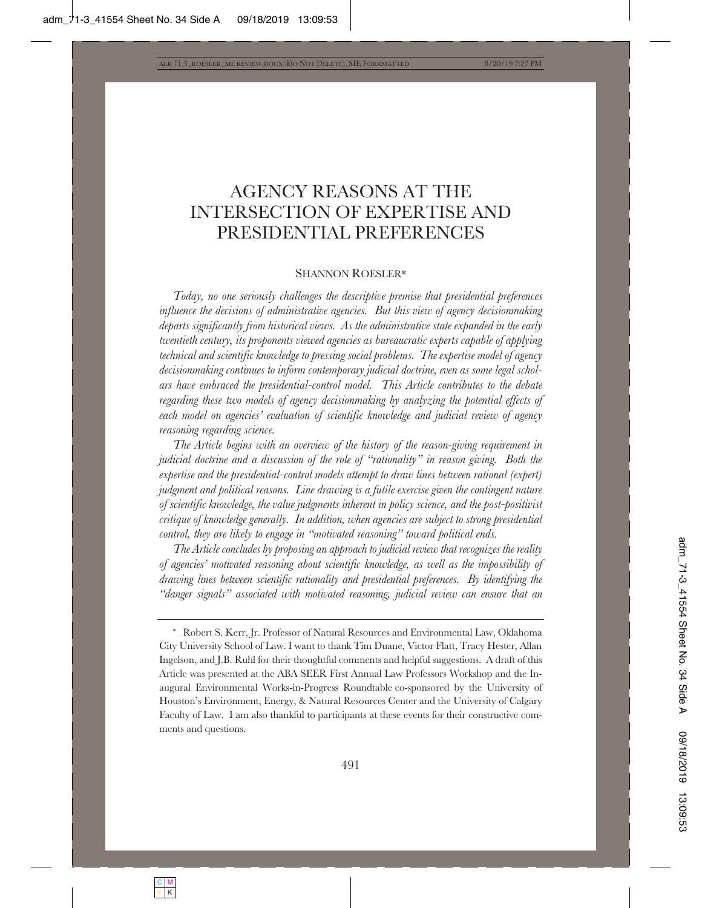# AGENCY REASONS AT THE INTERSECTION OF EXPERTISE AND PRESIDENTIAL PREFERENCES

#### SHANNON ROESLER\*

*Today, no one seriously challenges the descriptive premise that presidential preferences influence the decisions of administrative agencies. But this view of agency decisionmaking departs significantly from historical views. As the administrative state expanded in the early twentieth century, its proponents viewed agencies as bureaucratic experts capable of applying technical and scientific knowledge to pressing social problems. The expertise model of agency decisionmaking continues to inform contemporary judicial doctrine, even as some legal scholars have embraced the presidential-control model. This Article contributes to the debate regarding these two models of agency decisionmaking by analyzing the potential effects of each model on agencies' evaluation of scientific knowledge and judicial review of agency reasoning regarding science.* 

*The Article begins with an overview of the history of the reason-giving requirement in judicial doctrine and a discussion of the role of "rationality" in reason giving. Both the expertise and the presidential-control models attempt to draw lines between rational (expert) judgment and political reasons. Line drawing is a futile exercise given the contingent nature of scientific knowledge, the value judgments inherent in policy science, and the post-positivist critique of knowledge generally. In addition, when agencies are subject to strong presidential control, they are likely to engage in "motivated reasoning" toward political ends.* 

*The Article concludes by proposing an approach to judicial review that recognizes the reality of agencies' motivated reasoning about scientific knowledge, as well as the impossibility of drawing lines between scientific rationality and presidential preferences. By identifying the "danger signals" associated with motivated reasoning, judicial review can ensure that an* 

<sup>\*</sup> Robert S. Kerr, Jr. Professor of Natural Resources and Environmental Law, Oklahoma City University School of Law. I want to thank Tim Duane, Victor Flatt, Tracy Hester, Allan Ingelson, and J.B. Ruhl for their thoughtful comments and helpful suggestions. A draft of this Article was presented at the ABA SEER First Annual Law Professors Workshop and the Inaugural Environmental Works-in-Progress Roundtable co-sponsored by the University of Houston's Environment, Energy, & Natural Resources Center and the University of Calgary Faculty of Law. I am also thankful to participants at these events for their constructive comments and questions.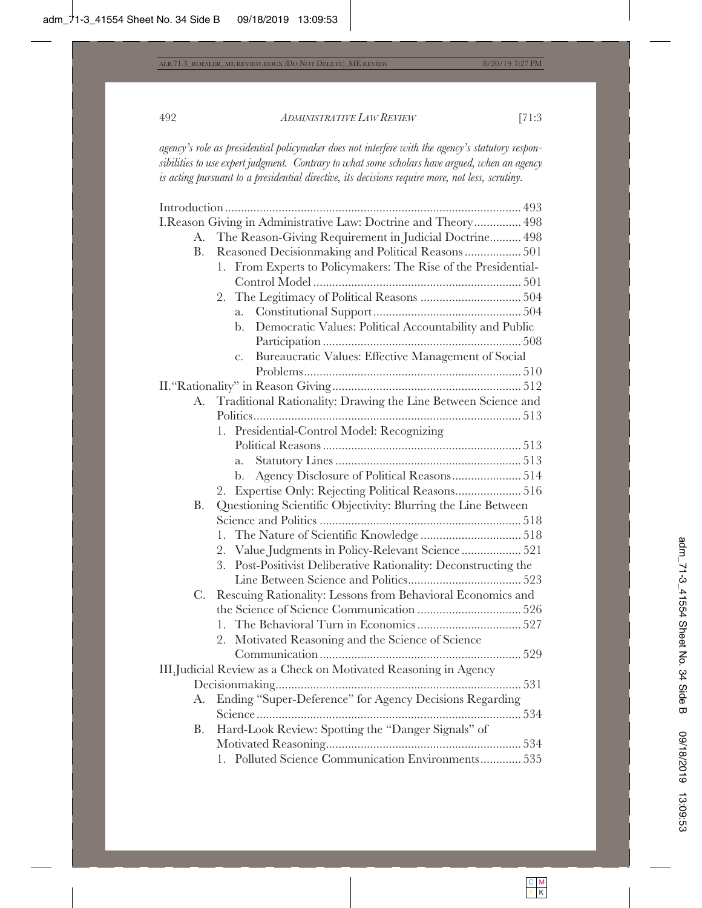*agency's role as presidential policymaker does not interfere with the agency's statutory responsibilities to use expert judgment. Contrary to what some scholars have argued, when an agency is acting pursuant to a presidential directive, its decisions require more, not less, scrutiny.*

|             | I.Reason Giving in Administrative Law: Doctrine and Theory 498     |
|-------------|--------------------------------------------------------------------|
| A.          | The Reason-Giving Requirement in Judicial Doctrine 498             |
| <b>B.</b>   | Reasoned Decisionmaking and Political Reasons 501                  |
|             | From Experts to Policymakers: The Rise of the Presidential-<br>1.  |
|             |                                                                    |
|             |                                                                    |
|             | a.                                                                 |
|             | Democratic Values: Political Accountability and Public<br>b.       |
|             |                                                                    |
|             | Bureaucratic Values: Effective Management of Social<br>$C_{\star}$ |
|             |                                                                    |
|             |                                                                    |
| A.          | Traditional Rationality: Drawing the Line Between Science and      |
|             |                                                                    |
|             | 1. Presidential-Control Model: Recognizing                         |
|             |                                                                    |
|             | a.                                                                 |
|             | b.                                                                 |
|             | Expertise Only: Rejecting Political Reasons 516<br>2.              |
| <b>B.</b>   | Questioning Scientific Objectivity: Blurring the Line Between      |
|             |                                                                    |
|             | 1.                                                                 |
|             | 2. Value Judgments in Policy-Relevant Science 521                  |
|             | Post-Positivist Deliberative Rationality: Deconstructing the<br>3. |
|             |                                                                    |
| $C_{\cdot}$ | Rescuing Rationality: Lessons from Behavioral Economics and        |
|             |                                                                    |
|             | 1.                                                                 |
|             | Motivated Reasoning and the Science of Science<br>2.               |
|             |                                                                    |
|             | III.Judicial Review as a Check on Motivated Reasoning in Agency    |
|             |                                                                    |
| А.          | Ending "Super-Deference" for Agency Decisions Regarding            |
|             |                                                                    |
| Β.          | Hard-Look Review: Spotting the "Danger Signals" of                 |
|             |                                                                    |
|             | 1. Polluted Science Communication Environments 535                 |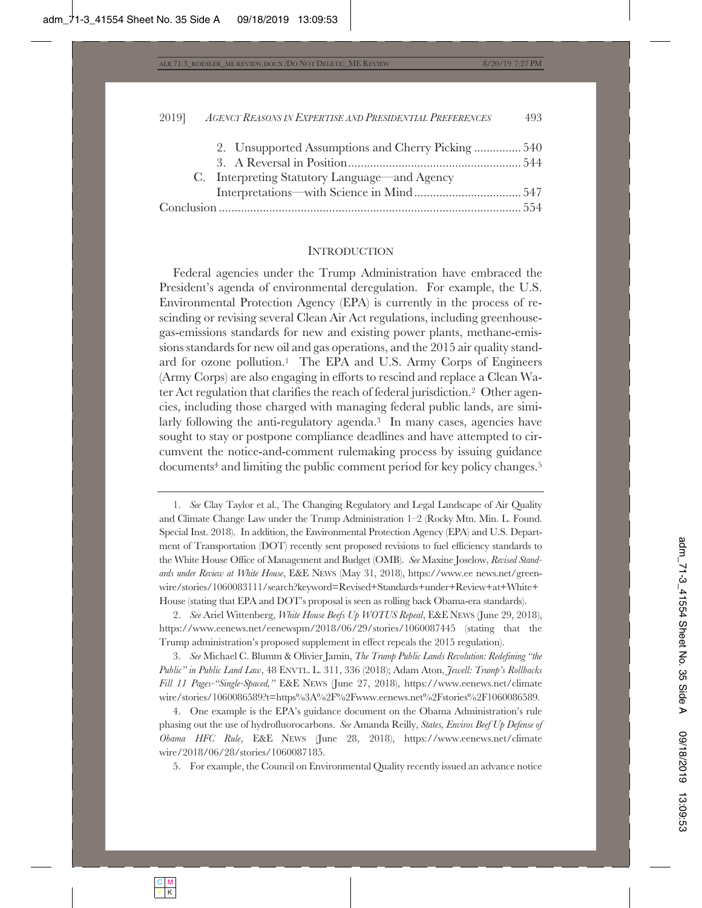| 2. Unsupported Assumptions and Cherry Picking 540 |  |
|---------------------------------------------------|--|
|                                                   |  |
| C. Interpreting Statutory Language—and Agency     |  |
|                                                   |  |
|                                                   |  |
|                                                   |  |

#### **INTRODUCTION**

Federal agencies under the Trump Administration have embraced the President's agenda of environmental deregulation. For example, the U.S. Environmental Protection Agency (EPA) is currently in the process of rescinding or revising several Clean Air Act regulations, including greenhousegas-emissions standards for new and existing power plants, methane-emissions standards for new oil and gas operations, and the 2015 air quality standard for ozone pollution.1 The EPA and U.S. Army Corps of Engineers (Army Corps) are also engaging in efforts to rescind and replace a Clean Water Act regulation that clarifies the reach of federal jurisdiction.2 Other agencies, including those charged with managing federal public lands, are similarly following the anti-regulatory agenda.<sup>3</sup> In many cases, agencies have sought to stay or postpone compliance deadlines and have attempted to circumvent the notice-and-comment rulemaking process by issuing guidance documents<sup>4</sup> and limiting the public comment period for key policy changes.<sup>5</sup>

5. For example, the Council on Environmental Quality recently issued an advance notice

<sup>1.</sup> *See* Clay Taylor et al., The Changing Regulatory and Legal Landscape of Air Quality and Climate Change Law under the Trump Administration 1–2 (Rocky Mtn. Min. L. Found. Special Inst. 2018). In addition, the Environmental Protection Agency (EPA) and U.S. Department of Transportation (DOT) recently sent proposed revisions to fuel efficiency standards to the White House Office of Management and Budget (OMB). *See* Maxine Joselow, *Revised Standards under Review at White House*, E&E NEWS (May 31, 2018), https://www.ee news.net/greenwire/stories/1060083111/search?keyword=Revised+Standards+under+Review+at+White+ House (stating that EPA and DOT's proposal is seen as rolling back Obama-era standards).

<sup>2.</sup> *See* Ariel Wittenberg, *White House Beefs Up WOTUS Repeal*, E&E NEWS (June 29, 2018), https://www.eenews.net/eenewspm/2018/06/29/stories/1060087445 (stating that the Trump administration's proposed supplement in effect repeals the 2015 regulation).

<sup>3.</sup> *See* Michael C. Blumm & Olivier Jamin, *The Trump Public Lands Revolution: Redefining "the Public" in Public Land Law*, 48 ENVTL. L. 311, 336 (2018); Adam Aton, *Jewell: Trump's Rollbacks Fill 11 Pages-"Single-Spaced,"* E&E NEWS (June 27, 2018), https://www.eenews.net/climate wire/stories/1060086589?t=https%3A%2F%2Fwww.eenews.net%2Fstories%2F1060086589.

<sup>4.</sup> One example is the EPA's guidance document on the Obama Administration's rule phasing out the use of hydrofluorocarbons. *See* Amanda Reilly, *States, Enviros Beef Up Defense of Obama HFC Rule*, E&E NEWS (June 28, 2018), https://www.eenews.net/climate wire/2018/06/28/stories/1060087185.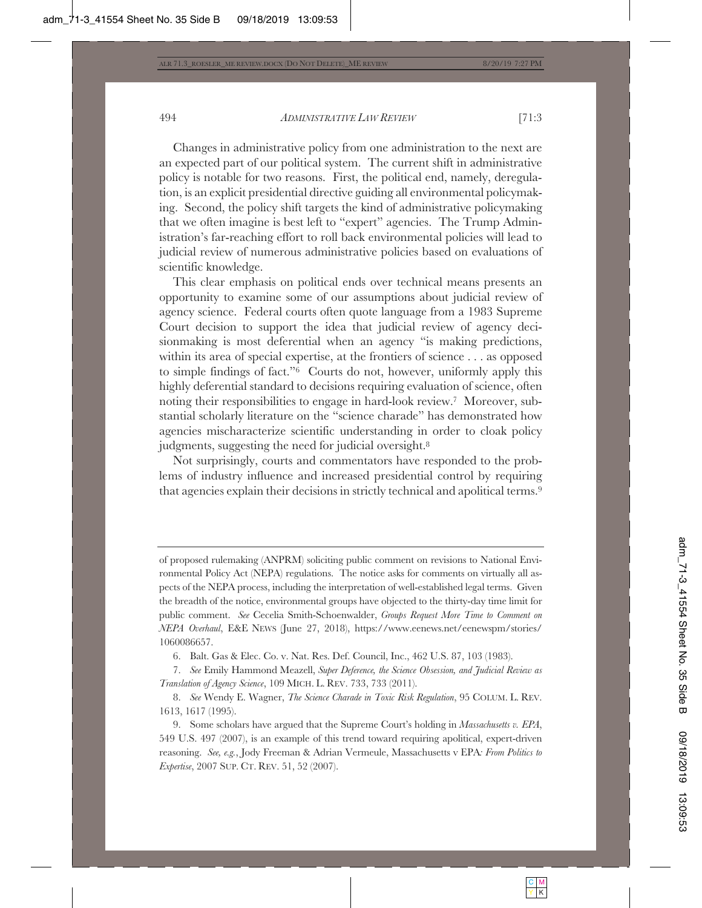Changes in administrative policy from one administration to the next are an expected part of our political system. The current shift in administrative policy is notable for two reasons. First, the political end, namely, deregulation, is an explicit presidential directive guiding all environmental policymaking. Second, the policy shift targets the kind of administrative policymaking that we often imagine is best left to "expert" agencies. The Trump Administration's far-reaching effort to roll back environmental policies will lead to judicial review of numerous administrative policies based on evaluations of scientific knowledge.

This clear emphasis on political ends over technical means presents an opportunity to examine some of our assumptions about judicial review of agency science. Federal courts often quote language from a 1983 Supreme Court decision to support the idea that judicial review of agency decisionmaking is most deferential when an agency "is making predictions, within its area of special expertise, at the frontiers of science . . . as opposed to simple findings of fact."6 Courts do not, however, uniformly apply this highly deferential standard to decisions requiring evaluation of science, often noting their responsibilities to engage in hard-look review.7 Moreover, substantial scholarly literature on the "science charade" has demonstrated how agencies mischaracterize scientific understanding in order to cloak policy judgments, suggesting the need for judicial oversight.<sup>8</sup>

Not surprisingly, courts and commentators have responded to the problems of industry influence and increased presidential control by requiring that agencies explain their decisions in strictly technical and apolitical terms.9

6. Balt. Gas & Elec. Co. v. Nat. Res. Def. Council, Inc., 462 U.S. 87, 103 (1983).

7. *See* Emily Hammond Meazell, *Super Deference, the Science Obsession, and Judicial Review as Translation of Agency Science*, 109 MICH. L. REV. 733, 733 (2011).

of proposed rulemaking (ANPRM) soliciting public comment on revisions to National Environmental Policy Act (NEPA) regulations. The notice asks for comments on virtually all aspects of the NEPA process, including the interpretation of well-established legal terms. Given the breadth of the notice, environmental groups have objected to the thirty-day time limit for public comment. *See* Cecelia Smith-Schoenwalder, *Groups Request More Time to Comment on NEPA Overhaul*, E&E NEWS (June 27, 2018), https://www.eenews.net/eenewspm/stories/ 1060086657.

<sup>8.</sup> *See* Wendy E. Wagner, *The Science Charade in Toxic Risk Regulation*, 95 COLUM. L. REV. 1613, 1617 (1995).

<sup>9.</sup> Some scholars have argued that the Supreme Court's holding in *Massachusetts v. EPA*, 549 U.S. 497 (2007), is an example of this trend toward requiring apolitical, expert-driven reasoning. *See, e.g.*, Jody Freeman & Adrian Vermeule, Massachusetts v EPA*: From Politics to Expertise*, 2007 SUP. CT. REV. 51, 52 (2007).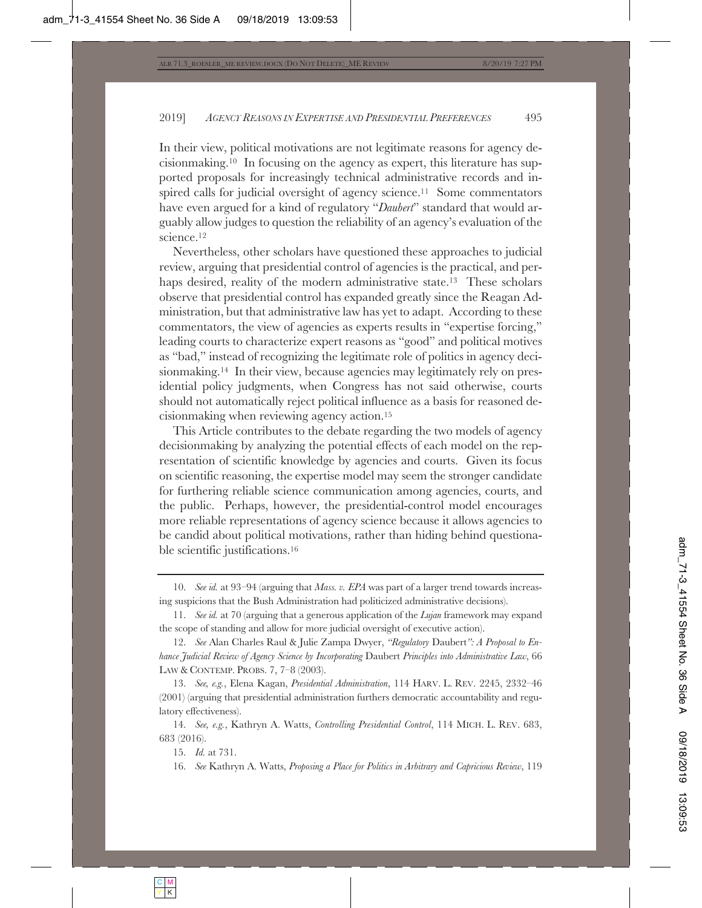In their view, political motivations are not legitimate reasons for agency decisionmaking.10 In focusing on the agency as expert, this literature has supported proposals for increasingly technical administrative records and inspired calls for judicial oversight of agency science.<sup>11</sup> Some commentators have even argued for a kind of regulatory "*Daubert*" standard that would arguably allow judges to question the reliability of an agency's evaluation of the science.12

Nevertheless, other scholars have questioned these approaches to judicial review, arguing that presidential control of agencies is the practical, and perhaps desired, reality of the modern administrative state.<sup>13</sup> These scholars observe that presidential control has expanded greatly since the Reagan Administration, but that administrative law has yet to adapt. According to these commentators, the view of agencies as experts results in "expertise forcing," leading courts to characterize expert reasons as "good" and political motives as "bad," instead of recognizing the legitimate role of politics in agency decisionmaking.<sup>14</sup> In their view, because agencies may legitimately rely on presidential policy judgments, when Congress has not said otherwise, courts should not automatically reject political influence as a basis for reasoned decisionmaking when reviewing agency action.15

This Article contributes to the debate regarding the two models of agency decisionmaking by analyzing the potential effects of each model on the representation of scientific knowledge by agencies and courts. Given its focus on scientific reasoning, the expertise model may seem the stronger candidate for furthering reliable science communication among agencies, courts, and the public. Perhaps, however, the presidential-control model encourages more reliable representations of agency science because it allows agencies to be candid about political motivations, rather than hiding behind questionable scientific justifications.16

14. *See, e.g.*, Kathryn A. Watts, *Controlling Presidential Control*, 114 MICH. L. REV. 683, 683 (2016).

15. *Id.* at 731.

16. *See* Kathryn A. Watts, *Proposing a Place for Politics in Arbitrary and Capricious Review*, 119

<sup>10.</sup> *See id.* at 93–94 (arguing that *Mass. v. EPA* was part of a larger trend towards increasing suspicions that the Bush Administration had politicized administrative decisions).

<sup>11.</sup> *See id.* at 70 (arguing that a generous application of the *Lujan* framework may expand the scope of standing and allow for more judicial oversight of executive action).

<sup>12.</sup> *See* Alan Charles Raul & Julie Zampa Dwyer, *"Regulatory* Daubert*": A Proposal to Enhance Judicial Review of Agency Science by Incorporating* Daubert *Principles into Administrative Law*, 66 LAW & CONTEMP. PROBS. 7, 7–8 (2003).

<sup>13.</sup> *See, e.g.*, Elena Kagan, *Presidential Administration*, 114 HARV. L. REV. 2245, 2332–46 (2001) (arguing that presidential administration furthers democratic accountability and regulatory effectiveness).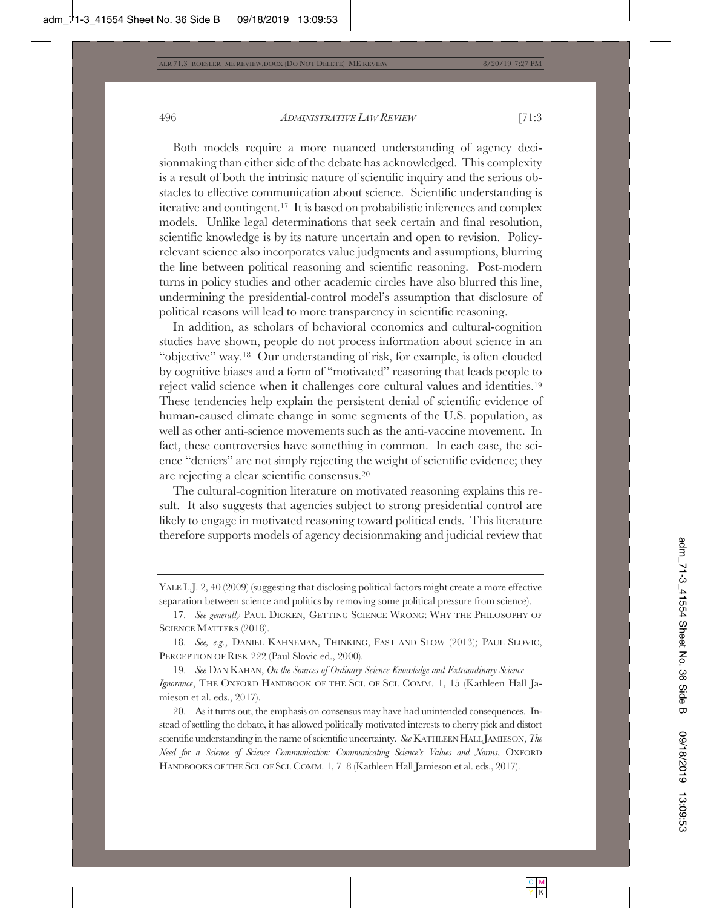Both models require a more nuanced understanding of agency decisionmaking than either side of the debate has acknowledged. This complexity is a result of both the intrinsic nature of scientific inquiry and the serious obstacles to effective communication about science. Scientific understanding is iterative and contingent.17 It is based on probabilistic inferences and complex models. Unlike legal determinations that seek certain and final resolution, scientific knowledge is by its nature uncertain and open to revision. Policyrelevant science also incorporates value judgments and assumptions, blurring the line between political reasoning and scientific reasoning. Post-modern turns in policy studies and other academic circles have also blurred this line, undermining the presidential-control model's assumption that disclosure of political reasons will lead to more transparency in scientific reasoning.

In addition, as scholars of behavioral economics and cultural-cognition studies have shown, people do not process information about science in an "objective" way.18 Our understanding of risk, for example, is often clouded by cognitive biases and a form of "motivated" reasoning that leads people to reject valid science when it challenges core cultural values and identities.19 These tendencies help explain the persistent denial of scientific evidence of human-caused climate change in some segments of the U.S. population, as well as other anti-science movements such as the anti-vaccine movement. In fact, these controversies have something in common. In each case, the science "deniers" are not simply rejecting the weight of scientific evidence; they are rejecting a clear scientific consensus.20

The cultural-cognition literature on motivated reasoning explains this result. It also suggests that agencies subject to strong presidential control are likely to engage in motivated reasoning toward political ends. This literature therefore supports models of agency decisionmaking and judicial review that

19. *See* DAN KAHAN, *On the Sources of Ordinary Science Knowledge and Extraordinary Science Ignorance*, THE OXFORD HANDBOOK OF THE SCI. OF SCI. COMM. 1, 15 (Kathleen Hall Jamieson et al. eds., 2017).

20. As it turns out, the emphasis on consensus may have had unintended consequences. Instead of settling the debate, it has allowed politically motivated interests to cherry pick and distort scientific understanding in the name of scientific uncertainty. *See* KATHLEENHALL JAMIESON, *The Need for a Science of Science Communication: Communicating Science's Values and Norms*, OXFORD HANDBOOKS OF THE SCI. OF SCI. COMM. 1, 7-8 (Kathleen Hall Jamieson et al. eds., 2017).

YALE L.J. 2, 40 (2009) (suggesting that disclosing political factors might create a more effective separation between science and politics by removing some political pressure from science).

<sup>17.</sup> *See generally* PAUL DICKEN, GETTING SCIENCE WRONG: WHY THE PHILOSOPHY OF SCIENCE MATTERS (2018).

<sup>18.</sup> *See, e.g.*, DANIEL KAHNEMAN, THINKING, FAST AND SLOW (2013); PAUL SLOVIC, PERCEPTION OF RISK 222 (Paul Slovic ed., 2000).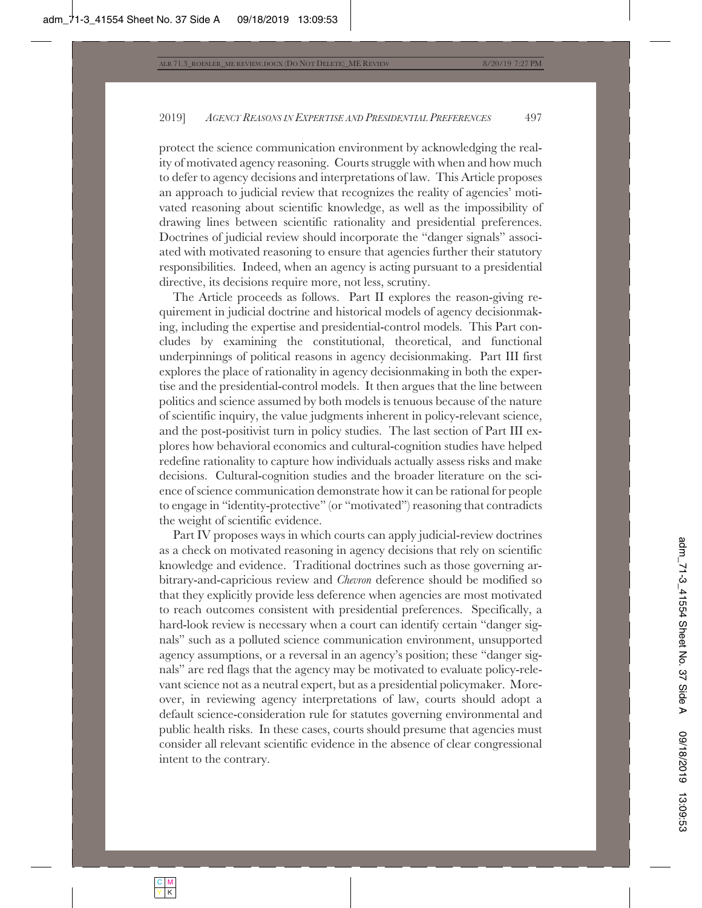protect the science communication environment by acknowledging the reality of motivated agency reasoning. Courts struggle with when and how much to defer to agency decisions and interpretations of law. This Article proposes an approach to judicial review that recognizes the reality of agencies' motivated reasoning about scientific knowledge, as well as the impossibility of drawing lines between scientific rationality and presidential preferences. Doctrines of judicial review should incorporate the "danger signals" associated with motivated reasoning to ensure that agencies further their statutory responsibilities. Indeed, when an agency is acting pursuant to a presidential directive, its decisions require more, not less, scrutiny.

The Article proceeds as follows. Part II explores the reason-giving requirement in judicial doctrine and historical models of agency decisionmaking, including the expertise and presidential-control models. This Part concludes by examining the constitutional, theoretical, and functional underpinnings of political reasons in agency decisionmaking. Part III first explores the place of rationality in agency decisionmaking in both the expertise and the presidential-control models. It then argues that the line between politics and science assumed by both models is tenuous because of the nature of scientific inquiry, the value judgments inherent in policy-relevant science, and the post-positivist turn in policy studies. The last section of Part III explores how behavioral economics and cultural-cognition studies have helped redefine rationality to capture how individuals actually assess risks and make decisions. Cultural-cognition studies and the broader literature on the science of science communication demonstrate how it can be rational for people to engage in "identity-protective" (or "motivated") reasoning that contradicts the weight of scientific evidence.

Part IV proposes ways in which courts can apply judicial-review doctrines as a check on motivated reasoning in agency decisions that rely on scientific knowledge and evidence. Traditional doctrines such as those governing arbitrary-and-capricious review and *Chevron* deference should be modified so that they explicitly provide less deference when agencies are most motivated to reach outcomes consistent with presidential preferences. Specifically, a hard-look review is necessary when a court can identify certain "danger signals" such as a polluted science communication environment, unsupported agency assumptions, or a reversal in an agency's position; these "danger signals" are red flags that the agency may be motivated to evaluate policy-relevant science not as a neutral expert, but as a presidential policymaker. Moreover, in reviewing agency interpretations of law, courts should adopt a default science-consideration rule for statutes governing environmental and public health risks. In these cases, courts should presume that agencies must consider all relevant scientific evidence in the absence of clear congressional intent to the contrary.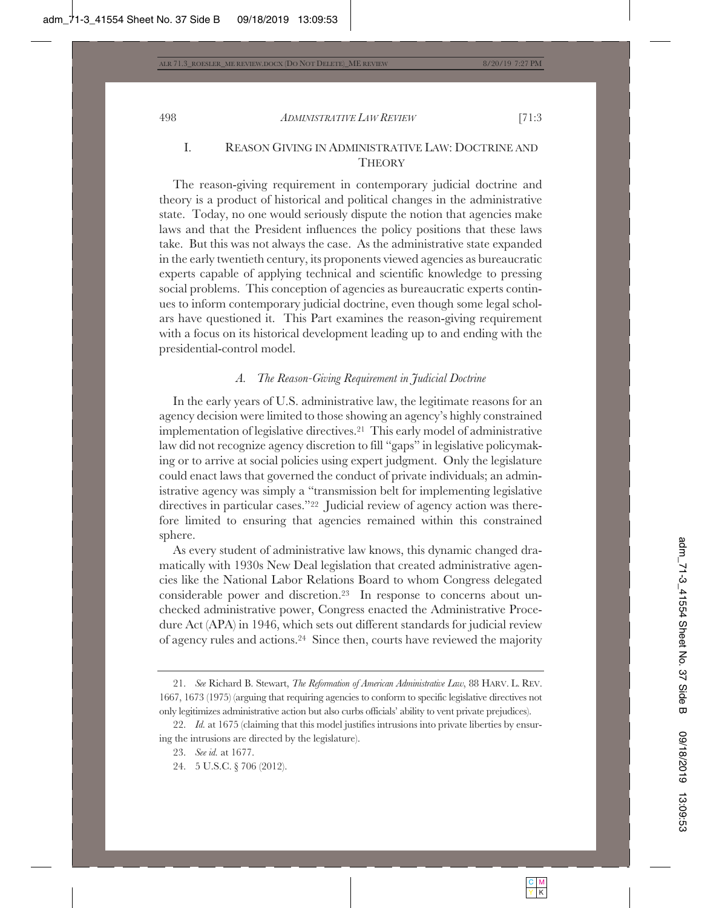# I. REASON GIVING IN ADMINISTRATIVE LAW: DOCTRINE AND **THEORY**

The reason-giving requirement in contemporary judicial doctrine and theory is a product of historical and political changes in the administrative state. Today, no one would seriously dispute the notion that agencies make laws and that the President influences the policy positions that these laws take. But this was not always the case. As the administrative state expanded in the early twentieth century, its proponents viewed agencies as bureaucratic experts capable of applying technical and scientific knowledge to pressing social problems. This conception of agencies as bureaucratic experts continues to inform contemporary judicial doctrine, even though some legal scholars have questioned it. This Part examines the reason-giving requirement with a focus on its historical development leading up to and ending with the presidential-control model.

## *A. The Reason-Giving Requirement in Judicial Doctrine*

In the early years of U.S. administrative law, the legitimate reasons for an agency decision were limited to those showing an agency's highly constrained implementation of legislative directives.21 This early model of administrative law did not recognize agency discretion to fill "gaps" in legislative policymaking or to arrive at social policies using expert judgment. Only the legislature could enact laws that governed the conduct of private individuals; an administrative agency was simply a "transmission belt for implementing legislative directives in particular cases."22 Judicial review of agency action was therefore limited to ensuring that agencies remained within this constrained sphere.

As every student of administrative law knows, this dynamic changed dramatically with 1930s New Deal legislation that created administrative agencies like the National Labor Relations Board to whom Congress delegated considerable power and discretion.23 In response to concerns about unchecked administrative power, Congress enacted the Administrative Procedure Act (APA) in 1946, which sets out different standards for judicial review of agency rules and actions.24 Since then, courts have reviewed the majority

<sup>21.</sup> *See* Richard B. Stewart, *The Reformation of American Administrative Law*, 88 HARV. L. REV. 1667, 1673 (1975) (arguing that requiring agencies to conform to specific legislative directives not only legitimizes administrative action but also curbs officials' ability to vent private prejudices).

<sup>22.</sup> *Id.* at 1675 (claiming that this model justifies intrusions into private liberties by ensuring the intrusions are directed by the legislature).

<sup>23.</sup> *See id.* at 1677.

<sup>24. 5</sup> U.S.C. § 706 (2012).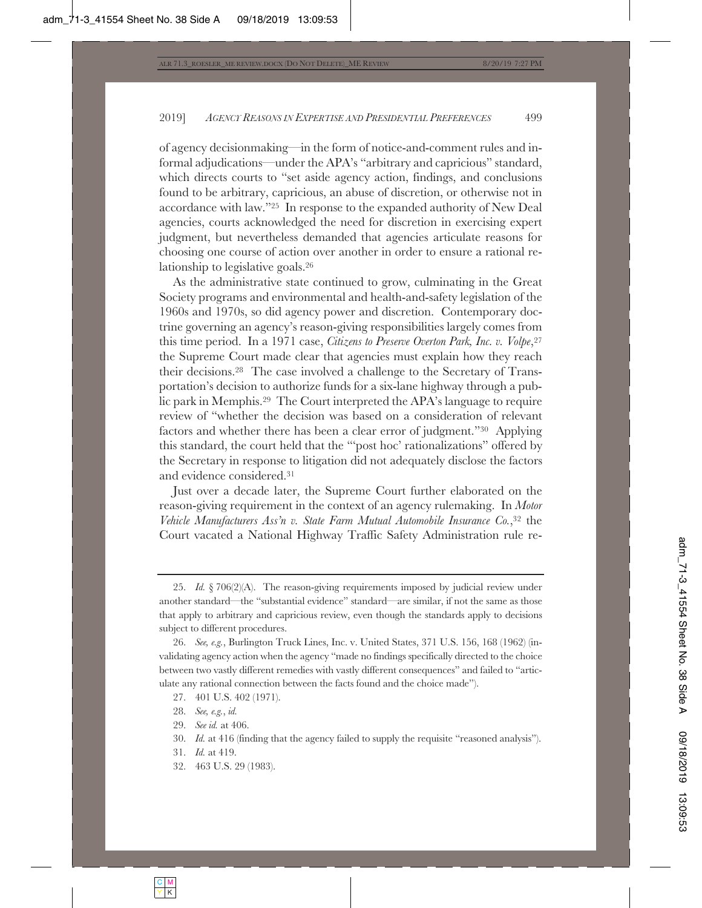of agency decisionmaking—in the form of notice-and-comment rules and informal adjudications—under the APA's "arbitrary and capricious" standard, which directs courts to "set aside agency action, findings, and conclusions found to be arbitrary, capricious, an abuse of discretion, or otherwise not in accordance with law."25 In response to the expanded authority of New Deal agencies, courts acknowledged the need for discretion in exercising expert judgment, but nevertheless demanded that agencies articulate reasons for choosing one course of action over another in order to ensure a rational relationship to legislative goals.26

As the administrative state continued to grow, culminating in the Great Society programs and environmental and health-and-safety legislation of the 1960s and 1970s, so did agency power and discretion. Contemporary doctrine governing an agency's reason-giving responsibilities largely comes from this time period. In a 1971 case, *Citizens to Preserve Overton Park, Inc. v. Volpe*,27 the Supreme Court made clear that agencies must explain how they reach their decisions.28 The case involved a challenge to the Secretary of Transportation's decision to authorize funds for a six-lane highway through a public park in Memphis.29 The Court interpreted the APA's language to require review of "whether the decision was based on a consideration of relevant factors and whether there has been a clear error of judgment."30 Applying this standard, the court held that the "'post hoc' rationalizations" offered by the Secretary in response to litigation did not adequately disclose the factors and evidence considered.31

Just over a decade later, the Supreme Court further elaborated on the reason-giving requirement in the context of an agency rulemaking. In *Motor Vehicle Manufacturers Ass'n v. State Farm Mutual Automobile Insurance Co.*,32 the Court vacated a National Highway Traffic Safety Administration rule re-

32. 463 U.S. 29 (1983).

<sup>25.</sup> *Id.* § 706(2)(A). The reason-giving requirements imposed by judicial review under another standard—the "substantial evidence" standard—are similar, if not the same as those that apply to arbitrary and capricious review, even though the standards apply to decisions subject to different procedures.

<sup>26.</sup> *See, e.g.*, Burlington Truck Lines, Inc. v. United States, 371 U.S. 156, 168 (1962) (invalidating agency action when the agency "made no findings specifically directed to the choice between two vastly different remedies with vastly different consequences" and failed to "articulate any rational connection between the facts found and the choice made").

<sup>27. 401</sup> U.S. 402 (1971).

<sup>28.</sup> *See, e.g.*, *id.*

<sup>29.</sup> *See id.* at 406.

<sup>30.</sup> *Id.* at 416 (finding that the agency failed to supply the requisite "reasoned analysis").

<sup>31.</sup> *Id.* at 419.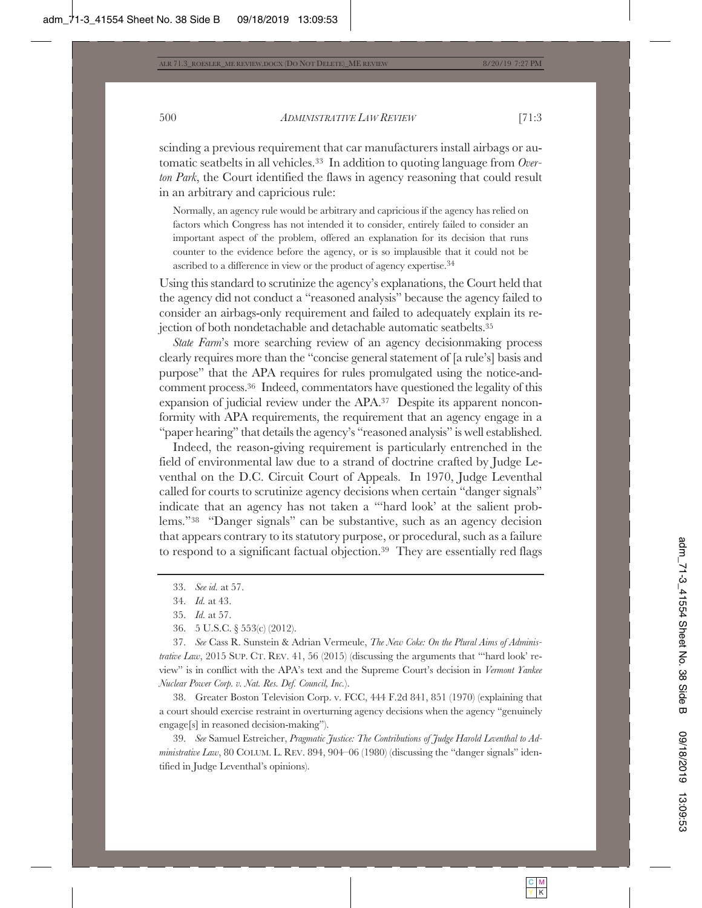scinding a previous requirement that car manufacturers install airbags or automatic seatbelts in all vehicles.33 In addition to quoting language from *Overton Park*, the Court identified the flaws in agency reasoning that could result in an arbitrary and capricious rule:

Normally, an agency rule would be arbitrary and capricious if the agency has relied on factors which Congress has not intended it to consider, entirely failed to consider an important aspect of the problem, offered an explanation for its decision that runs counter to the evidence before the agency, or is so implausible that it could not be ascribed to a difference in view or the product of agency expertise.34

Using this standard to scrutinize the agency's explanations, the Court held that the agency did not conduct a "reasoned analysis" because the agency failed to consider an airbags-only requirement and failed to adequately explain its rejection of both nondetachable and detachable automatic seatbelts.35

*State Farm*'s more searching review of an agency decisionmaking process clearly requires more than the "concise general statement of [a rule's] basis and purpose" that the APA requires for rules promulgated using the notice-andcomment process.36 Indeed, commentators have questioned the legality of this expansion of judicial review under the APA.37 Despite its apparent nonconformity with APA requirements, the requirement that an agency engage in a "paper hearing" that details the agency's "reasoned analysis" is well established.

Indeed, the reason-giving requirement is particularly entrenched in the field of environmental law due to a strand of doctrine crafted by Judge Leventhal on the D.C. Circuit Court of Appeals. In 1970, Judge Leventhal called for courts to scrutinize agency decisions when certain "danger signals" indicate that an agency has not taken a "'hard look' at the salient problems."38 "Danger signals" can be substantive, such as an agency decision that appears contrary to its statutory purpose, or procedural, such as a failure to respond to a significant factual objection.<sup>39</sup> They are essentially red flags

36. 5 U.S.C. § 553(c) (2012).

37. *See* Cass R. Sunstein & Adrian Vermeule, *The New Coke: On the Plural Aims of Administrative Law*, 2015 SUP. CT. REV. 41, 56 (2015) (discussing the arguments that "'hard look' review" is in conflict with the APA's text and the Supreme Court's decision in *Vermont Yankee Nuclear Power Corp. v. Nat. Res. Def. Council, Inc.*).

38. Greater Boston Television Corp. v. FCC, 444 F.2d 841, 851 (1970) (explaining that a court should exercise restraint in overturning agency decisions when the agency "genuinely engage[s] in reasoned decision-making").

39. *See* Samuel Estreicher, *Pragmatic Justice: The Contributions of Judge Harold Leventhal to Administrative Law*, 80 COLUM. L. REV. 894, 904–06 (1980) (discussing the "danger signals" identified in Judge Leventhal's opinions).

<sup>33.</sup> *See id.* at 57.

<sup>34.</sup> *Id.* at 43.

<sup>35.</sup> *Id.* at 57.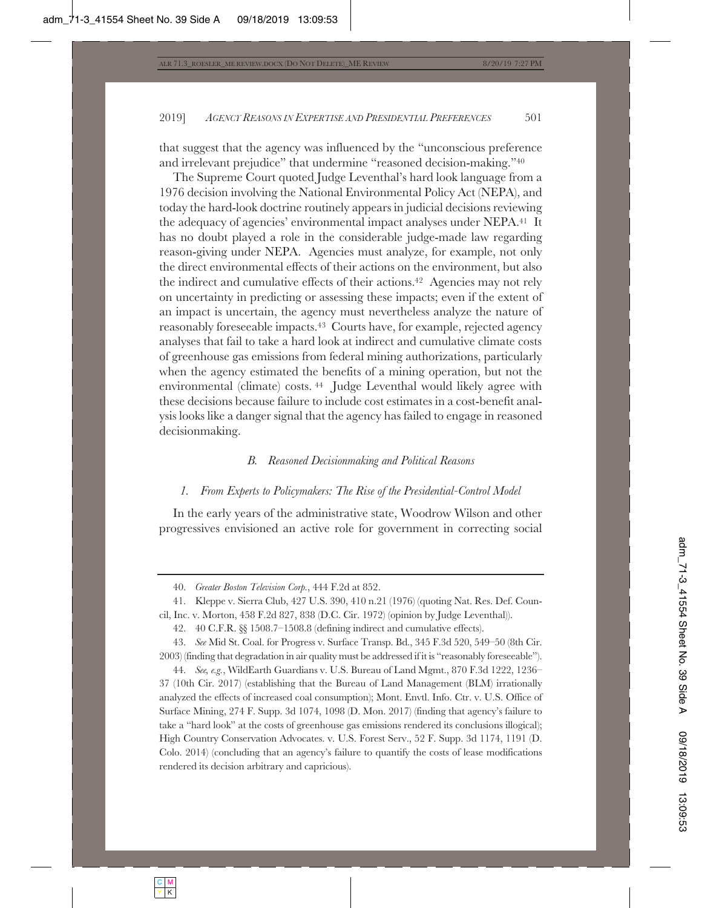that suggest that the agency was influenced by the "unconscious preference and irrelevant prejudice" that undermine "reasoned decision-making."40

The Supreme Court quoted Judge Leventhal's hard look language from a 1976 decision involving the National Environmental Policy Act (NEPA), and today the hard-look doctrine routinely appears in judicial decisions reviewing the adequacy of agencies' environmental impact analyses under NEPA.41 It has no doubt played a role in the considerable judge-made law regarding reason-giving under NEPA. Agencies must analyze, for example, not only the direct environmental effects of their actions on the environment, but also the indirect and cumulative effects of their actions.42 Agencies may not rely on uncertainty in predicting or assessing these impacts; even if the extent of an impact is uncertain, the agency must nevertheless analyze the nature of reasonably foreseeable impacts.43 Courts have, for example, rejected agency analyses that fail to take a hard look at indirect and cumulative climate costs of greenhouse gas emissions from federal mining authorizations, particularly when the agency estimated the benefits of a mining operation, but not the environmental (climate) costs. 44 Judge Leventhal would likely agree with these decisions because failure to include cost estimates in a cost-benefit analysis looks like a danger signal that the agency has failed to engage in reasoned decisionmaking.

### *B. Reasoned Decisionmaking and Political Reasons*

#### *1. From Experts to Policymakers: The Rise of the Presidential-Control Model*

In the early years of the administrative state, Woodrow Wilson and other progressives envisioned an active role for government in correcting social

44. *See, e.g.*, WildEarth Guardians v. U.S. Bureau of Land Mgmt., 870 F.3d 1222, 1236– 37 (10th Cir. 2017) (establishing that the Bureau of Land Management (BLM) irrationally analyzed the effects of increased coal consumption); Mont. Envtl. Info. Ctr. v. U.S. Office of Surface Mining, 274 F. Supp. 3d 1074, 1098 (D. Mon. 2017) (finding that agency's failure to take a "hard look" at the costs of greenhouse gas emissions rendered its conclusions illogical); High Country Conservation Advocates. v. U.S. Forest Serv., 52 F. Supp. 3d 1174, 1191 (D. Colo. 2014) (concluding that an agency's failure to quantify the costs of lease modifications rendered its decision arbitrary and capricious).

<sup>40.</sup> *Greater Boston Television Corp.*, 444 F.2d at 852.

<sup>41.</sup> Kleppe v. Sierra Club, 427 U.S. 390, 410 n.21 (1976) (quoting Nat. Res. Def. Council, Inc. v. Morton, 458 F.2d 827, 838 (D.C. Cir. 1972) (opinion by Judge Leventhal)).

<sup>42. 40</sup> C.F.R. §§ 1508.7–1508.8 (defining indirect and cumulative effects).

<sup>43.</sup> *See* Mid St. Coal. for Progress v. Surface Transp. Bd., 345 F.3d 520, 549–50 (8th Cir. 2003) (finding that degradation in air quality must be addressed if it is "reasonably foreseeable").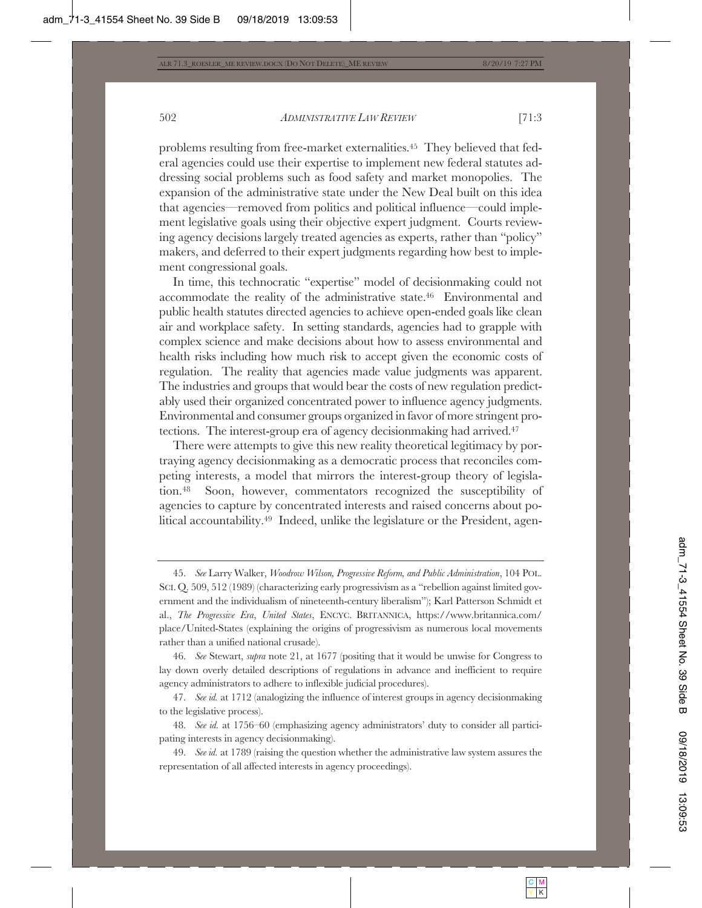problems resulting from free-market externalities.45 They believed that federal agencies could use their expertise to implement new federal statutes addressing social problems such as food safety and market monopolies. The expansion of the administrative state under the New Deal built on this idea that agencies—removed from politics and political influence—could implement legislative goals using their objective expert judgment. Courts reviewing agency decisions largely treated agencies as experts, rather than "policy" makers, and deferred to their expert judgments regarding how best to implement congressional goals.

In time, this technocratic "expertise" model of decisionmaking could not accommodate the reality of the administrative state.46 Environmental and public health statutes directed agencies to achieve open-ended goals like clean air and workplace safety. In setting standards, agencies had to grapple with complex science and make decisions about how to assess environmental and health risks including how much risk to accept given the economic costs of regulation. The reality that agencies made value judgments was apparent. The industries and groups that would bear the costs of new regulation predictably used their organized concentrated power to influence agency judgments. Environmental and consumer groups organized in favor of more stringent protections. The interest-group era of agency decisionmaking had arrived.47

There were attempts to give this new reality theoretical legitimacy by portraying agency decisionmaking as a democratic process that reconciles competing interests, a model that mirrors the interest-group theory of legislation.48 Soon, however, commentators recognized the susceptibility of agencies to capture by concentrated interests and raised concerns about political accountability.49 Indeed, unlike the legislature or the President, agen-

46. *See* Stewart, *supra* note 21, at 1677 (positing that it would be unwise for Congress to lay down overly detailed descriptions of regulations in advance and inefficient to require agency administrators to adhere to inflexible judicial procedures).

47. *See id.* at 1712 (analogizing the influence of interest groups in agency decisionmaking to the legislative process).

48. *See id.* at 1756–60 (emphasizing agency administrators' duty to consider all participating interests in agency decisionmaking).

49. *See id.* at 1789 (raising the question whether the administrative law system assures the representation of all affected interests in agency proceedings).

<sup>45.</sup> *See* Larry Walker, *Woodrow Wilson, Progressive Reform, and Public Administration*, 104 POL. SCI. Q. 509, 512 (1989) (characterizing early progressivism as a "rebellion against limited government and the individualism of nineteenth-century liberalism"); Karl Patterson Schmidt et al., *The Progressive Era*, *United States*, ENCYC. BRITANNICA, https://www.britannica.com/ place/United-States (explaining the origins of progressivism as numerous local movements rather than a unified national crusade).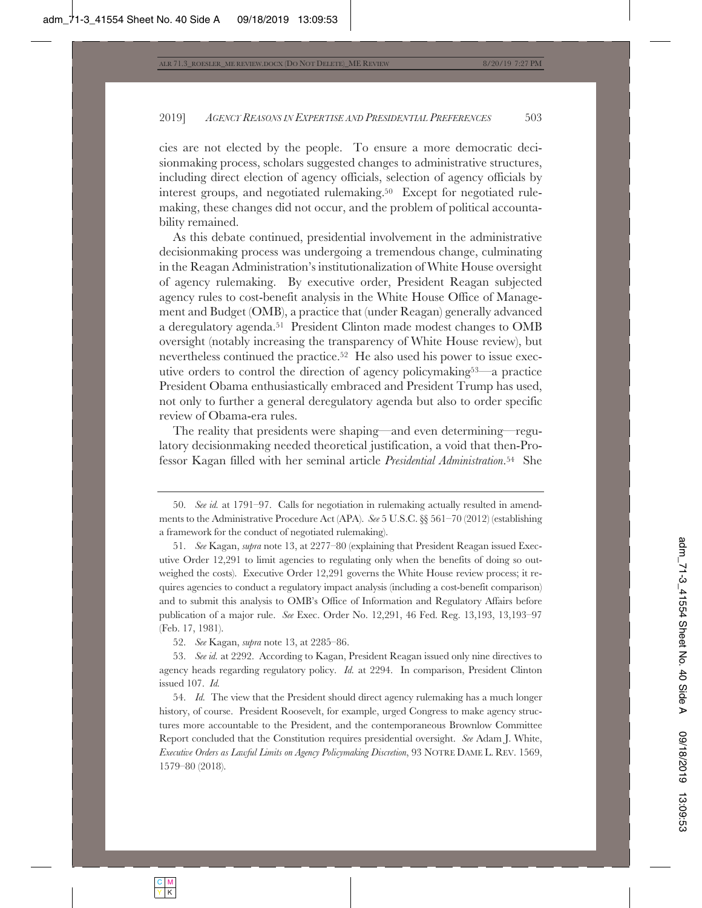cies are not elected by the people. To ensure a more democratic decisionmaking process, scholars suggested changes to administrative structures, including direct election of agency officials, selection of agency officials by interest groups, and negotiated rulemaking.<sup>50</sup> Except for negotiated rulemaking, these changes did not occur, and the problem of political accountability remained.

As this debate continued, presidential involvement in the administrative decisionmaking process was undergoing a tremendous change, culminating in the Reagan Administration's institutionalization of White House oversight of agency rulemaking. By executive order, President Reagan subjected agency rules to cost-benefit analysis in the White House Office of Management and Budget (OMB), a practice that (under Reagan) generally advanced a deregulatory agenda.51 President Clinton made modest changes to OMB oversight (notably increasing the transparency of White House review), but nevertheless continued the practice.<sup>52</sup> He also used his power to issue executive orders to control the direction of agency policymaking53—a practice President Obama enthusiastically embraced and President Trump has used, not only to further a general deregulatory agenda but also to order specific review of Obama-era rules.

The reality that presidents were shaping—and even determining—regulatory decisionmaking needed theoretical justification, a void that then-Professor Kagan filled with her seminal article *Presidential Administration*.54 She

52. *See* Kagan, *supra* note 13, at 2285–86.

54. *Id.* The view that the President should direct agency rulemaking has a much longer history, of course. President Roosevelt, for example, urged Congress to make agency structures more accountable to the President, and the contemporaneous Brownlow Committee Report concluded that the Constitution requires presidential oversight. *See* Adam J. White, *Executive Orders as Lawful Limits on Agency Policymaking Discretion*, 93 NOTRE DAME L. REV. 1569, 1579–80 (2018).

<sup>50.</sup> *See id.* at 1791–97. Calls for negotiation in rulemaking actually resulted in amendments to the Administrative Procedure Act (APA). *See* 5 U.S.C. §§ 561–70 (2012) (establishing a framework for the conduct of negotiated rulemaking).

<sup>51.</sup> *See* Kagan, *supra* note 13, at 2277–80 (explaining that President Reagan issued Executive Order 12,291 to limit agencies to regulating only when the benefits of doing so outweighed the costs). Executive Order 12,291 governs the White House review process; it requires agencies to conduct a regulatory impact analysis (including a cost-benefit comparison) and to submit this analysis to OMB's Office of Information and Regulatory Affairs before publication of a major rule. *See* Exec. Order No. 12,291, 46 Fed. Reg. 13,193, 13,193–97 (Feb. 17, 1981).

<sup>53.</sup> *See id.* at 2292. According to Kagan, President Reagan issued only nine directives to agency heads regarding regulatory policy. *Id.* at 2294. In comparison, President Clinton issued 107. *Id.*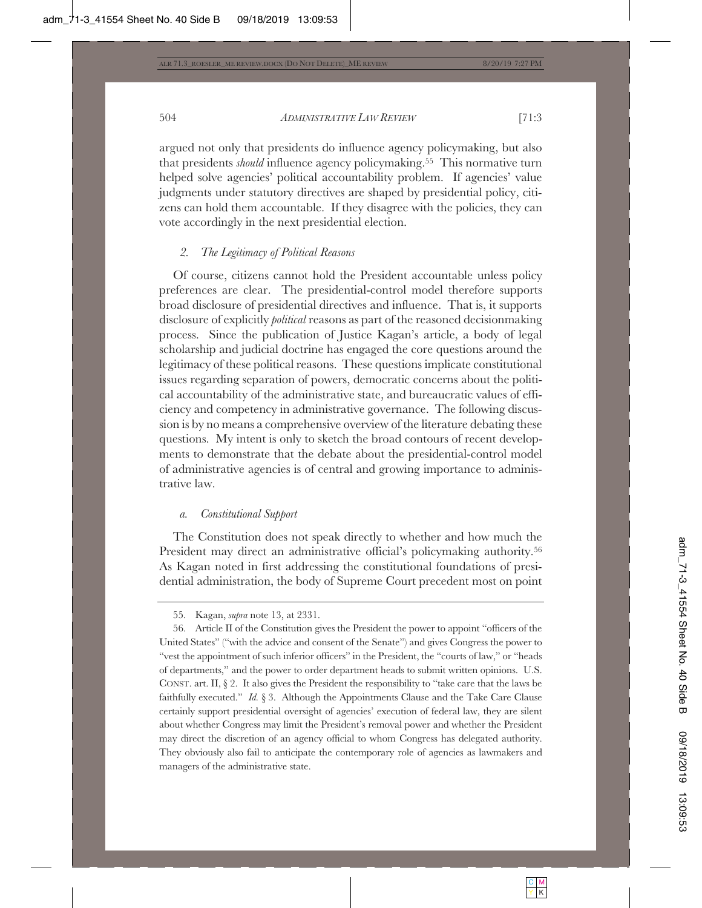argued not only that presidents do influence agency policymaking, but also that presidents *should* influence agency policymaking.55 This normative turn helped solve agencies' political accountability problem. If agencies' value judgments under statutory directives are shaped by presidential policy, citizens can hold them accountable. If they disagree with the policies, they can vote accordingly in the next presidential election.

# *2. The Legitimacy of Political Reasons*

Of course, citizens cannot hold the President accountable unless policy preferences are clear. The presidential-control model therefore supports broad disclosure of presidential directives and influence. That is, it supports disclosure of explicitly *political* reasons as part of the reasoned decisionmaking process. Since the publication of Justice Kagan's article, a body of legal scholarship and judicial doctrine has engaged the core questions around the legitimacy of these political reasons. These questions implicate constitutional issues regarding separation of powers, democratic concerns about the political accountability of the administrative state, and bureaucratic values of efficiency and competency in administrative governance. The following discussion is by no means a comprehensive overview of the literature debating these questions. My intent is only to sketch the broad contours of recent developments to demonstrate that the debate about the presidential-control model of administrative agencies is of central and growing importance to administrative law.

# *a. Constitutional Support*

The Constitution does not speak directly to whether and how much the President may direct an administrative official's policymaking authority.<sup>56</sup> As Kagan noted in first addressing the constitutional foundations of presidential administration, the body of Supreme Court precedent most on point

<sup>55.</sup> Kagan, *supra* note 13, at 2331.

<sup>56.</sup> Article II of the Constitution gives the President the power to appoint "officers of the United States" ("with the advice and consent of the Senate") and gives Congress the power to "vest the appointment of such inferior officers" in the President, the "courts of law," or "heads of departments," and the power to order department heads to submit written opinions. U.S. CONST. art. II, § 2. It also gives the President the responsibility to "take care that the laws be faithfully executed." *Id.* § 3. Although the Appointments Clause and the Take Care Clause certainly support presidential oversight of agencies' execution of federal law, they are silent about whether Congress may limit the President's removal power and whether the President may direct the discretion of an agency official to whom Congress has delegated authority. They obviously also fail to anticipate the contemporary role of agencies as lawmakers and managers of the administrative state.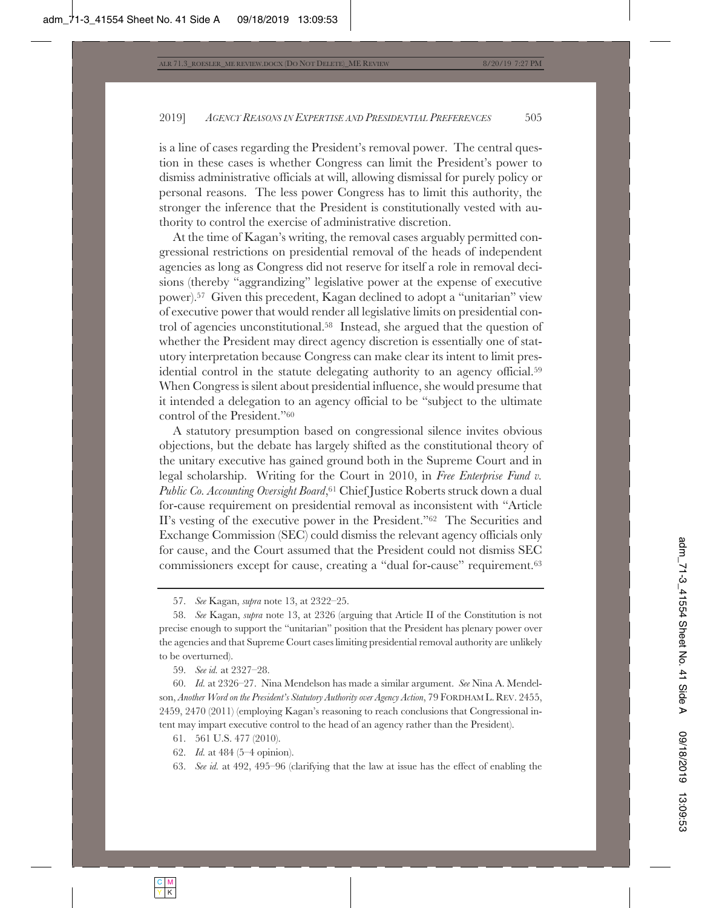is a line of cases regarding the President's removal power. The central question in these cases is whether Congress can limit the President's power to dismiss administrative officials at will, allowing dismissal for purely policy or personal reasons. The less power Congress has to limit this authority, the stronger the inference that the President is constitutionally vested with authority to control the exercise of administrative discretion.

At the time of Kagan's writing, the removal cases arguably permitted congressional restrictions on presidential removal of the heads of independent agencies as long as Congress did not reserve for itself a role in removal decisions (thereby "aggrandizing" legislative power at the expense of executive power).57 Given this precedent, Kagan declined to adopt a "unitarian" view of executive power that would render all legislative limits on presidential control of agencies unconstitutional.58 Instead, she argued that the question of whether the President may direct agency discretion is essentially one of statutory interpretation because Congress can make clear its intent to limit presidential control in the statute delegating authority to an agency official.59 When Congress is silent about presidential influence, she would presume that it intended a delegation to an agency official to be "subject to the ultimate control of the President."60

A statutory presumption based on congressional silence invites obvious objections, but the debate has largely shifted as the constitutional theory of the unitary executive has gained ground both in the Supreme Court and in legal scholarship. Writing for the Court in 2010, in *Free Enterprise Fund v. Public Co. Accounting Oversight Board*,61 Chief Justice Roberts struck down a dual for-cause requirement on presidential removal as inconsistent with "Article II's vesting of the executive power in the President."62 The Securities and Exchange Commission (SEC) could dismiss the relevant agency officials only for cause, and the Court assumed that the President could not dismiss SEC commissioners except for cause, creating a "dual for-cause" requirement.63

59. *See id.* at 2327–28.

60. *Id.* at 2326–27. Nina Mendelson has made a similar argument. *See* Nina A. Mendelson, *Another Word on the President's Statutory Authority over Agency Action*, 79 FORDHAM L. REV. 2455, 2459, 2470 (2011) (employing Kagan's reasoning to reach conclusions that Congressional intent may impart executive control to the head of an agency rather than the President).

61. 561 U.S. 477 (2010).

62. *Id.* at 484 (5–4 opinion).

63. *See id.* at 492, 495–96 (clarifying that the law at issue has the effect of enabling the

<sup>57.</sup> *See* Kagan, *supra* note 13, at 2322–25.

<sup>58.</sup> *See* Kagan, *supra* note 13, at 2326 (arguing that Article II of the Constitution is not precise enough to support the "unitarian" position that the President has plenary power over the agencies and that Supreme Court cases limiting presidential removal authority are unlikely to be overturned).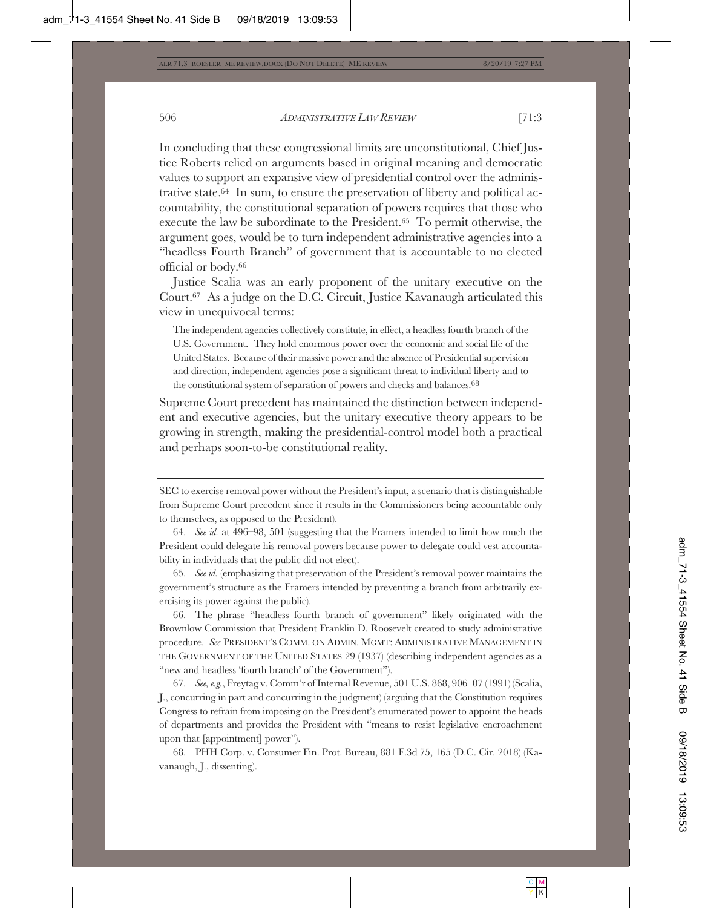execute the law be subordinate to the President.65 To permit otherwise, the argument goes, would be to turn independent administrative agencies into a "headless Fourth Branch" of government that is accountable to no elected official or body.66

Justice Scalia was an early proponent of the unitary executive on the Court.67 As a judge on the D.C. Circuit, Justice Kavanaugh articulated this view in unequivocal terms:

The independent agencies collectively constitute, in effect, a headless fourth branch of the U.S. Government. They hold enormous power over the economic and social life of the United States. Because of their massive power and the absence of Presidential supervision and direction, independent agencies pose a significant threat to individual liberty and to the constitutional system of separation of powers and checks and balances.<sup>68</sup>

Supreme Court precedent has maintained the distinction between independent and executive agencies, but the unitary executive theory appears to be growing in strength, making the presidential-control model both a practical and perhaps soon-to-be constitutional reality.

65. *See id.* (emphasizing that preservation of the President's removal power maintains the government's structure as the Framers intended by preventing a branch from arbitrarily exercising its power against the public).

66. The phrase "headless fourth branch of government" likely originated with the Brownlow Commission that President Franklin D. Roosevelt created to study administrative procedure. *See* PRESIDENT'S COMM. ON ADMIN. MGMT: ADMINISTRATIVE MANAGEMENT IN THE GOVERNMENT OF THE UNITED STATES 29 (1937) (describing independent agencies as a "new and headless 'fourth branch' of the Government").

67. *See, e.g.*, Freytag v. Comm'r of Internal Revenue, 501 U.S. 868, 906–07 (1991) (Scalia, J., concurring in part and concurring in the judgment) (arguing that the Constitution requires Congress to refrain from imposing on the President's enumerated power to appoint the heads of departments and provides the President with "means to resist legislative encroachment upon that [appointment] power").

68. PHH Corp. v. Consumer Fin. Prot. Bureau, 881 F.3d 75, 165 (D.C. Cir. 2018) (Kavanaugh, J., dissenting).

SEC to exercise removal power without the President's input, a scenario that is distinguishable from Supreme Court precedent since it results in the Commissioners being accountable only to themselves, as opposed to the President).

<sup>64.</sup> *See id.* at 496–98, 501 (suggesting that the Framers intended to limit how much the President could delegate his removal powers because power to delegate could vest accountability in individuals that the public did not elect).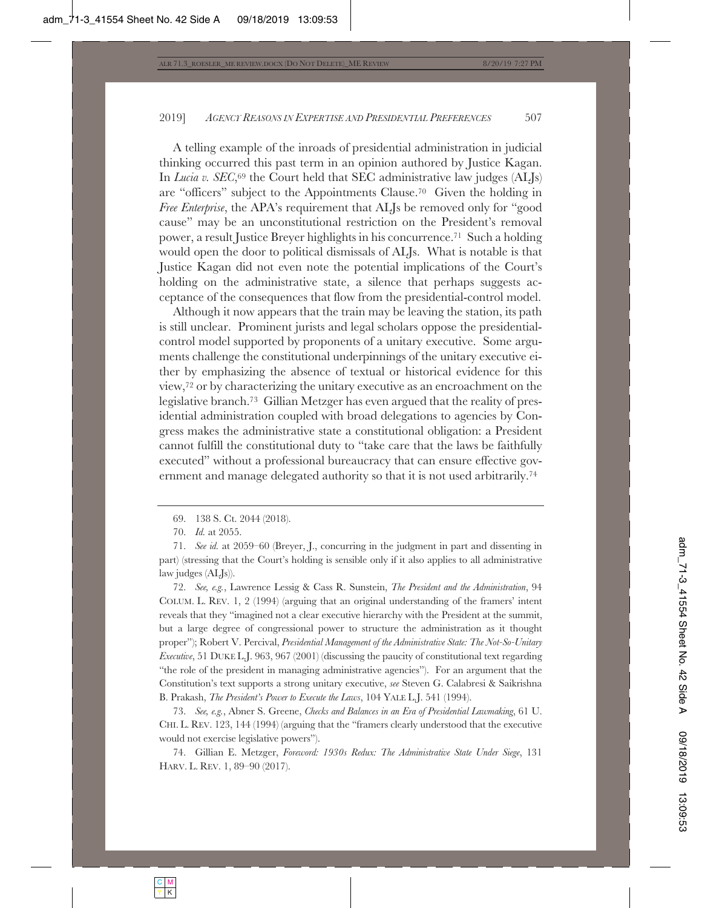A telling example of the inroads of presidential administration in judicial thinking occurred this past term in an opinion authored by Justice Kagan. In *Lucia v. SEC*,<sup>69</sup> the Court held that SEC administrative law judges (ALJs) are "officers" subject to the Appointments Clause.70 Given the holding in *Free Enterprise*, the APA's requirement that ALJs be removed only for "good cause" may be an unconstitutional restriction on the President's removal power, a result Justice Breyer highlights in his concurrence.71 Such a holding would open the door to political dismissals of ALJs. What is notable is that Justice Kagan did not even note the potential implications of the Court's holding on the administrative state, a silence that perhaps suggests acceptance of the consequences that flow from the presidential-control model.

Although it now appears that the train may be leaving the station, its path is still unclear. Prominent jurists and legal scholars oppose the presidentialcontrol model supported by proponents of a unitary executive. Some arguments challenge the constitutional underpinnings of the unitary executive either by emphasizing the absence of textual or historical evidence for this view,72 or by characterizing the unitary executive as an encroachment on the legislative branch.73 Gillian Metzger has even argued that the reality of presidential administration coupled with broad delegations to agencies by Congress makes the administrative state a constitutional obligation: a President cannot fulfill the constitutional duty to "take care that the laws be faithfully executed" without a professional bureaucracy that can ensure effective government and manage delegated authority so that it is not used arbitrarily.74

72. *See, e.g.*, Lawrence Lessig & Cass R. Sunstein, *The President and the Administration*, 94 COLUM. L. REV. 1, 2 (1994) (arguing that an original understanding of the framers' intent reveals that they "imagined not a clear executive hierarchy with the President at the summit, but a large degree of congressional power to structure the administration as it thought proper"); Robert V. Percival, *Presidential Management of the Administrative State: The Not-So-Unitary Executive*, 51 DUKE L.J. 963, 967 (2001) (discussing the paucity of constitutional text regarding "the role of the president in managing administrative agencies"). For an argument that the Constitution's text supports a strong unitary executive, *see* Steven G. Calabresi & Saikrishna B. Prakash, *The President's Power to Execute the Laws*, 104 YALE L.J. 541 (1994).

73. *See, e.g.*, Abner S. Greene, *Checks and Balances in an Era of Presidential Lawmaking*, 61 U. CHI. L. REV. 123, 144 (1994) (arguing that the "framers clearly understood that the executive would not exercise legislative powers").

74. Gillian E. Metzger, *Foreword: 1930s Redux: The Administrative State Under Siege*, 131 HARV. L. REV. 1, 89–90 (2017).

<sup>69. 138</sup> S. Ct. 2044 (2018).

<sup>70.</sup> *Id.* at 2055.

<sup>71.</sup> *See id.* at 2059–60 (Breyer, J., concurring in the judgment in part and dissenting in part) (stressing that the Court's holding is sensible only if it also applies to all administrative law judges (ALJs)).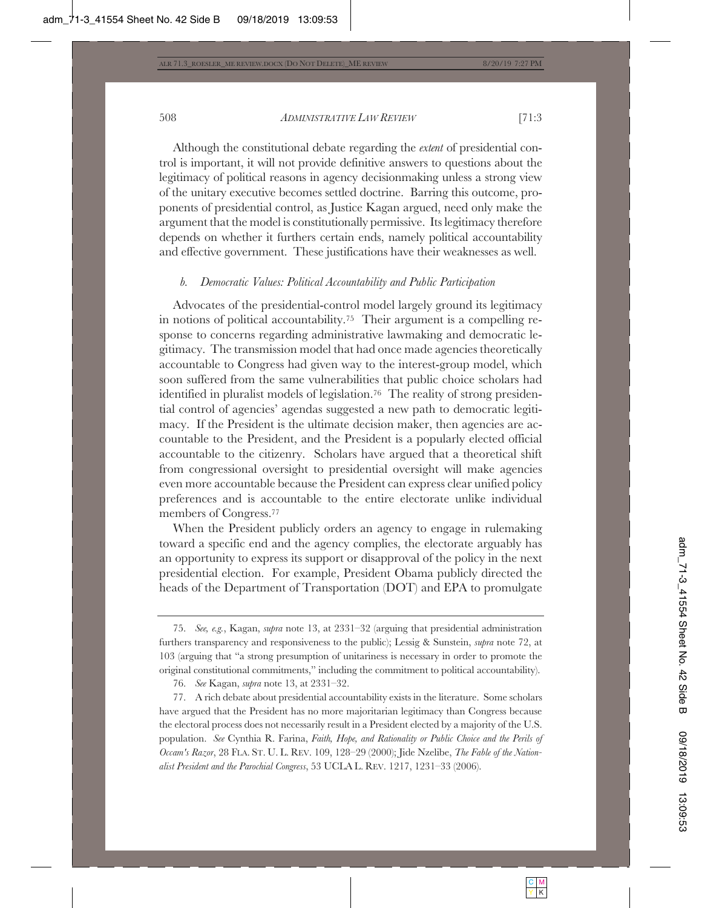Although the constitutional debate regarding the *extent* of presidential control is important, it will not provide definitive answers to questions about the legitimacy of political reasons in agency decisionmaking unless a strong view of the unitary executive becomes settled doctrine. Barring this outcome, proponents of presidential control, as Justice Kagan argued, need only make the argument that the model is constitutionally permissive. Its legitimacy therefore depends on whether it furthers certain ends, namely political accountability and effective government. These justifications have their weaknesses as well.

### *b. Democratic Values: Political Accountability and Public Participation*

Advocates of the presidential-control model largely ground its legitimacy in notions of political accountability.75 Their argument is a compelling response to concerns regarding administrative lawmaking and democratic legitimacy. The transmission model that had once made agencies theoretically accountable to Congress had given way to the interest-group model, which soon suffered from the same vulnerabilities that public choice scholars had identified in pluralist models of legislation.76 The reality of strong presidential control of agencies' agendas suggested a new path to democratic legitimacy. If the President is the ultimate decision maker, then agencies are accountable to the President, and the President is a popularly elected official accountable to the citizenry. Scholars have argued that a theoretical shift from congressional oversight to presidential oversight will make agencies even more accountable because the President can express clear unified policy preferences and is accountable to the entire electorate unlike individual members of Congress.77

When the President publicly orders an agency to engage in rulemaking toward a specific end and the agency complies, the electorate arguably has an opportunity to express its support or disapproval of the policy in the next presidential election. For example, President Obama publicly directed the heads of the Department of Transportation (DOT) and EPA to promulgate

<sup>75.</sup> *See, e.g.*, Kagan, *supra* note 13, at 2331–32 (arguing that presidential administration furthers transparency and responsiveness to the public); Lessig & Sunstein, *supra* note 72, at 103 (arguing that "a strong presumption of unitariness is necessary in order to promote the original constitutional commitments," including the commitment to political accountability).

<sup>76.</sup> *See* Kagan, *supra* note 13, at 2331–32.

<sup>77.</sup> A rich debate about presidential accountability exists in the literature. Some scholars have argued that the President has no more majoritarian legitimacy than Congress because the electoral process does not necessarily result in a President elected by a majority of the U.S. population. *See* Cynthia R. Farina, *Faith, Hope, and Rationality or Public Choice and the Perils of Occam's Razor*, 28 FLA. ST. U. L. REV. 109, 128–29 (2000); Jide Nzelibe, *The Fable of the Nationalist President and the Parochial Congress*, 53 UCLA L. REV. 1217, 1231–33 (2006).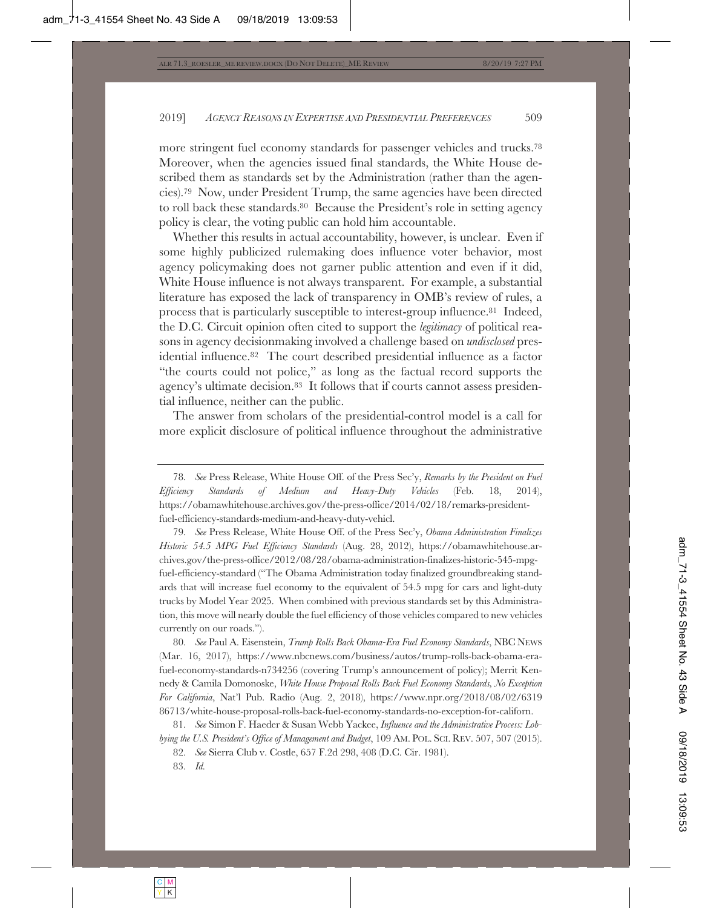more stringent fuel economy standards for passenger vehicles and trucks.78 Moreover, when the agencies issued final standards, the White House described them as standards set by the Administration (rather than the agencies).79 Now, under President Trump, the same agencies have been directed to roll back these standards.80 Because the President's role in setting agency policy is clear, the voting public can hold him accountable.

Whether this results in actual accountability, however, is unclear. Even if some highly publicized rulemaking does influence voter behavior, most agency policymaking does not garner public attention and even if it did, White House influence is not always transparent. For example, a substantial literature has exposed the lack of transparency in OMB's review of rules, a process that is particularly susceptible to interest-group influence.81 Indeed, the D.C. Circuit opinion often cited to support the *legitimacy* of political reasons in agency decisionmaking involved a challenge based on *undisclosed* presidential influence.82 The court described presidential influence as a factor "the courts could not police," as long as the factual record supports the agency's ultimate decision.<sup>83</sup> It follows that if courts cannot assess presidential influence, neither can the public.

The answer from scholars of the presidential-control model is a call for more explicit disclosure of political influence throughout the administrative

79. *See* Press Release, White House Off. of the Press Sec'y, *Obama Administration Finalizes Historic 54.5 MPG Fuel Efficiency Standards* (Aug. 28, 2012), https://obamawhitehouse.archives.gov/the-press-office/2012/08/28/obama-administration-finalizes-historic-545-mpgfuel-efficiency-standard ("The Obama Administration today finalized groundbreaking standards that will increase fuel economy to the equivalent of 54.5 mpg for cars and light-duty trucks by Model Year 2025. When combined with previous standards set by this Administration, this move will nearly double the fuel efficiency of those vehicles compared to new vehicles currently on our roads.").

80. *See* Paul A. Eisenstein, *Trump Rolls Back Obama-Era Fuel Economy Standards*, NBC NEWS (Mar. 16, 2017), https://www.nbcnews.com/business/autos/trump-rolls-back-obama-erafuel-economy-standards-n734256 (covering Trump's announcement of policy); Merrit Kennedy & Camila Domonoske, *White House Proposal Rolls Back Fuel Economy Standards, No Exception For California*, Nat'l Pub. Radio (Aug. 2, 2018), https://www.npr.org/2018/08/02/6319 86713/white-house-proposal-rolls-back-fuel-economy-standards-no-exception-for-californ.

81. *See* Simon F. Haeder & Susan Webb Yackee, *Influence and the Administrative Process: Lobbying the U.S. President's Office of Management and Budget*, 109 AM. POL. SCI. REV. 507, 507 (2015).

82. *See* Sierra Club v. Costle, 657 F.2d 298, 408 (D.C. Cir. 1981).

83. *Id.*

<sup>78.</sup> *See* Press Release, White House Off. of the Press Sec'y, *Remarks by the President on Fuel Efficiency Standards of Medium and Heavy-Duty Vehicles* (Feb. 18, 2014), https://obamawhitehouse.archives.gov/the-press-office/2014/02/18/remarks-presidentfuel-efficiency-standards-medium-and-heavy-duty-vehicl.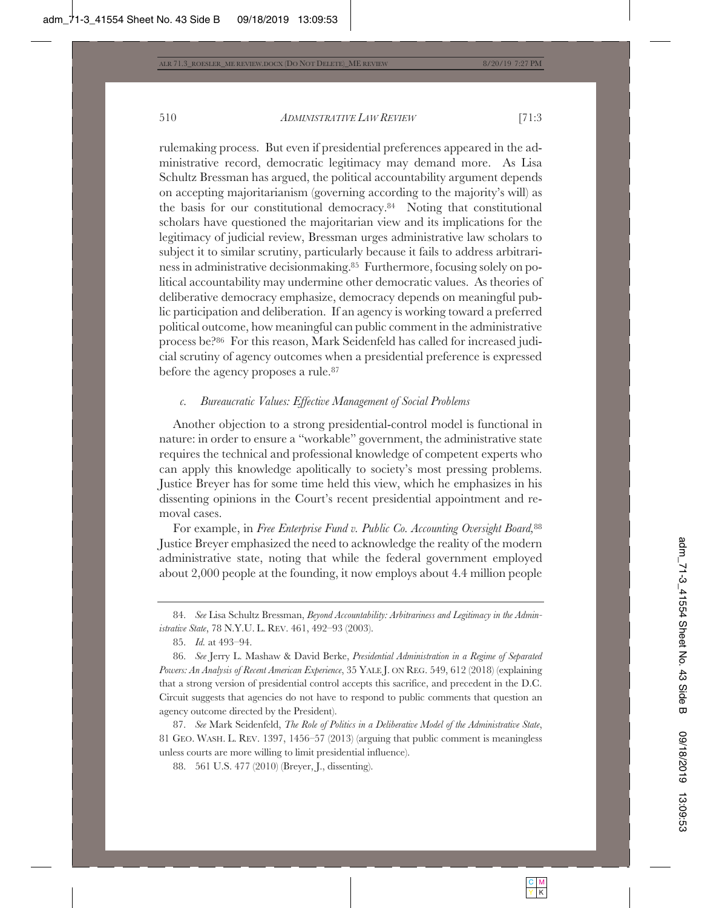rulemaking process. But even if presidential preferences appeared in the administrative record, democratic legitimacy may demand more. As Lisa Schultz Bressman has argued, the political accountability argument depends on accepting majoritarianism (governing according to the majority's will) as the basis for our constitutional democracy.84 Noting that constitutional scholars have questioned the majoritarian view and its implications for the legitimacy of judicial review, Bressman urges administrative law scholars to subject it to similar scrutiny, particularly because it fails to address arbitrariness in administrative decisionmaking.85 Furthermore, focusing solely on political accountability may undermine other democratic values. As theories of deliberative democracy emphasize, democracy depends on meaningful public participation and deliberation. If an agency is working toward a preferred political outcome, how meaningful can public comment in the administrative process be?86 For this reason, Mark Seidenfeld has called for increased judicial scrutiny of agency outcomes when a presidential preference is expressed before the agency proposes a rule.87

## *c. Bureaucratic Values: Effective Management of Social Problems*

Another objection to a strong presidential-control model is functional in nature: in order to ensure a "workable" government, the administrative state requires the technical and professional knowledge of competent experts who can apply this knowledge apolitically to society's most pressing problems. Justice Breyer has for some time held this view, which he emphasizes in his dissenting opinions in the Court's recent presidential appointment and removal cases.

For example, in *Free Enterprise Fund v. Public Co. Accounting Oversight Board,*<sup>88</sup> Justice Breyer emphasized the need to acknowledge the reality of the modern administrative state, noting that while the federal government employed about 2,000 people at the founding, it now employs about 4.4 million people

88. 561 U.S. 477 (2010) (Breyer, J., dissenting).

<sup>84.</sup> *See* Lisa Schultz Bressman, *Beyond Accountability: Arbitrariness and Legitimacy in the Administrative State*, 78 N.Y.U. L. REV. 461, 492–93 (2003).

<sup>85.</sup> *Id.* at 493–94.

<sup>86.</sup> *See* Jerry L. Mashaw & David Berke, *Presidential Administration in a Regime of Separated Powers: An Analysis of Recent American Experience*, 35 YALE J. ON REG. 549, 612 (2018) (explaining that a strong version of presidential control accepts this sacrifice, and precedent in the D.C. Circuit suggests that agencies do not have to respond to public comments that question an agency outcome directed by the President).

<sup>87.</sup> *See* Mark Seidenfeld, *The Role of Politics in a Deliberative Model of the Administrative State*, 81 GEO. WASH. L. REV. 1397, 1456–57 (2013) (arguing that public comment is meaningless unless courts are more willing to limit presidential influence).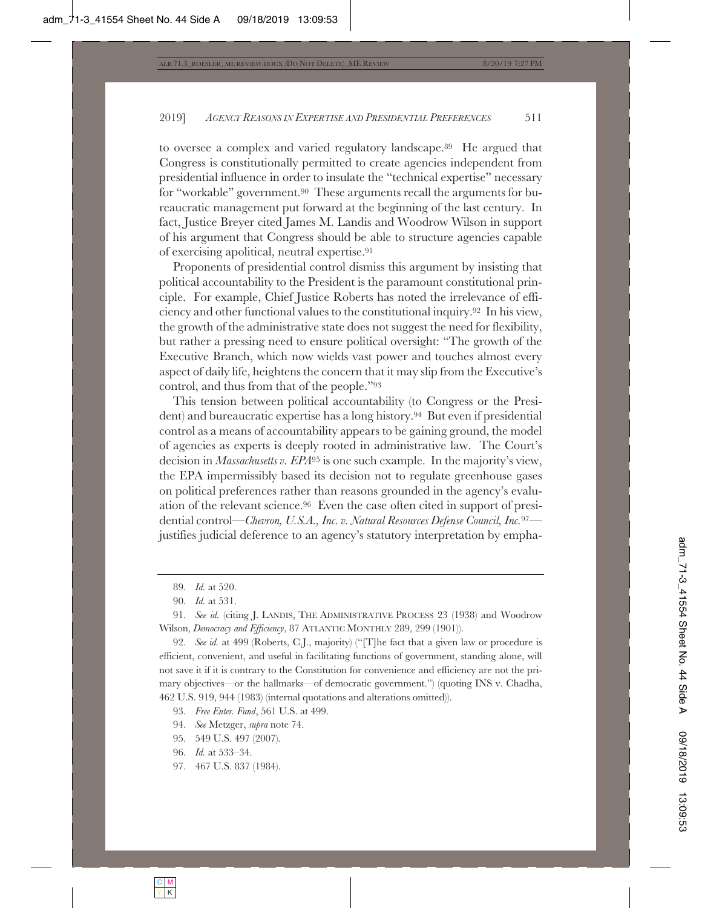to oversee a complex and varied regulatory landscape.89 He argued that Congress is constitutionally permitted to create agencies independent from presidential influence in order to insulate the "technical expertise" necessary for "workable" government.90 These arguments recall the arguments for bureaucratic management put forward at the beginning of the last century. In fact, Justice Breyer cited James M. Landis and Woodrow Wilson in support of his argument that Congress should be able to structure agencies capable of exercising apolitical, neutral expertise.91

Proponents of presidential control dismiss this argument by insisting that political accountability to the President is the paramount constitutional principle. For example, Chief Justice Roberts has noted the irrelevance of efficiency and other functional values to the constitutional inquiry.92 In his view, the growth of the administrative state does not suggest the need for flexibility, but rather a pressing need to ensure political oversight: "The growth of the Executive Branch, which now wields vast power and touches almost every aspect of daily life, heightens the concern that it may slip from the Executive's control, and thus from that of the people."93

This tension between political accountability (to Congress or the President) and bureaucratic expertise has a long history.94 But even if presidential control as a means of accountability appears to be gaining ground, the model of agencies as experts is deeply rooted in administrative law. The Court's decision in *Massachusetts v. EPA*95 is one such example. In the majority's view, the EPA impermissibly based its decision not to regulate greenhouse gases on political preferences rather than reasons grounded in the agency's evaluation of the relevant science.96 Even the case often cited in support of presidential control—*Chevron, U.S.A., Inc. v. Natural Resources Defense Council, Inc.*97 justifies judicial deference to an agency's statutory interpretation by empha-

92. *See id.* at 499 (Roberts, C.J., majority) ("[T]he fact that a given law or procedure is efficient, convenient, and useful in facilitating functions of government, standing alone, will not save it if it is contrary to the Constitution for convenience and efficiency are not the primary objectives—or the hallmarks—of democratic government.") (quoting INS v. Chadha, 462 U.S. 919, 944 (1983) (internal quotations and alterations omitted)).

- 94. *See* Metzger, *supra* note 74.
- 95. 549 U.S. 497 (2007).
- 96. *Id.* at 533–34.
- 97. 467 U.S. 837 (1984).

<sup>89.</sup> *Id.* at 520.

<sup>90.</sup> *Id.* at 531.

<sup>91.</sup> *See id.* (citing J. LANDIS, THE ADMINISTRATIVE PROCESS 23 (1938) and Woodrow Wilson, *Democracy and Efficiency*, 87 ATLANTIC MONTHLY 289, 299 (1901)).

<sup>93.</sup> *Free Enter. Fund*, 561 U.S. at 499.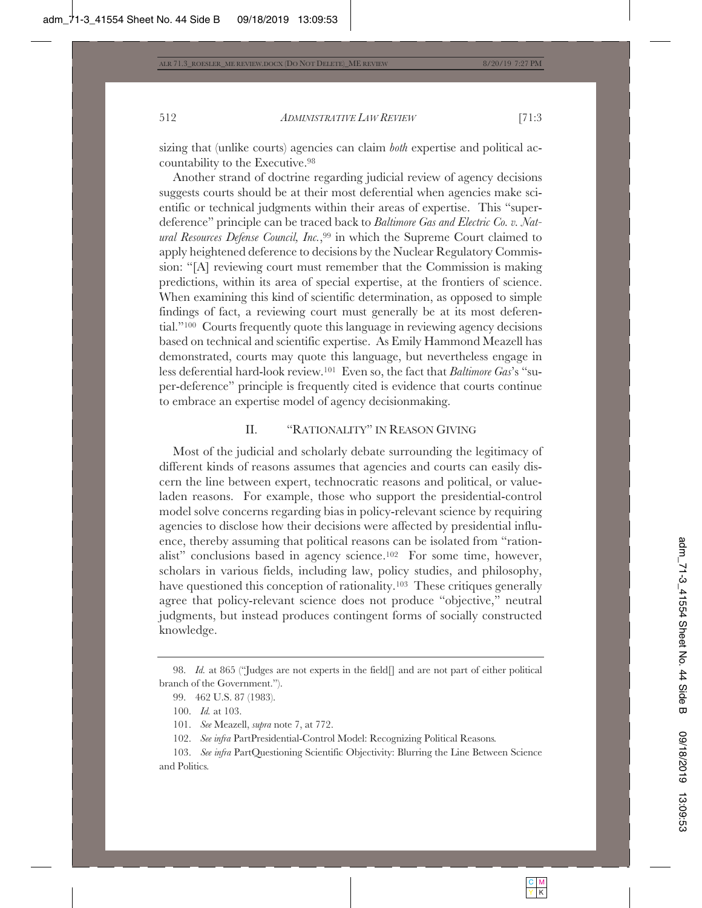sizing that (unlike courts) agencies can claim *both* expertise and political accountability to the Executive.98

Another strand of doctrine regarding judicial review of agency decisions suggests courts should be at their most deferential when agencies make scientific or technical judgments within their areas of expertise. This "superdeference" principle can be traced back to *Baltimore Gas and Electric Co. v. Natural Resources Defense Council, Inc.*,99 in which the Supreme Court claimed to apply heightened deference to decisions by the Nuclear Regulatory Commission: "[A] reviewing court must remember that the Commission is making predictions, within its area of special expertise, at the frontiers of science. When examining this kind of scientific determination, as opposed to simple findings of fact, a reviewing court must generally be at its most deferential."100 Courts frequently quote this language in reviewing agency decisions based on technical and scientific expertise. As Emily Hammond Meazell has demonstrated, courts may quote this language, but nevertheless engage in less deferential hard-look review.101 Even so, the fact that *Baltimore Gas*'s "super-deference" principle is frequently cited is evidence that courts continue to embrace an expertise model of agency decisionmaking.

# II. "RATIONALITY" IN REASON GIVING

Most of the judicial and scholarly debate surrounding the legitimacy of different kinds of reasons assumes that agencies and courts can easily discern the line between expert, technocratic reasons and political, or valueladen reasons. For example, those who support the presidential-control model solve concerns regarding bias in policy-relevant science by requiring agencies to disclose how their decisions were affected by presidential influence, thereby assuming that political reasons can be isolated from "rationalist" conclusions based in agency science.102 For some time, however, scholars in various fields, including law, policy studies, and philosophy, have questioned this conception of rationality.103 These critiques generally agree that policy-relevant science does not produce "objective," neutral judgments, but instead produces contingent forms of socially constructed knowledge.

102. *See infra* PartPresidential-Control Model: Recognizing Political Reasons*.*

103. *See infra* PartQuestioning Scientific Objectivity: Blurring the Line Between Science and Politics*.*

<sup>98.</sup> *Id.* at 865 ("Judges are not experts in the field[] and are not part of either political branch of the Government.").

<sup>99. 462</sup> U.S. 87 (1983).

<sup>100.</sup> *Id.* at 103.

<sup>101.</sup> *See* Meazell, *supra* note 7, at 772.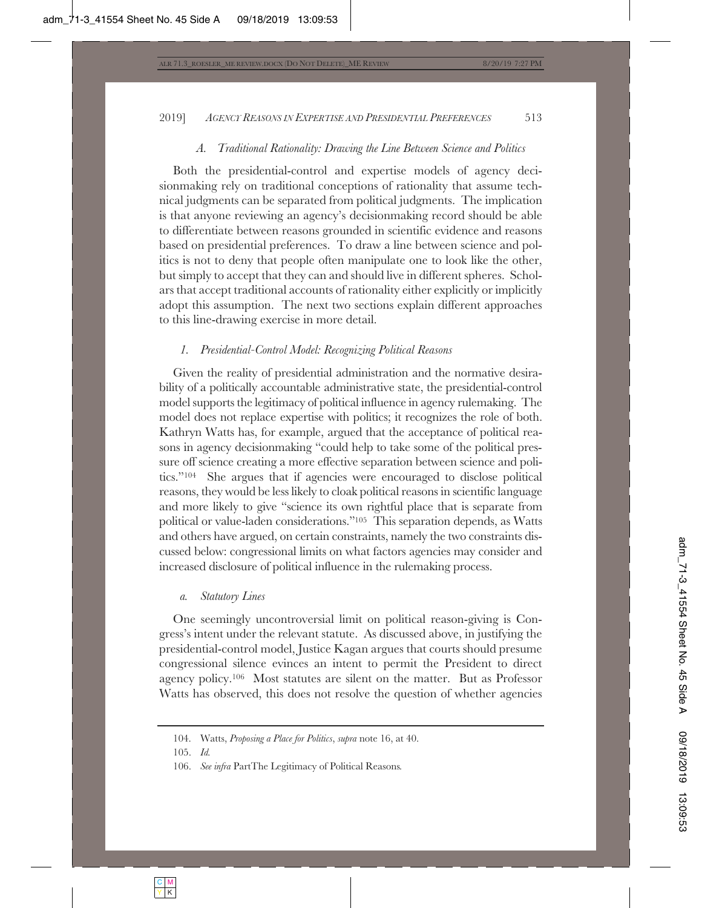## *A. Traditional Rationality: Drawing the Line Between Science and Politics*

Both the presidential-control and expertise models of agency decisionmaking rely on traditional conceptions of rationality that assume technical judgments can be separated from political judgments. The implication is that anyone reviewing an agency's decisionmaking record should be able to differentiate between reasons grounded in scientific evidence and reasons based on presidential preferences. To draw a line between science and politics is not to deny that people often manipulate one to look like the other, but simply to accept that they can and should live in different spheres. Scholars that accept traditional accounts of rationality either explicitly or implicitly adopt this assumption. The next two sections explain different approaches to this line-drawing exercise in more detail.

## *1. Presidential-Control Model: Recognizing Political Reasons*

Given the reality of presidential administration and the normative desirability of a politically accountable administrative state, the presidential-control model supports the legitimacy of political influence in agency rulemaking. The model does not replace expertise with politics; it recognizes the role of both. Kathryn Watts has, for example, argued that the acceptance of political reasons in agency decisionmaking "could help to take some of the political pressure off science creating a more effective separation between science and politics."104 She argues that if agencies were encouraged to disclose political reasons, they would be less likely to cloak political reasons in scientific language and more likely to give "science its own rightful place that is separate from political or value-laden considerations."105 This separation depends, as Watts and others have argued, on certain constraints, namely the two constraints discussed below: congressional limits on what factors agencies may consider and increased disclosure of political influence in the rulemaking process.

## *a. Statutory Lines*

One seemingly uncontroversial limit on political reason-giving is Congress's intent under the relevant statute. As discussed above, in justifying the presidential-control model, Justice Kagan argues that courts should presume congressional silence evinces an intent to permit the President to direct agency policy.106 Most statutes are silent on the matter. But as Professor Watts has observed, this does not resolve the question of whether agencies

<sup>104.</sup> Watts, *Proposing a Place for Politics*, *supra* note 16, at 40.

<sup>105.</sup> *Id.*

<sup>106.</sup> *See infra* PartThe Legitimacy of Political Reasons*.*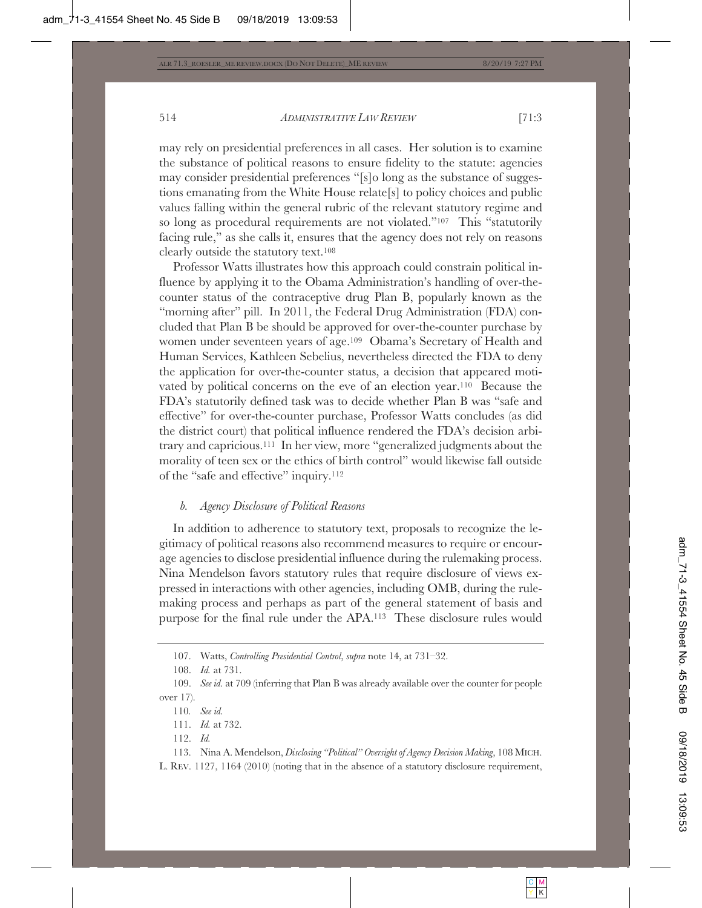may rely on presidential preferences in all cases. Her solution is to examine the substance of political reasons to ensure fidelity to the statute: agencies may consider presidential preferences "[s]o long as the substance of suggestions emanating from the White House relate[s] to policy choices and public values falling within the general rubric of the relevant statutory regime and so long as procedural requirements are not violated."107 This "statutorily facing rule," as she calls it, ensures that the agency does not rely on reasons clearly outside the statutory text.108

Professor Watts illustrates how this approach could constrain political influence by applying it to the Obama Administration's handling of over-thecounter status of the contraceptive drug Plan B, popularly known as the "morning after" pill. In 2011, the Federal Drug Administration (FDA) concluded that Plan B be should be approved for over-the-counter purchase by women under seventeen years of age.109 Obama's Secretary of Health and Human Services, Kathleen Sebelius, nevertheless directed the FDA to deny the application for over-the-counter status, a decision that appeared motivated by political concerns on the eve of an election year.110 Because the FDA's statutorily defined task was to decide whether Plan B was "safe and effective" for over-the-counter purchase, Professor Watts concludes (as did the district court) that political influence rendered the FDA's decision arbitrary and capricious.111 In her view, more "generalized judgments about the morality of teen sex or the ethics of birth control" would likewise fall outside of the "safe and effective" inquiry.112

## *b. Agency Disclosure of Political Reasons*

In addition to adherence to statutory text, proposals to recognize the legitimacy of political reasons also recommend measures to require or encourage agencies to disclose presidential influence during the rulemaking process. Nina Mendelson favors statutory rules that require disclosure of views expressed in interactions with other agencies, including OMB, during the rulemaking process and perhaps as part of the general statement of basis and purpose for the final rule under the APA.113 These disclosure rules would

109. *See id.* at 709 (inferring that Plan B was already available over the counter for people over 17).

113. Nina A. Mendelson, *Disclosing "Political" Oversight of Agency Decision Making*, 108 MICH.

L. REV. 1127, 1164 (2010) (noting that in the absence of a statutory disclosure requirement,

<sup>107.</sup> Watts, *Controlling Presidential Control*, *supra* note 14, at 731–32.

<sup>108.</sup> *Id.* at 731.

<sup>110</sup>*. See id.*

<sup>111.</sup> *Id.* at 732.

<sup>112.</sup> *Id.*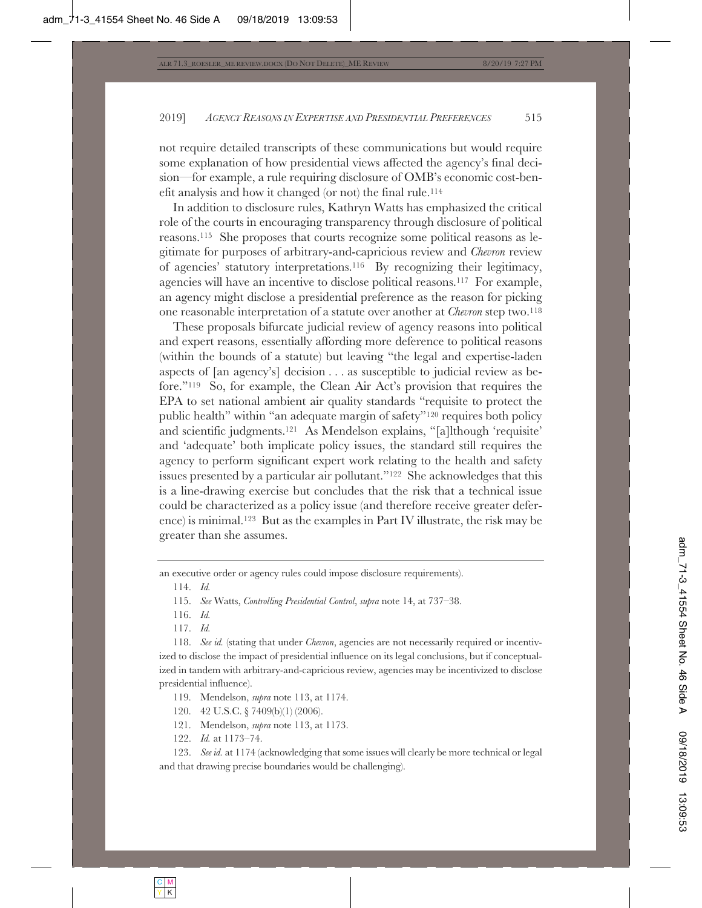not require detailed transcripts of these communications but would require some explanation of how presidential views affected the agency's final decision—for example, a rule requiring disclosure of OMB's economic cost-benefit analysis and how it changed (or not) the final rule.114

In addition to disclosure rules, Kathryn Watts has emphasized the critical role of the courts in encouraging transparency through disclosure of political reasons.115 She proposes that courts recognize some political reasons as legitimate for purposes of arbitrary-and-capricious review and *Chevron* review of agencies' statutory interpretations.116 By recognizing their legitimacy, agencies will have an incentive to disclose political reasons.117 For example, an agency might disclose a presidential preference as the reason for picking one reasonable interpretation of a statute over another at *Chevron* step two.118

These proposals bifurcate judicial review of agency reasons into political and expert reasons, essentially affording more deference to political reasons (within the bounds of a statute) but leaving "the legal and expertise-laden aspects of [an agency's] decision . . . as susceptible to judicial review as before."119 So, for example, the Clean Air Act's provision that requires the EPA to set national ambient air quality standards "requisite to protect the public health" within "an adequate margin of safety"120 requires both policy and scientific judgments.121 As Mendelson explains, "[a]lthough 'requisite' and 'adequate' both implicate policy issues, the standard still requires the agency to perform significant expert work relating to the health and safety issues presented by a particular air pollutant."122 She acknowledges that this is a line-drawing exercise but concludes that the risk that a technical issue could be characterized as a policy issue (and therefore receive greater deference) is minimal.123 But as the examples in Part IV illustrate, the risk may be greater than she assumes.

an executive order or agency rules could impose disclosure requirements).

114. *Id.*

- 116. *Id.*
- 117. *Id.*

118. *See id.* (stating that under *Chevron*, agencies are not necessarily required or incentivized to disclose the impact of presidential influence on its legal conclusions, but if conceptualized in tandem with arbitrary-and-capricious review, agencies may be incentivized to disclose presidential influence).

119. Mendelson, *supra* note 113, at 1174.

- 120. 42 U.S.C. § 7409(b)(1) (2006).
- 121. Mendelson, *supra* note 113, at 1173.
- 122. *Id.* at 1173–74.

123. *See id.* at 1174 (acknowledging that some issues will clearly be more technical or legal and that drawing precise boundaries would be challenging).

<sup>115.</sup> *See* Watts, *Controlling Presidential Control*, *supra* note 14, at 737–38.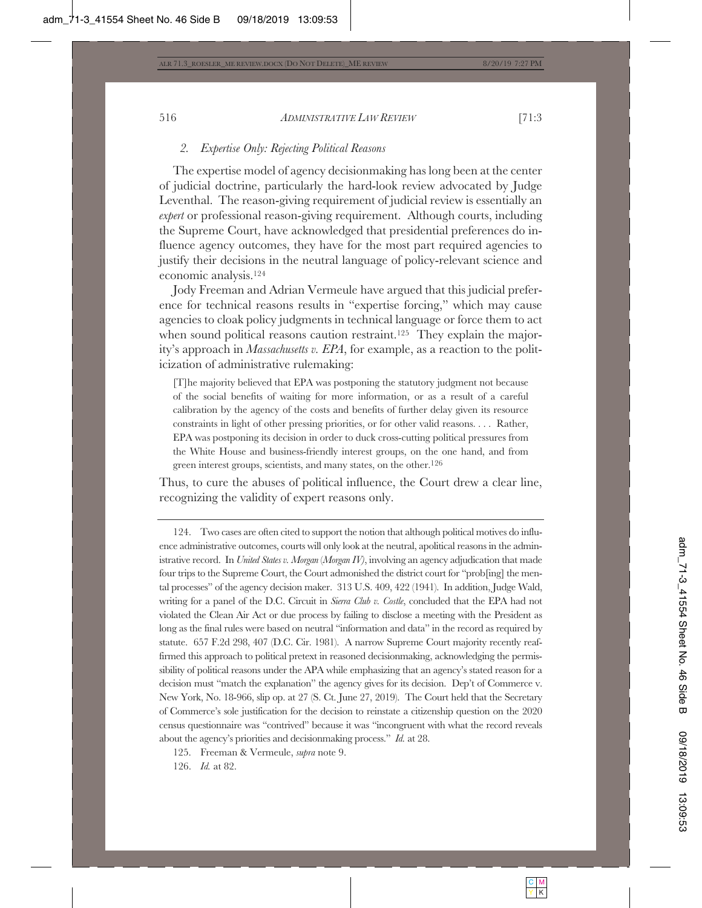## *2. Expertise Only: Rejecting Political Reasons*

The expertise model of agency decisionmaking has long been at the center of judicial doctrine, particularly the hard-look review advocated by Judge Leventhal. The reason-giving requirement of judicial review is essentially an *expert* or professional reason-giving requirement. Although courts, including the Supreme Court, have acknowledged that presidential preferences do influence agency outcomes, they have for the most part required agencies to justify their decisions in the neutral language of policy-relevant science and economic analysis.124

Jody Freeman and Adrian Vermeule have argued that this judicial preference for technical reasons results in "expertise forcing," which may cause agencies to cloak policy judgments in technical language or force them to act when sound political reasons caution restraint.<sup>125</sup> They explain the majority's approach in *Massachusetts v. EPA*, for example, as a reaction to the politicization of administrative rulemaking:

[T]he majority believed that EPA was postponing the statutory judgment not because of the social benefits of waiting for more information, or as a result of a careful calibration by the agency of the costs and benefits of further delay given its resource constraints in light of other pressing priorities, or for other valid reasons. . . . Rather, EPA was postponing its decision in order to duck cross-cutting political pressures from the White House and business-friendly interest groups, on the one hand, and from green interest groups, scientists, and many states, on the other.126

Thus, to cure the abuses of political influence, the Court drew a clear line, recognizing the validity of expert reasons only.

124. Two cases are often cited to support the notion that although political motives do influence administrative outcomes, courts will only look at the neutral, apolitical reasons in the administrative record. In *United States v. Morgan* (*Morgan IV)*, involving an agency adjudication that made four trips to the Supreme Court, the Court admonished the district court for "prob[ing] the mental processes" of the agency decision maker. 313 U.S. 409, 422 (1941). In addition, Judge Wald, writing for a panel of the D.C. Circuit in *Sierra Club v. Costle*, concluded that the EPA had not violated the Clean Air Act or due process by failing to disclose a meeting with the President as long as the final rules were based on neutral "information and data" in the record as required by statute. 657 F.2d 298, 407 (D.C. Cir. 1981). A narrow Supreme Court majority recently reaffirmed this approach to political pretext in reasoned decisionmaking, acknowledging the permissibility of political reasons under the APA while emphasizing that an agency's stated reason for a decision must "match the explanation" the agency gives for its decision. Dep't of Commerce v. New York, No. 18-966, slip op. at 27 (S. Ct. June 27, 2019). The Court held that the Secretary of Commerce's sole justification for the decision to reinstate a citizenship question on the 2020 census questionnaire was "contrived" because it was "incongruent with what the record reveals about the agency's priorities and decisionmaking process." *Id.* at 28.

125. Freeman & Vermeule, *supra* note 9.

126. *Id.* at 82.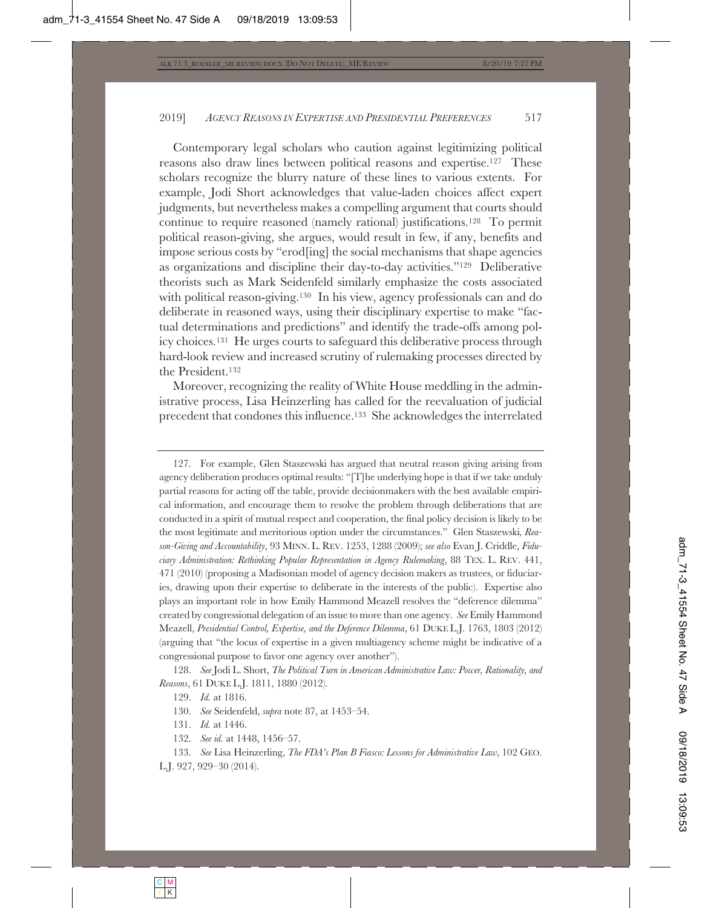Contemporary legal scholars who caution against legitimizing political reasons also draw lines between political reasons and expertise.127 These scholars recognize the blurry nature of these lines to various extents. For example, Jodi Short acknowledges that value-laden choices affect expert judgments, but nevertheless makes a compelling argument that courts should continue to require reasoned (namely rational) justifications.128 To permit political reason-giving, she argues, would result in few, if any, benefits and impose serious costs by "erod[ing] the social mechanisms that shape agencies as organizations and discipline their day-to-day activities."129 Deliberative theorists such as Mark Seidenfeld similarly emphasize the costs associated with political reason-giving.<sup>130</sup> In his view, agency professionals can and do deliberate in reasoned ways, using their disciplinary expertise to make "factual determinations and predictions" and identify the trade-offs among policy choices.131 He urges courts to safeguard this deliberative process through hard-look review and increased scrutiny of rulemaking processes directed by the President.132

Moreover, recognizing the reality of White House meddling in the administrative process, Lisa Heinzerling has called for the reevaluation of judicial precedent that condones this influence.133 She acknowledges the interrelated

127. For example, Glen Staszewski has argued that neutral reason giving arising from agency deliberation produces optimal results: "[T]he underlying hope is that if we take unduly partial reasons for acting off the table, provide decisionmakers with the best available empirical information, and encourage them to resolve the problem through deliberations that are conducted in a spirit of mutual respect and cooperation, the final policy decision is likely to be the most legitimate and meritorious option under the circumstances." Glen Staszewski*, Reason-Giving and Accountability*, 93 MINN. L. REV. 1253, 1288 (2009); *see also* Evan J. Criddle, *Fiduciary Administration: Rethinking Popular Representation in Agency Rulemaking*, 88 TEX. L. REV. 441, 471 (2010) (proposing a Madisonian model of agency decision makers as trustees, or fiduciaries, drawing upon their expertise to deliberate in the interests of the public). Expertise also plays an important role in how Emily Hammond Meazell resolves the "deference dilemma" created by congressional delegation of an issue to more than one agency. *See* Emily Hammond Meazell, *Presidential Control, Expertise, and the Deference Dilemma*, 61 DUKE L.J. 1763, 1803 (2012) (arguing that "the locus of expertise in a given multiagency scheme might be indicative of a congressional purpose to favor one agency over another").

128. *See* Jodi L. Short, *The Political Turn in American Administrative Law: Power, Rationality, and Reasons*, 61 DUKE L.J. 1811, 1880 (2012).

132. *See id.* at 1448, 1456–57.

133. *See* Lisa Heinzerling, *The FDA's Plan B Fiasco: Lessons for Administrative Law*, 102 GEO. L.J. 927, 929–30 (2014).

<sup>129.</sup> *Id.* at 1816.

<sup>130.</sup> *See* Seidenfeld, *supra* note 87, at 1453–54.

<sup>131.</sup> *Id.* at 1446.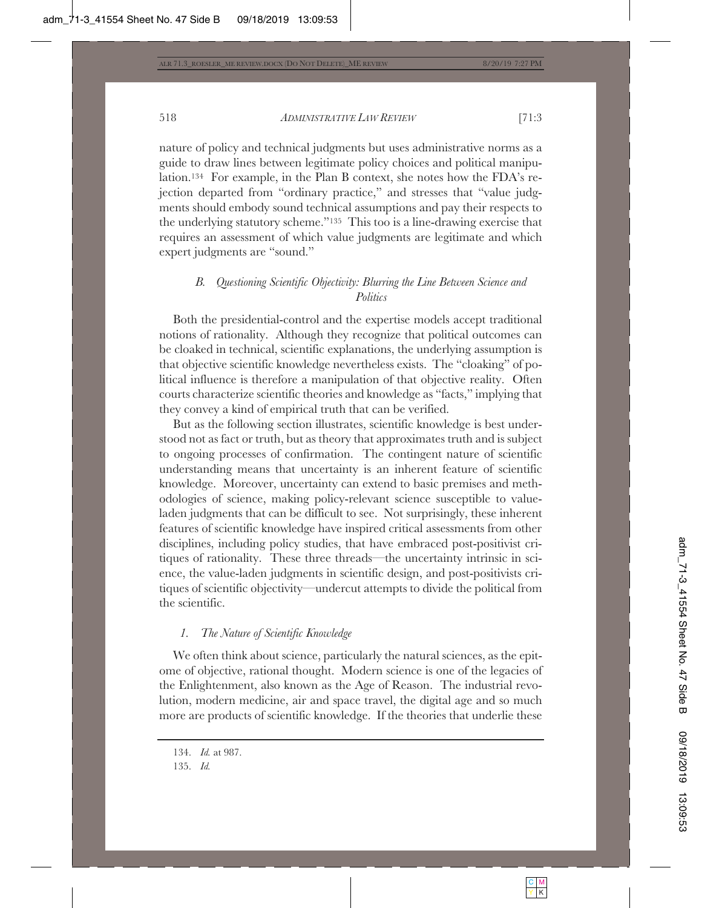nature of policy and technical judgments but uses administrative norms as a guide to draw lines between legitimate policy choices and political manipulation.134 For example, in the Plan B context, she notes how the FDA's rejection departed from "ordinary practice," and stresses that "value judgments should embody sound technical assumptions and pay their respects to the underlying statutory scheme."135 This too is a line-drawing exercise that requires an assessment of which value judgments are legitimate and which expert judgments are "sound."

# *B. Questioning Scientific Objectivity: Blurring the Line Between Science and Politics*

Both the presidential-control and the expertise models accept traditional notions of rationality. Although they recognize that political outcomes can be cloaked in technical, scientific explanations, the underlying assumption is that objective scientific knowledge nevertheless exists. The "cloaking" of political influence is therefore a manipulation of that objective reality. Often courts characterize scientific theories and knowledge as "facts," implying that they convey a kind of empirical truth that can be verified.

But as the following section illustrates, scientific knowledge is best understood not as fact or truth, but as theory that approximates truth and is subject to ongoing processes of confirmation. The contingent nature of scientific understanding means that uncertainty is an inherent feature of scientific knowledge. Moreover, uncertainty can extend to basic premises and methodologies of science, making policy-relevant science susceptible to valueladen judgments that can be difficult to see. Not surprisingly, these inherent features of scientific knowledge have inspired critical assessments from other disciplines, including policy studies, that have embraced post-positivist critiques of rationality. These three threads—the uncertainty intrinsic in science, the value-laden judgments in scientific design, and post-positivists critiques of scientific objectivity—undercut attempts to divide the political from the scientific.

# *1. The Nature of Scientific Knowledge*

We often think about science, particularly the natural sciences, as the epitome of objective, rational thought. Modern science is one of the legacies of the Enlightenment, also known as the Age of Reason. The industrial revolution, modern medicine, air and space travel, the digital age and so much more are products of scientific knowledge. If the theories that underlie these

<sup>134.</sup> *Id.* at 987.

<sup>135.</sup> *Id.*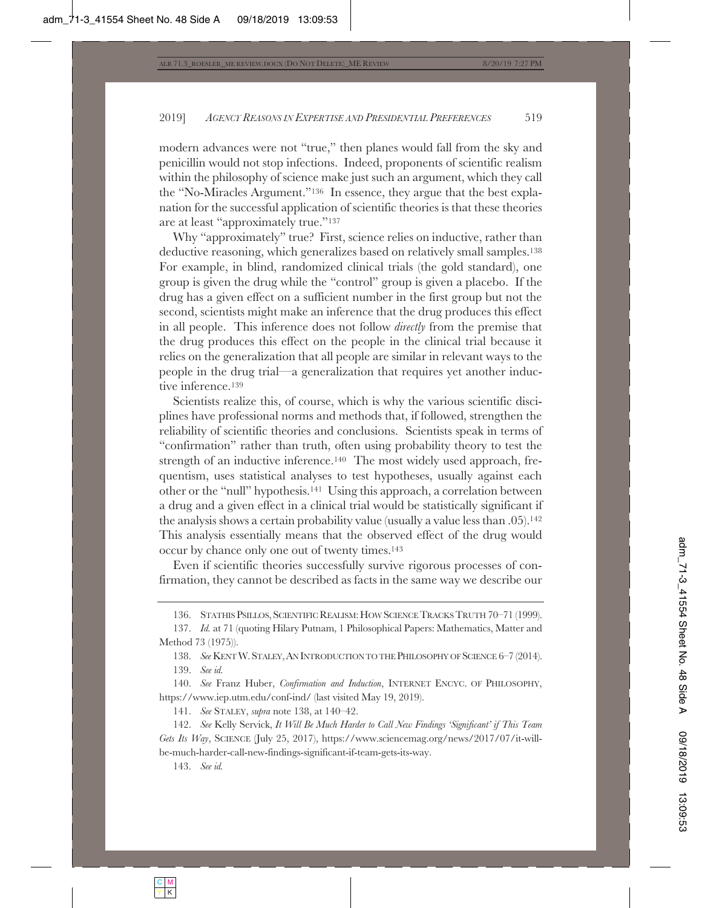modern advances were not "true," then planes would fall from the sky and penicillin would not stop infections. Indeed, proponents of scientific realism within the philosophy of science make just such an argument, which they call the "No-Miracles Argument."136 In essence, they argue that the best explanation for the successful application of scientific theories is that these theories are at least "approximately true."137

Why "approximately" true? First, science relies on inductive, rather than deductive reasoning, which generalizes based on relatively small samples.138 For example, in blind, randomized clinical trials (the gold standard), one group is given the drug while the "control" group is given a placebo. If the drug has a given effect on a sufficient number in the first group but not the second, scientists might make an inference that the drug produces this effect in all people. This inference does not follow *directly* from the premise that the drug produces this effect on the people in the clinical trial because it relies on the generalization that all people are similar in relevant ways to the people in the drug trial—a generalization that requires yet another inductive inference.<sup>139</sup>

Scientists realize this, of course, which is why the various scientific disciplines have professional norms and methods that, if followed, strengthen the reliability of scientific theories and conclusions. Scientists speak in terms of "confirmation" rather than truth, often using probability theory to test the strength of an inductive inference.140 The most widely used approach, frequentism, uses statistical analyses to test hypotheses, usually against each other or the "null" hypothesis.141 Using this approach, a correlation between a drug and a given effect in a clinical trial would be statistically significant if the analysis shows a certain probability value (usually a value less than .05).142 This analysis essentially means that the observed effect of the drug would occur by chance only one out of twenty times.143

Even if scientific theories successfully survive rigorous processes of confirmation, they cannot be described as facts in the same way we describe our

143. *See id.*

<sup>136.</sup> STATHIS PSILLOS, SCIENTIFIC REALISM: HOW SCIENCE TRACKS TRUTH 70-71 (1999).

<sup>137.</sup> *Id.* at 71 (quoting Hilary Putnam, 1 Philosophical Papers: Mathematics, Matter and Method 73 (1975)).

<sup>138.</sup> *See* KENTW.STALEY,AN INTRODUCTION TO THE PHILOSOPHY OF SCIENCE 6–7 (2014). 139. *See id.*

<sup>140.</sup> *See* Franz Huber, *Confirmation and Induction*, INTERNET ENCYC. OF PHILOSOPHY, https://www.iep.utm.edu/conf-ind/ (last visited May 19, 2019).

<sup>141.</sup> *See* STALEY, *supra* note 138, at 140–42.

<sup>142.</sup> *See* Kelly Servick, *It Will Be Much Harder to Call New Findings 'Significant' if This Team Gets Its Way*, SCIENCE (July 25, 2017), https://www.sciencemag.org/news/2017/07/it-willbe-much-harder-call-new-findings-significant-if-team-gets-its-way.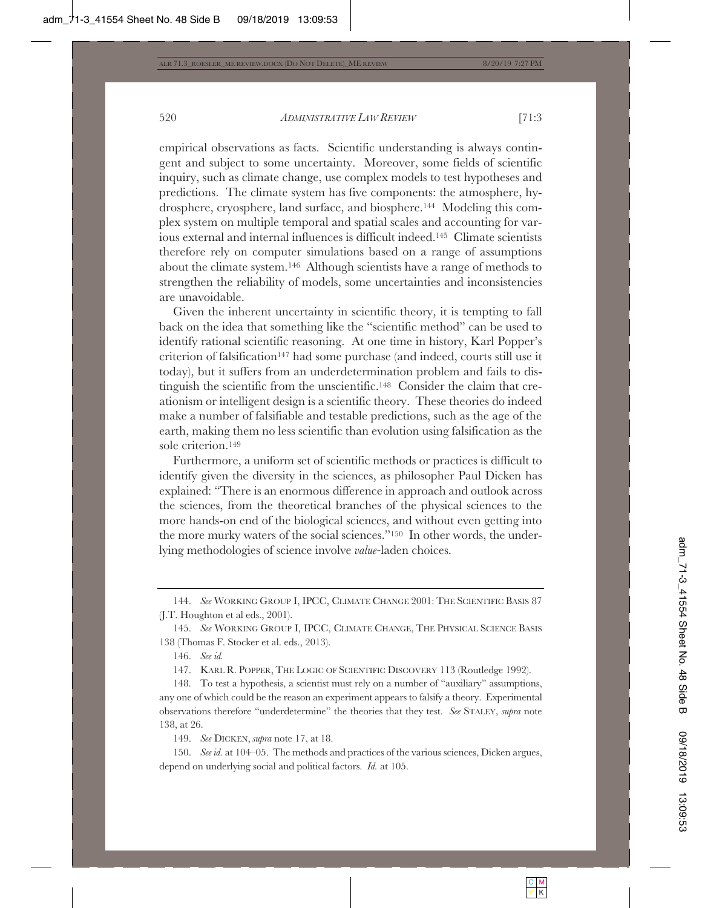empirical observations as facts. Scientific understanding is always contingent and subject to some uncertainty. Moreover, some fields of scientific inquiry, such as climate change, use complex models to test hypotheses and predictions. The climate system has five components: the atmosphere, hydrosphere, cryosphere, land surface, and biosphere.144 Modeling this complex system on multiple temporal and spatial scales and accounting for various external and internal influences is difficult indeed.145 Climate scientists therefore rely on computer simulations based on a range of assumptions about the climate system.146 Although scientists have a range of methods to strengthen the reliability of models, some uncertainties and inconsistencies are unavoidable.

Given the inherent uncertainty in scientific theory, it is tempting to fall back on the idea that something like the "scientific method" can be used to identify rational scientific reasoning. At one time in history, Karl Popper's criterion of falsification147 had some purchase (and indeed, courts still use it today), but it suffers from an underdetermination problem and fails to distinguish the scientific from the unscientific.148 Consider the claim that creationism or intelligent design is a scientific theory. These theories do indeed make a number of falsifiable and testable predictions, such as the age of the earth, making them no less scientific than evolution using falsification as the sole criterion.149

Furthermore, a uniform set of scientific methods or practices is difficult to identify given the diversity in the sciences, as philosopher Paul Dicken has explained: "There is an enormous difference in approach and outlook across the sciences, from the theoretical branches of the physical sciences to the more hands-on end of the biological sciences, and without even getting into the more murky waters of the social sciences."150 In other words, the underlying methodologies of science involve *value-*laden choices.

149. *See* DICKEN, *supra* note 17, at 18.

150. *See id.* at 104–05. The methods and practices of the various sciences, Dicken argues, depend on underlying social and political factors. *Id.* at 105.

<sup>144.</sup> *See* WORKING GROUP I, IPCC, CLIMATE CHANGE 2001: THE SCIENTIFIC BASIS 87 (J.T. Houghton et al eds., 2001).

<sup>145.</sup> *See* WORKING GROUP I, IPCC, CLIMATE CHANGE, THE PHYSICAL SCIENCE BASIS 138 (Thomas F. Stocker et al. eds., 2013).

<sup>146.</sup> *See id.*

<sup>147.</sup> KARL R. POPPER, THE LOGIC OF SCIENTIFIC DISCOVERY 113 (Routledge 1992).

<sup>148.</sup> To test a hypothesis, a scientist must rely on a number of "auxiliary" assumptions, any one of which could be the reason an experiment appears to falsify a theory. Experimental observations therefore "underdetermine" the theories that they test. *See* STALEY, *supra* note 138, at 26.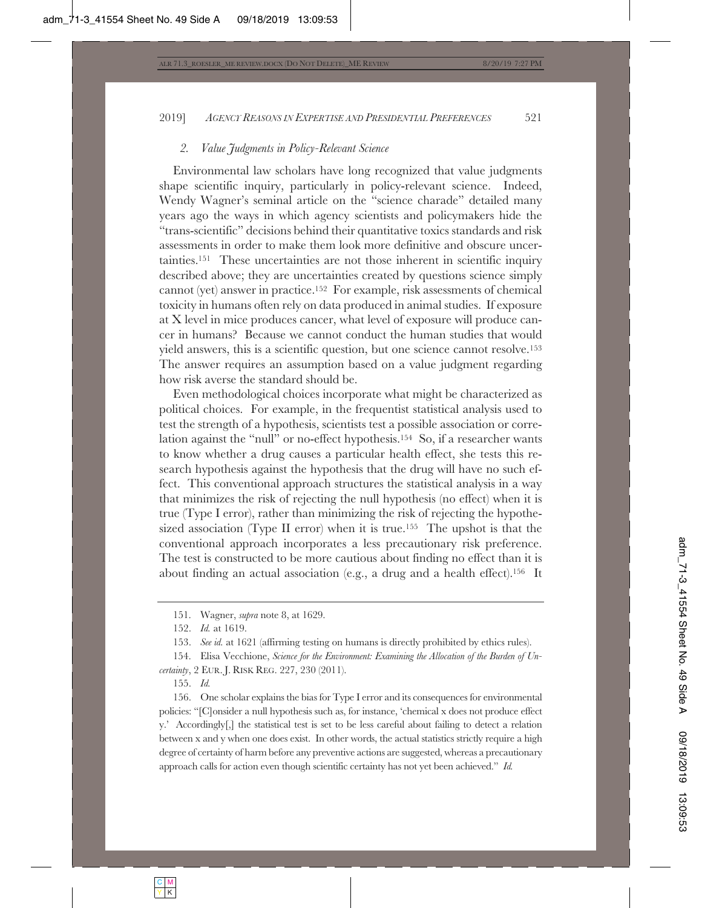### *2. Value Judgments in Policy-Relevant Science*

Environmental law scholars have long recognized that value judgments shape scientific inquiry, particularly in policy-relevant science. Indeed, Wendy Wagner's seminal article on the "science charade" detailed many years ago the ways in which agency scientists and policymakers hide the "trans-scientific" decisions behind their quantitative toxics standards and risk assessments in order to make them look more definitive and obscure uncertainties.151 These uncertainties are not those inherent in scientific inquiry described above; they are uncertainties created by questions science simply cannot (yet) answer in practice.152 For example, risk assessments of chemical toxicity in humans often rely on data produced in animal studies. If exposure at X level in mice produces cancer, what level of exposure will produce cancer in humans? Because we cannot conduct the human studies that would yield answers, this is a scientific question, but one science cannot resolve.153 The answer requires an assumption based on a value judgment regarding how risk averse the standard should be.

Even methodological choices incorporate what might be characterized as political choices. For example, in the frequentist statistical analysis used to test the strength of a hypothesis, scientists test a possible association or correlation against the "null" or no-effect hypothesis.154 So, if a researcher wants to know whether a drug causes a particular health effect, she tests this research hypothesis against the hypothesis that the drug will have no such effect. This conventional approach structures the statistical analysis in a way that minimizes the risk of rejecting the null hypothesis (no effect) when it is true (Type I error), rather than minimizing the risk of rejecting the hypothesized association (Type II error) when it is true.155 The upshot is that the conventional approach incorporates a less precautionary risk preference. The test is constructed to be more cautious about finding no effect than it is about finding an actual association (e.g., a drug and a health effect).156 It

155. *Id.*

156. One scholar explains the bias for Type I error and its consequences for environmental policies: "[C]onsider a null hypothesis such as, for instance, 'chemical x does not produce effect y.' Accordingly[,] the statistical test is set to be less careful about failing to detect a relation between x and y when one does exist. In other words, the actual statistics strictly require a high degree of certainty of harm before any preventive actions are suggested, whereas a precautionary approach calls for action even though scientific certainty has not yet been achieved." *Id.*

<sup>151.</sup> Wagner, *supra* note 8, at 1629.

<sup>152.</sup> *Id.* at 1619.

<sup>153.</sup> *See id.* at 1621 (affirming testing on humans is directly prohibited by ethics rules).

<sup>154.</sup> Elisa Vecchione, *Science for the Environment: Examining the Allocation of the Burden of Uncertainty*, 2 EUR. J. RISK REG. 227, 230 (2011).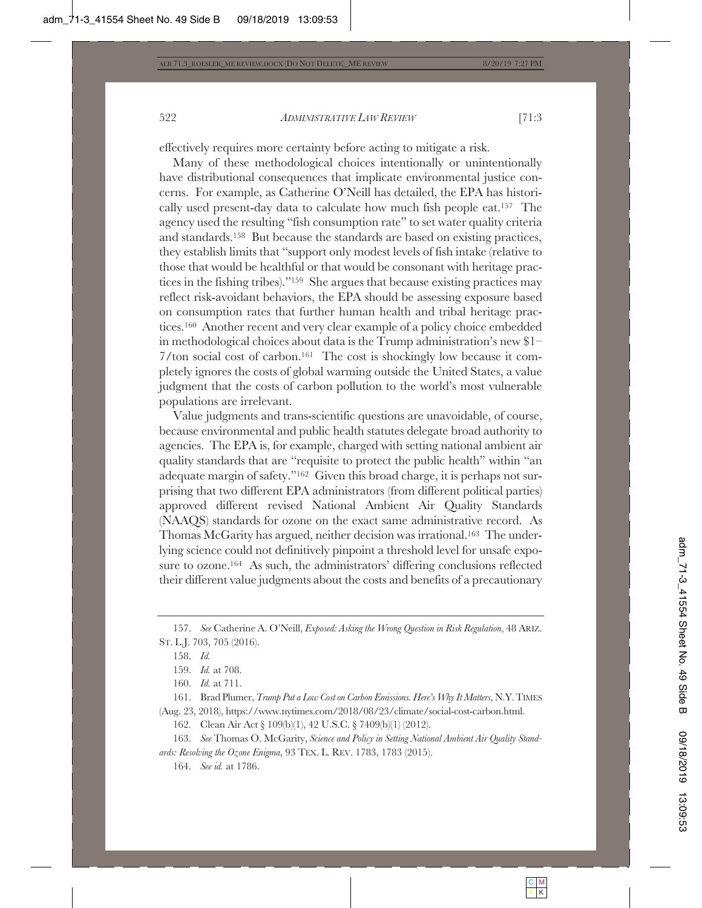effectively requires more certainty before acting to mitigate a risk.

Many of these methodological choices intentionally or unintentionally have distributional consequences that implicate environmental justice concerns. For example, as Catherine O'Neill has detailed, the EPA has historically used present-day data to calculate how much fish people eat.157 The agency used the resulting "fish consumption rate" to set water quality criteria and standards.158 But because the standards are based on existing practices, they establish limits that "support only modest levels of fish intake (relative to those that would be healthful or that would be consonant with heritage practices in the fishing tribes)."159 She argues that because existing practices may reflect risk-avoidant behaviors, the EPA should be assessing exposure based on consumption rates that further human health and tribal heritage practices.160 Another recent and very clear example of a policy choice embedded in methodological choices about data is the Trump administration's new \$1– 7/ton social cost of carbon.161 The cost is shockingly low because it completely ignores the costs of global warming outside the United States, a value judgment that the costs of carbon pollution to the world's most vulnerable populations are irrelevant.

Value judgments and trans-scientific questions are unavoidable, of course, because environmental and public health statutes delegate broad authority to agencies. The EPA is, for example, charged with setting national ambient air quality standards that are "requisite to protect the public health" within "an adequate margin of safety."162 Given this broad charge, it is perhaps not surprising that two different EPA administrators (from different political parties) approved different revised National Ambient Air Quality Standards (NAAQS) standards for ozone on the exact same administrative record. As Thomas McGarity has argued, neither decision was irrational.163 The underlying science could not definitively pinpoint a threshold level for unsafe exposure to ozone.164 As such, the administrators' differing conclusions reflected their different value judgments about the costs and benefits of a precautionary

<sup>157.</sup> *See* Catherine A. O'Neill, *Exposed: Asking the Wrong Question in Risk Regulation*, 48 ARIZ. ST. L.J. 703, 705 (2016).

<sup>158.</sup> *Id.*

<sup>159.</sup> *Id.* at 708.

<sup>160.</sup> *Id.* at 711.

<sup>161.</sup> Brad Plumer, *Trump Put a Low Cost on Carbon Emissions. Here's Why It Matters*, N.Y.TIMES (Aug. 23, 2018), https://www.nytimes.com/2018/08/23/climate/social-cost-carbon.html.

<sup>162.</sup> Clean Air Act § 109(b)(1), 42 U.S.C. § 7409(b)(1) (2012).

<sup>163.</sup> *See* Thomas O. McGarity, *Science and Policy in Setting National Ambient Air Quality Standards: Resolving the Ozone Enigma*, 93 TEX. L. REV. 1783, 1783 (2015).

<sup>164.</sup> *See id.* at 1786.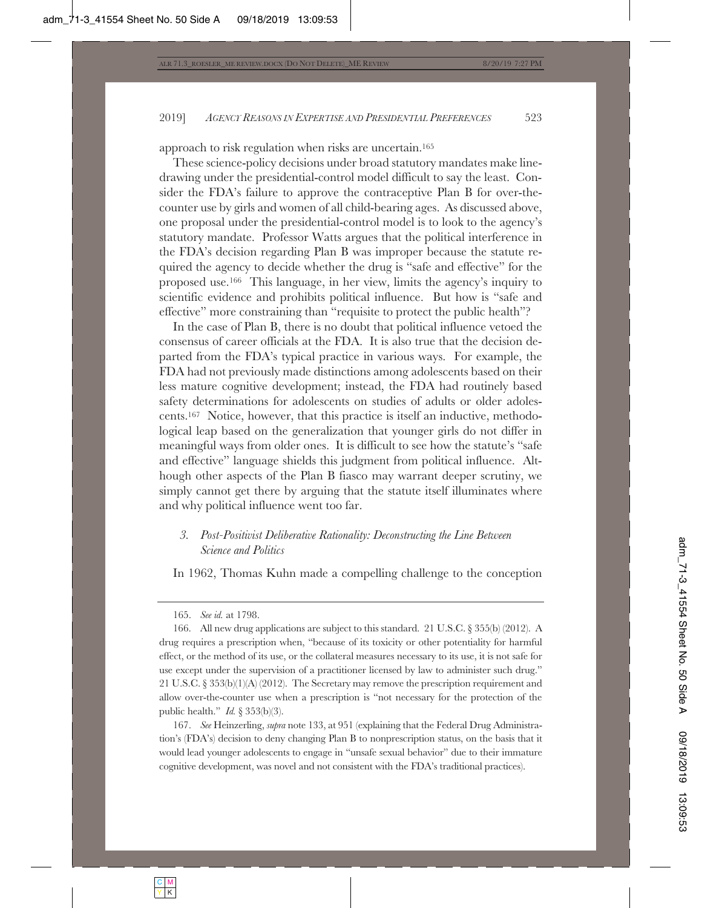approach to risk regulation when risks are uncertain.165

These science-policy decisions under broad statutory mandates make linedrawing under the presidential-control model difficult to say the least. Consider the FDA's failure to approve the contraceptive Plan B for over-thecounter use by girls and women of all child-bearing ages. As discussed above, one proposal under the presidential-control model is to look to the agency's statutory mandate. Professor Watts argues that the political interference in the FDA's decision regarding Plan B was improper because the statute required the agency to decide whether the drug is "safe and effective" for the proposed use.166 This language, in her view, limits the agency's inquiry to scientific evidence and prohibits political influence. But how is "safe and effective" more constraining than "requisite to protect the public health"?

In the case of Plan B, there is no doubt that political influence vetoed the consensus of career officials at the FDA. It is also true that the decision departed from the FDA's typical practice in various ways. For example, the FDA had not previously made distinctions among adolescents based on their less mature cognitive development; instead, the FDA had routinely based safety determinations for adolescents on studies of adults or older adolescents.167 Notice, however, that this practice is itself an inductive, methodological leap based on the generalization that younger girls do not differ in meaningful ways from older ones. It is difficult to see how the statute's "safe and effective" language shields this judgment from political influence. Although other aspects of the Plan B fiasco may warrant deeper scrutiny, we simply cannot get there by arguing that the statute itself illuminates where and why political influence went too far.

# *3. Post-Positivist Deliberative Rationality: Deconstructing the Line Between Science and Politics*

In 1962, Thomas Kuhn made a compelling challenge to the conception

<sup>165.</sup> *See id.* at 1798.

<sup>166.</sup> All new drug applications are subject to this standard. 21 U.S.C. § 355(b) (2012). A drug requires a prescription when, "because of its toxicity or other potentiality for harmful effect, or the method of its use, or the collateral measures necessary to its use, it is not safe for use except under the supervision of a practitioner licensed by law to administer such drug." 21 U.S.C. § 353(b)(1)(A) (2012). The Secretary may remove the prescription requirement and allow over-the-counter use when a prescription is "not necessary for the protection of the public health." *Id.* § 353(b)(3).

<sup>167.</sup> *See* Heinzerling, *supra* note 133, at 951 (explaining that the Federal Drug Administration's (FDA's) decision to deny changing Plan B to nonprescription status, on the basis that it would lead younger adolescents to engage in "unsafe sexual behavior" due to their immature cognitive development, was novel and not consistent with the FDA's traditional practices).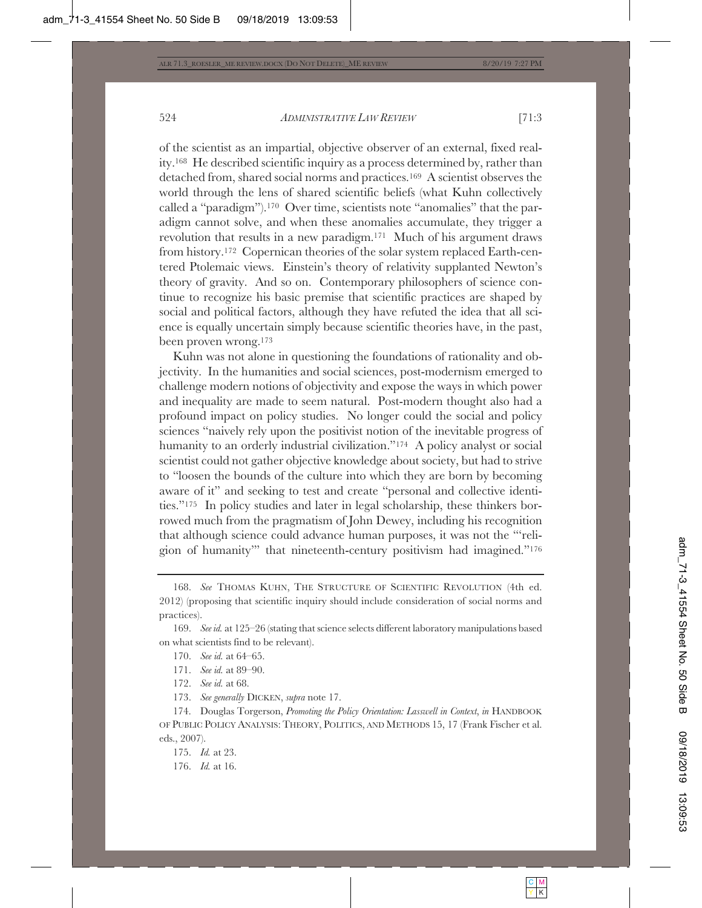of the scientist as an impartial, objective observer of an external, fixed reality.168 He described scientific inquiry as a process determined by, rather than detached from, shared social norms and practices.169 A scientist observes the world through the lens of shared scientific beliefs (what Kuhn collectively called a "paradigm").170 Over time, scientists note "anomalies" that the paradigm cannot solve, and when these anomalies accumulate, they trigger a revolution that results in a new paradigm.171 Much of his argument draws from history.172 Copernican theories of the solar system replaced Earth-centered Ptolemaic views. Einstein's theory of relativity supplanted Newton's theory of gravity. And so on. Contemporary philosophers of science continue to recognize his basic premise that scientific practices are shaped by social and political factors, although they have refuted the idea that all science is equally uncertain simply because scientific theories have, in the past, been proven wrong.173

Kuhn was not alone in questioning the foundations of rationality and objectivity. In the humanities and social sciences, post-modernism emerged to challenge modern notions of objectivity and expose the ways in which power and inequality are made to seem natural. Post-modern thought also had a profound impact on policy studies. No longer could the social and policy sciences "naively rely upon the positivist notion of the inevitable progress of humanity to an orderly industrial civilization."<sup>174</sup> A policy analyst or social scientist could not gather objective knowledge about society, but had to strive to "loosen the bounds of the culture into which they are born by becoming aware of it" and seeking to test and create "personal and collective identities."175 In policy studies and later in legal scholarship, these thinkers borrowed much from the pragmatism of John Dewey, including his recognition that although science could advance human purposes, it was not the "'religion of humanity'" that nineteenth-century positivism had imagined."176

171. *See id.* at 89–90.

172. *See id.* at 68.

173. *See generally* DICKEN, *supra* note 17.

174. Douglas Torgerson, *Promoting the Policy Orientation: Lasswell in Context*, *in* HANDBOOK OF PUBLIC POLICY ANALYSIS: THEORY, POLITICS, AND METHODS 15, 17 (Frank Fischer et al. eds., 2007).

175. *Id.* at 23.

176. *Id.* at 16.

<sup>168.</sup> *See* THOMAS KUHN, THE STRUCTURE OF SCIENTIFIC REVOLUTION (4th ed. 2012) (proposing that scientific inquiry should include consideration of social norms and practices).

<sup>169.</sup> *See id.* at 125–26 (stating that science selects different laboratory manipulations based on what scientists find to be relevant).

<sup>170.</sup> *See id.* at 64–65.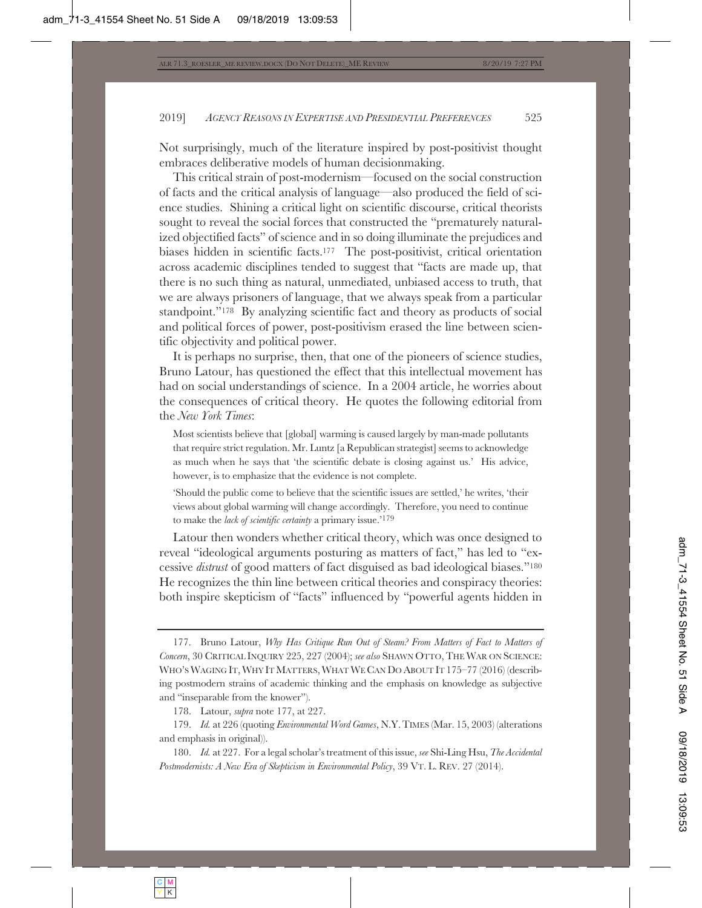Not surprisingly, much of the literature inspired by post-positivist thought embraces deliberative models of human decisionmaking.

This critical strain of post-modernism—focused on the social construction of facts and the critical analysis of language—also produced the field of science studies. Shining a critical light on scientific discourse, critical theorists sought to reveal the social forces that constructed the "prematurely naturalized objectified facts" of science and in so doing illuminate the prejudices and biases hidden in scientific facts.177 The post-positivist, critical orientation across academic disciplines tended to suggest that "facts are made up, that there is no such thing as natural, unmediated, unbiased access to truth, that we are always prisoners of language, that we always speak from a particular standpoint."178 By analyzing scientific fact and theory as products of social and political forces of power, post-positivism erased the line between scientific objectivity and political power.

It is perhaps no surprise, then, that one of the pioneers of science studies, Bruno Latour, has questioned the effect that this intellectual movement has had on social understandings of science. In a 2004 article, he worries about the consequences of critical theory. He quotes the following editorial from the *New York Times*:

Most scientists believe that [global] warming is caused largely by man-made pollutants that require strict regulation. Mr. Luntz [a Republican strategist] seems to acknowledge as much when he says that 'the scientific debate is closing against us.' His advice, however, is to emphasize that the evidence is not complete.

'Should the public come to believe that the scientific issues are settled,' he writes, 'their views about global warming will change accordingly. Therefore, you need to continue to make the *lack of scientific certainty* a primary issue.'179

Latour then wonders whether critical theory, which was once designed to reveal "ideological arguments posturing as matters of fact," has led to "excessive *distrust* of good matters of fact disguised as bad ideological biases."180 He recognizes the thin line between critical theories and conspiracy theories: both inspire skepticism of "facts" influenced by "powerful agents hidden in

<sup>177.</sup> Bruno Latour, *Why Has Critique Run Out of Steam? From Matters of Fact to Matters of Concern*, 30 CRITICAL INQUIRY 225, 227 (2004); *see also* SHAWN OTTO, THE WAR ON SCIENCE: WHO'S WAGING IT, WHY IT MATTERS, WHAT WE CAN DO ABOUT IT 175-77 (2016) (describing postmodern strains of academic thinking and the emphasis on knowledge as subjective and "inseparable from the knower").

<sup>178.</sup> Latour, *supra* note 177, at 227.

<sup>179.</sup> *Id.* at 226 (quoting *Environmental Word Games*, N.Y.TIMES (Mar. 15, 2003) (alterations and emphasis in original)).

<sup>180.</sup> *Id.* at 227. For a legal scholar's treatment of this issue, *see* Shi-Ling Hsu, *The Accidental Postmodernists: A New Era of Skepticism in Environmental Policy*, 39 VT. L. REV. 27 (2014).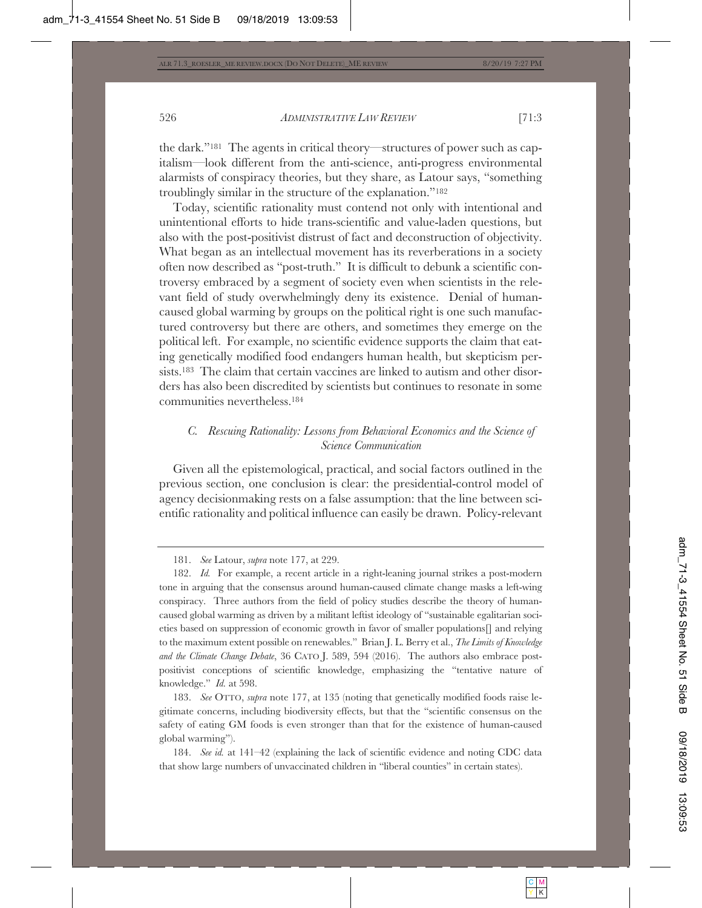the dark."181 The agents in critical theory—structures of power such as capitalism—look different from the anti-science, anti-progress environmental alarmists of conspiracy theories, but they share, as Latour says, "something troublingly similar in the structure of the explanation."182

Today, scientific rationality must contend not only with intentional and unintentional efforts to hide trans-scientific and value-laden questions, but also with the post-positivist distrust of fact and deconstruction of objectivity. What began as an intellectual movement has its reverberations in a society often now described as "post-truth." It is difficult to debunk a scientific controversy embraced by a segment of society even when scientists in the relevant field of study overwhelmingly deny its existence. Denial of humancaused global warming by groups on the political right is one such manufactured controversy but there are others, and sometimes they emerge on the political left. For example, no scientific evidence supports the claim that eating genetically modified food endangers human health, but skepticism persists.183 The claim that certain vaccines are linked to autism and other disorders has also been discredited by scientists but continues to resonate in some communities nevertheless.184

# *C. Rescuing Rationality: Lessons from Behavioral Economics and the Science of Science Communication*

Given all the epistemological, practical, and social factors outlined in the previous section, one conclusion is clear: the presidential-control model of agency decisionmaking rests on a false assumption: that the line between scientific rationality and political influence can easily be drawn. Policy-relevant

184. *See id.* at 141–42 (explaining the lack of scientific evidence and noting CDC data that show large numbers of unvaccinated children in "liberal counties" in certain states).

<sup>181.</sup> *See* Latour, *supra* note 177, at 229.

<sup>182.</sup> *Id.* For example, a recent article in a right-leaning journal strikes a post-modern tone in arguing that the consensus around human-caused climate change masks a left-wing conspiracy. Three authors from the field of policy studies describe the theory of humancaused global warming as driven by a militant leftist ideology of "sustainable egalitarian societies based on suppression of economic growth in favor of smaller populations[] and relying to the maximum extent possible on renewables." Brian J. L. Berry et al., *The Limits of Knowledge and the Climate Change Debate*, 36 CATO J. 589, 594 (2016). The authors also embrace postpositivist conceptions of scientific knowledge, emphasizing the "tentative nature of knowledge." *Id.* at 598.

<sup>183.</sup> *See* OTTO, *supra* note 177, at 135 (noting that genetically modified foods raise legitimate concerns, including biodiversity effects, but that the "scientific consensus on the safety of eating GM foods is even stronger than that for the existence of human-caused global warming").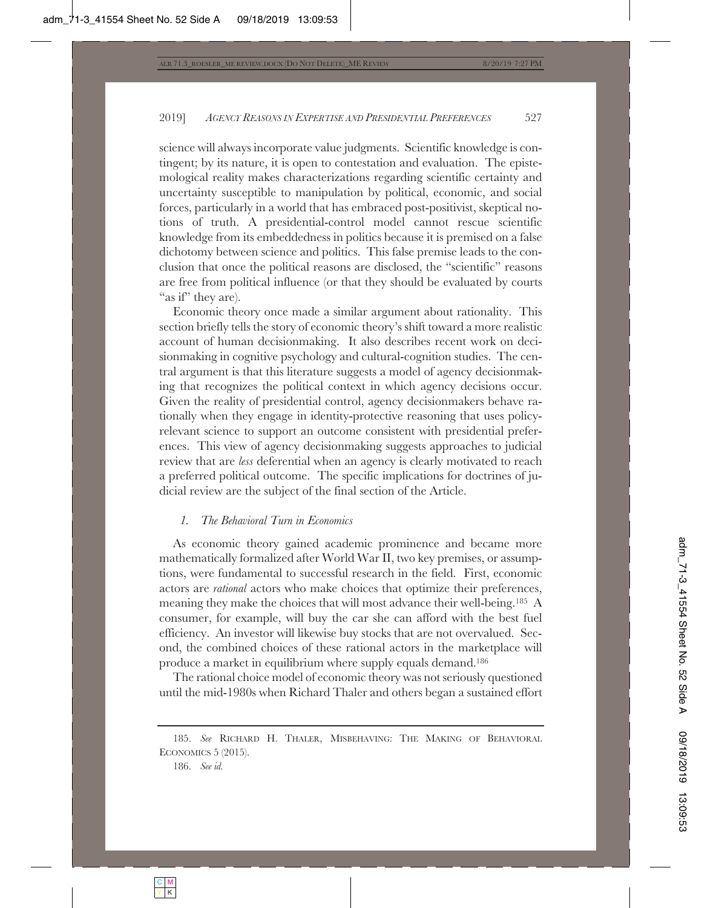science will always incorporate value judgments. Scientific knowledge is contingent; by its nature, it is open to contestation and evaluation. The epistemological reality makes characterizations regarding scientific certainty and uncertainty susceptible to manipulation by political, economic, and social forces, particularly in a world that has embraced post-positivist, skeptical notions of truth. A presidential-control model cannot rescue scientific knowledge from its embeddedness in politics because it is premised on a false dichotomy between science and politics. This false premise leads to the conclusion that once the political reasons are disclosed, the "scientific" reasons are free from political influence (or that they should be evaluated by courts "as if" they are).

Economic theory once made a similar argument about rationality. This section briefly tells the story of economic theory's shift toward a more realistic account of human decisionmaking. It also describes recent work on decisionmaking in cognitive psychology and cultural-cognition studies. The central argument is that this literature suggests a model of agency decisionmaking that recognizes the political context in which agency decisions occur. Given the reality of presidential control, agency decisionmakers behave rationally when they engage in identity-protective reasoning that uses policyrelevant science to support an outcome consistent with presidential preferences. This view of agency decisionmaking suggests approaches to judicial review that are *less* deferential when an agency is clearly motivated to reach a preferred political outcome. The specific implications for doctrines of judicial review are the subject of the final section of the Article.

# *1. The Behavioral Turn in Economics*

As economic theory gained academic prominence and became more mathematically formalized after World War II, two key premises, or assumptions, were fundamental to successful research in the field. First, economic actors are *rational* actors who make choices that optimize their preferences, meaning they make the choices that will most advance their well-being.185 A consumer, for example, will buy the car she can afford with the best fuel efficiency. An investor will likewise buy stocks that are not overvalued. Second, the combined choices of these rational actors in the marketplace will produce a market in equilibrium where supply equals demand.186

The rational choice model of economic theory was not seriously questioned until the mid-1980s when Richard Thaler and others began a sustained effort

<sup>185.</sup> *See* RICHARD H. THALER, MISBEHAVING: THE MAKING OF BEHAVIORAL ECONOMICS 5 (2015).

<sup>186.</sup> *See id.*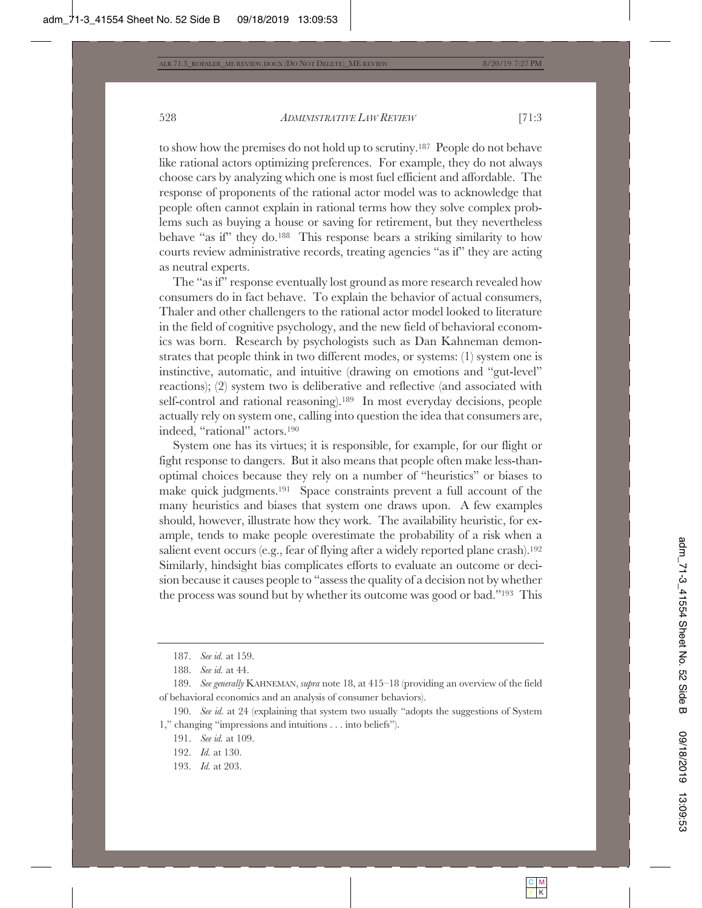to show how the premises do not hold up to scrutiny.187 People do not behave like rational actors optimizing preferences. For example, they do not always choose cars by analyzing which one is most fuel efficient and affordable. The response of proponents of the rational actor model was to acknowledge that people often cannot explain in rational terms how they solve complex problems such as buying a house or saving for retirement, but they nevertheless behave "as if" they do.188 This response bears a striking similarity to how courts review administrative records, treating agencies "as if" they are acting as neutral experts.

The "as if" response eventually lost ground as more research revealed how consumers do in fact behave. To explain the behavior of actual consumers, Thaler and other challengers to the rational actor model looked to literature in the field of cognitive psychology, and the new field of behavioral economics was born. Research by psychologists such as Dan Kahneman demonstrates that people think in two different modes, or systems: (1) system one is instinctive, automatic, and intuitive (drawing on emotions and "gut-level" reactions); (2) system two is deliberative and reflective (and associated with self-control and rational reasoning).189 In most everyday decisions, people actually rely on system one, calling into question the idea that consumers are, indeed, "rational" actors.190

System one has its virtues; it is responsible, for example, for our flight or fight response to dangers. But it also means that people often make less-thanoptimal choices because they rely on a number of "heuristics" or biases to make quick judgments.191 Space constraints prevent a full account of the many heuristics and biases that system one draws upon. A few examples should, however, illustrate how they work. The availability heuristic, for example, tends to make people overestimate the probability of a risk when a salient event occurs (e.g., fear of flying after a widely reported plane crash).192 Similarly, hindsight bias complicates efforts to evaluate an outcome or decision because it causes people to "assess the quality of a decision not by whether the process was sound but by whether its outcome was good or bad."193 This

193. *Id.* at 203.

<sup>187.</sup> *See id.* at 159.

<sup>188.</sup> *See id.* at 44.

<sup>189.</sup> *See generally* KAHNEMAN, *supra* note 18, at 415–18 (providing an overview of the field of behavioral economics and an analysis of consumer behaviors).

<sup>190.</sup> *See id.* at 24 (explaining that system two usually "adopts the suggestions of System 1," changing "impressions and intuitions . . . into beliefs").

<sup>191.</sup> *See id.* at 109.

<sup>192.</sup> *Id.* at 130.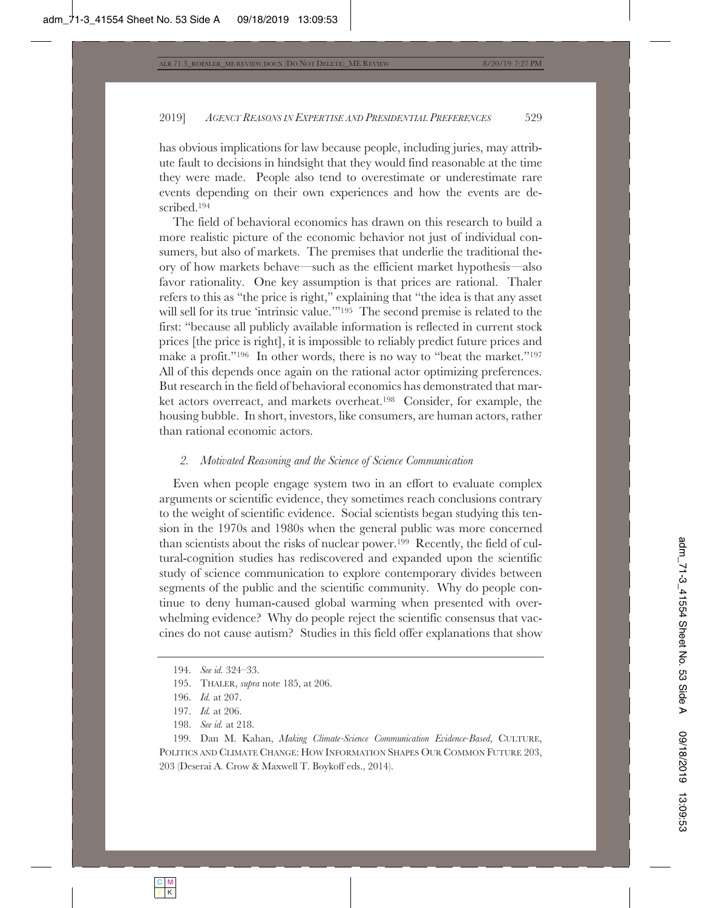has obvious implications for law because people, including juries, may attribute fault to decisions in hindsight that they would find reasonable at the time they were made. People also tend to overestimate or underestimate rare events depending on their own experiences and how the events are described.194

The field of behavioral economics has drawn on this research to build a more realistic picture of the economic behavior not just of individual consumers, but also of markets. The premises that underlie the traditional theory of how markets behave—such as the efficient market hypothesis—also favor rationality. One key assumption is that prices are rational. Thaler refers to this as "the price is right," explaining that "the idea is that any asset will sell for its true 'intrinsic value.'"<sup>195</sup> The second premise is related to the first: "because all publicly available information is reflected in current stock prices [the price is right], it is impossible to reliably predict future prices and make a profit."196 In other words, there is no way to "beat the market."197 All of this depends once again on the rational actor optimizing preferences. But research in the field of behavioral economics has demonstrated that market actors overreact, and markets overheat.198 Consider, for example, the housing bubble. In short, investors, like consumers, are human actors, rather than rational economic actors.

## *2. Motivated Reasoning and the Science of Science Communication*

Even when people engage system two in an effort to evaluate complex arguments or scientific evidence, they sometimes reach conclusions contrary to the weight of scientific evidence. Social scientists began studying this tension in the 1970s and 1980s when the general public was more concerned than scientists about the risks of nuclear power.199 Recently, the field of cultural-cognition studies has rediscovered and expanded upon the scientific study of science communication to explore contemporary divides between segments of the public and the scientific community. Why do people continue to deny human-caused global warming when presented with overwhelming evidence? Why do people reject the scientific consensus that vaccines do not cause autism? Studies in this field offer explanations that show

198. *See id.* at 218.

199. Dan M. Kahan, *Making Climate-Science Communication Evidence-Based*, CULTURE, POLITICS AND CLIMATE CHANGE: HOW INFORMATION SHAPES OUR COMMON FUTURE 203, 203 (Deserai A. Crow & Maxwell T. Boykoff eds., 2014).

<sup>194.</sup> *See id.* 324–33.

<sup>195.</sup> THALER, *supra* note 185, at 206.

<sup>196.</sup> *Id.* at 207.

<sup>197.</sup> *Id.* at 206.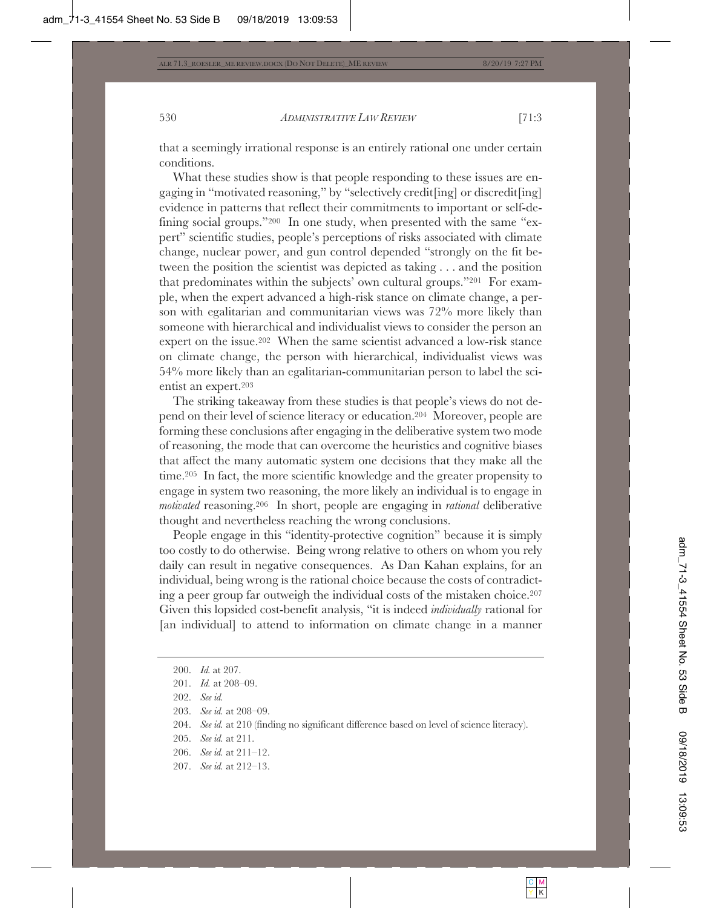that a seemingly irrational response is an entirely rational one under certain conditions.

What these studies show is that people responding to these issues are engaging in "motivated reasoning," by "selectively credit[ing] or discredit[ing] evidence in patterns that reflect their commitments to important or self-defining social groups."200 In one study, when presented with the same "expert" scientific studies, people's perceptions of risks associated with climate change, nuclear power, and gun control depended "strongly on the fit between the position the scientist was depicted as taking . . . and the position that predominates within the subjects' own cultural groups."201 For example, when the expert advanced a high-risk stance on climate change, a person with egalitarian and communitarian views was 72% more likely than someone with hierarchical and individualist views to consider the person an expert on the issue.202 When the same scientist advanced a low-risk stance on climate change, the person with hierarchical, individualist views was 54% more likely than an egalitarian-communitarian person to label the scientist an expert.203

The striking takeaway from these studies is that people's views do not depend on their level of science literacy or education.204 Moreover, people are forming these conclusions after engaging in the deliberative system two mode of reasoning, the mode that can overcome the heuristics and cognitive biases that affect the many automatic system one decisions that they make all the time.205 In fact, the more scientific knowledge and the greater propensity to engage in system two reasoning, the more likely an individual is to engage in *motivated* reasoning.206 In short, people are engaging in *rational* deliberative thought and nevertheless reaching the wrong conclusions.

People engage in this "identity-protective cognition" because it is simply too costly to do otherwise. Being wrong relative to others on whom you rely daily can result in negative consequences. As Dan Kahan explains, for an individual, being wrong is the rational choice because the costs of contradicting a peer group far outweigh the individual costs of the mistaken choice.207 Given this lopsided cost-benefit analysis, "it is indeed *individually* rational for [an individual] to attend to information on climate change in a manner

- 205. *See id.* at 211.
- 206. *See id.* at 211–12.
- 207. *See id.* at 212–13.

<sup>200.</sup> *Id.* at 207.

<sup>201.</sup> *Id.* at 208–09.

<sup>202.</sup> *See id.*

<sup>203.</sup> *See id.* at 208–09.

<sup>204.</sup> *See id.* at 210 (finding no significant difference based on level of science literacy).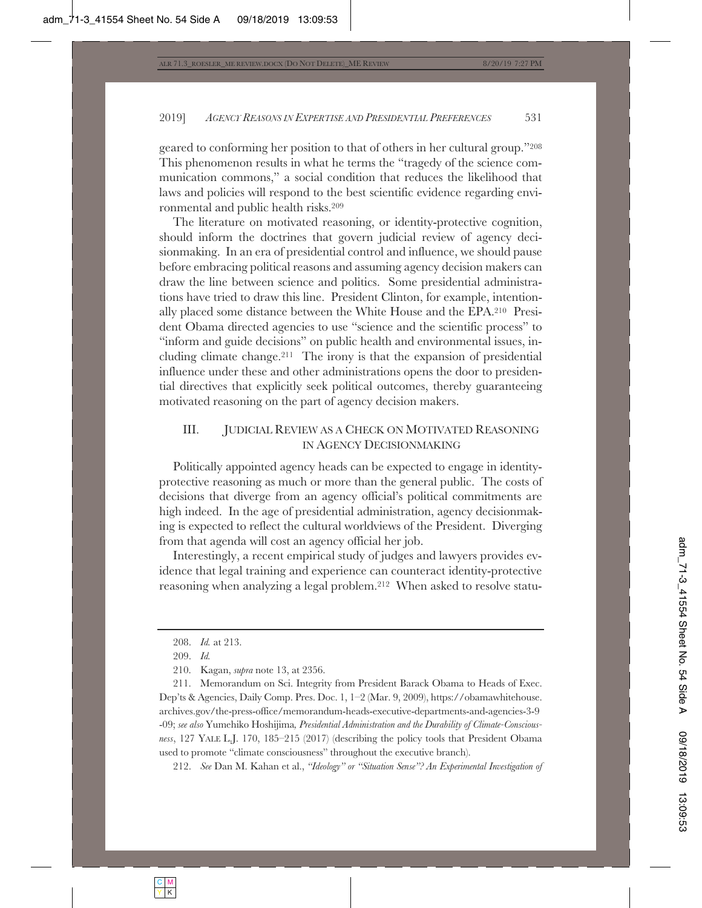geared to conforming her position to that of others in her cultural group."208 This phenomenon results in what he terms the "tragedy of the science communication commons," a social condition that reduces the likelihood that laws and policies will respond to the best scientific evidence regarding environmental and public health risks.209

The literature on motivated reasoning, or identity-protective cognition, should inform the doctrines that govern judicial review of agency decisionmaking. In an era of presidential control and influence, we should pause before embracing political reasons and assuming agency decision makers can draw the line between science and politics. Some presidential administrations have tried to draw this line. President Clinton, for example, intentionally placed some distance between the White House and the EPA.210 President Obama directed agencies to use "science and the scientific process" to "inform and guide decisions" on public health and environmental issues, including climate change.211 The irony is that the expansion of presidential influence under these and other administrations opens the door to presidential directives that explicitly seek political outcomes, thereby guaranteeing motivated reasoning on the part of agency decision makers.

# III. JUDICIAL REVIEW AS A CHECK ON MOTIVATED REASONING IN AGENCY DECISIONMAKING

Politically appointed agency heads can be expected to engage in identityprotective reasoning as much or more than the general public. The costs of decisions that diverge from an agency official's political commitments are high indeed. In the age of presidential administration, agency decisionmaking is expected to reflect the cultural worldviews of the President. Diverging from that agenda will cost an agency official her job.

Interestingly, a recent empirical study of judges and lawyers provides evidence that legal training and experience can counteract identity-protective reasoning when analyzing a legal problem.212 When asked to resolve statu-

211. Memorandum on Sci. Integrity from President Barack Obama to Heads of Exec. Dep'ts & Agencies, Daily Comp. Pres. Doc. 1, 1–2 (Mar. 9, 2009), https://obamawhitehouse. archives.gov/the-press-office/memorandum-heads-executive-departments-and-agencies-3-9 -09; *see also* Yumehiko Hoshijima*, Presidential Administration and the Durability of Climate-Consciousness*, 127 YALE L.J. 170, 185–215 (2017) (describing the policy tools that President Obama used to promote "climate consciousness" throughout the executive branch).

212. *See* Dan M. Kahan et al., *"Ideology" or "Situation Sense"? An Experimental Investigation of* 

<sup>208.</sup> *Id.* at 213.

<sup>209.</sup> *Id.*

<sup>210.</sup> Kagan, *supra* note 13, at 2356.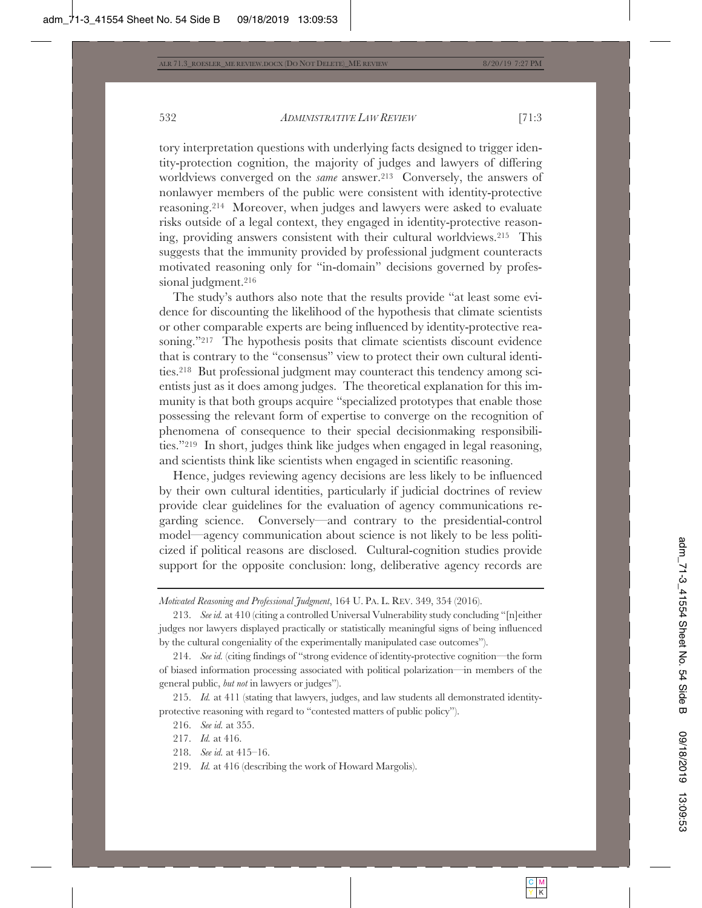tory interpretation questions with underlying facts designed to trigger identity-protection cognition, the majority of judges and lawyers of differing worldviews converged on the *same* answer.<sup>213</sup> Conversely, the answers of nonlawyer members of the public were consistent with identity-protective reasoning.214 Moreover, when judges and lawyers were asked to evaluate risks outside of a legal context, they engaged in identity-protective reasoning, providing answers consistent with their cultural worldviews.215 This suggests that the immunity provided by professional judgment counteracts motivated reasoning only for "in-domain" decisions governed by professional judgment.<sup>216</sup>

The study's authors also note that the results provide "at least some evidence for discounting the likelihood of the hypothesis that climate scientists or other comparable experts are being influenced by identity-protective reasoning."217 The hypothesis posits that climate scientists discount evidence that is contrary to the "consensus" view to protect their own cultural identities.218 But professional judgment may counteract this tendency among scientists just as it does among judges. The theoretical explanation for this immunity is that both groups acquire "specialized prototypes that enable those possessing the relevant form of expertise to converge on the recognition of phenomena of consequence to their special decisionmaking responsibilities."219 In short, judges think like judges when engaged in legal reasoning, and scientists think like scientists when engaged in scientific reasoning.

Hence, judges reviewing agency decisions are less likely to be influenced by their own cultural identities, particularly if judicial doctrines of review provide clear guidelines for the evaluation of agency communications regarding science. Conversely—and contrary to the presidential-control model—agency communication about science is not likely to be less politicized if political reasons are disclosed. Cultural-cognition studies provide support for the opposite conclusion: long, deliberative agency records are

215. *Id.* at 411 (stating that lawyers, judges, and law students all demonstrated identityprotective reasoning with regard to "contested matters of public policy").

- 218. *See id.* at 415–16.
- 219. *Id.* at 416 (describing the work of Howard Margolis).

*Motivated Reasoning and Professional Judgment*, 164 U. PA. L. REV. 349, 354 (2016).

<sup>213.</sup> *See id.* at 410 (citing a controlled Universal Vulnerability study concluding "[n]either judges nor lawyers displayed practically or statistically meaningful signs of being influenced by the cultural congeniality of the experimentally manipulated case outcomes").

<sup>214.</sup> *See id.* (citing findings of "strong evidence of identity-protective cognition—the form of biased information processing associated with political polarization—in members of the general public, *but not* in lawyers or judges").

<sup>216.</sup> *See id.* at 355.

<sup>217.</sup> *Id.* at 416.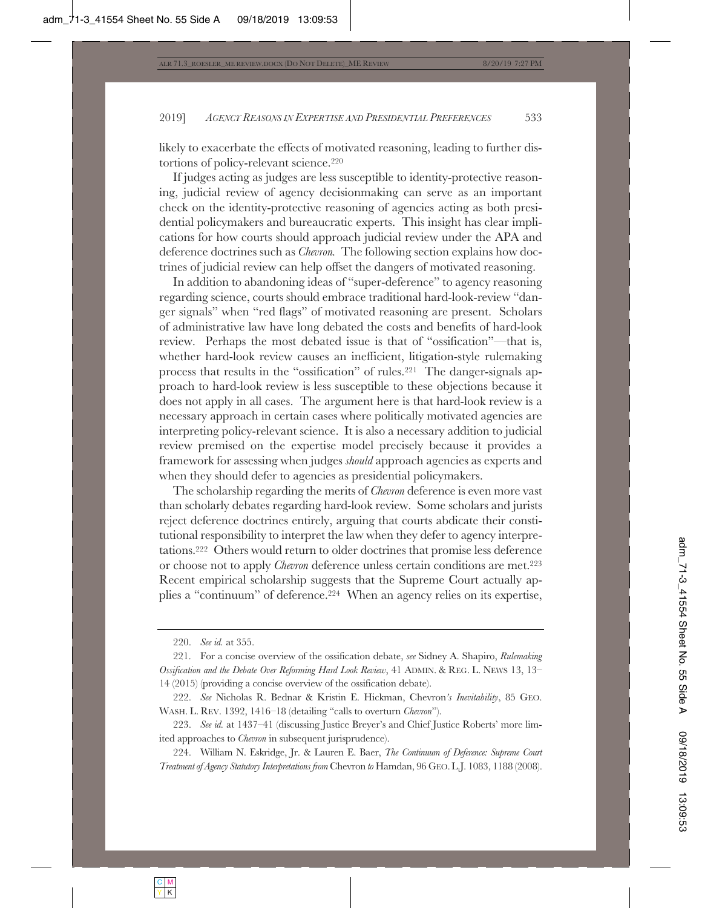likely to exacerbate the effects of motivated reasoning, leading to further distortions of policy-relevant science.220

If judges acting as judges are less susceptible to identity-protective reasoning, judicial review of agency decisionmaking can serve as an important check on the identity-protective reasoning of agencies acting as both presidential policymakers and bureaucratic experts. This insight has clear implications for how courts should approach judicial review under the APA and deference doctrines such as *Chevron.* The following section explains how doctrines of judicial review can help offset the dangers of motivated reasoning.

In addition to abandoning ideas of "super-deference" to agency reasoning regarding science, courts should embrace traditional hard-look-review "danger signals" when "red flags" of motivated reasoning are present. Scholars of administrative law have long debated the costs and benefits of hard-look review. Perhaps the most debated issue is that of "ossification"—that is, whether hard-look review causes an inefficient, litigation-style rulemaking process that results in the "ossification" of rules.221 The danger-signals approach to hard-look review is less susceptible to these objections because it does not apply in all cases. The argument here is that hard-look review is a necessary approach in certain cases where politically motivated agencies are interpreting policy-relevant science. It is also a necessary addition to judicial review premised on the expertise model precisely because it provides a framework for assessing when judges *should* approach agencies as experts and when they should defer to agencies as presidential policymakers.

The scholarship regarding the merits of *Chevron* deference is even more vast than scholarly debates regarding hard-look review. Some scholars and jurists reject deference doctrines entirely, arguing that courts abdicate their constitutional responsibility to interpret the law when they defer to agency interpretations.222 Others would return to older doctrines that promise less deference or choose not to apply *Chevron* deference unless certain conditions are met.<sup>223</sup> Recent empirical scholarship suggests that the Supreme Court actually applies a "continuum" of deference.224 When an agency relies on its expertise,

<sup>220.</sup> *See id.* at 355.

<sup>221.</sup> For a concise overview of the ossification debate, *see* Sidney A. Shapiro, *Rulemaking Ossification and the Debate Over Reforming Hard Look Review*, 41 ADMIN. & REG. L. NEWS 13, 13– 14 (2015) (providing a concise overview of the ossification debate).

<sup>222.</sup> *See* Nicholas R. Bednar & Kristin E. Hickman, Chevron*'s Inevitability*, 85 GEO. WASH. L. REV. 1392, 1416–18 (detailing "calls to overturn *Chevron*").

<sup>223.</sup> *See id.* at 1437–41 (discussing Justice Breyer's and Chief Justice Roberts' more limited approaches to *Chevron* in subsequent jurisprudence).

<sup>224.</sup> William N. Eskridge, Jr. & Lauren E. Baer, *The Continuum of Deference: Supreme Court Treatment of Agency Statutory Interpretations from* Chevron *to* Hamdan, 96 GEO. L.J. 1083, 1188 (2008).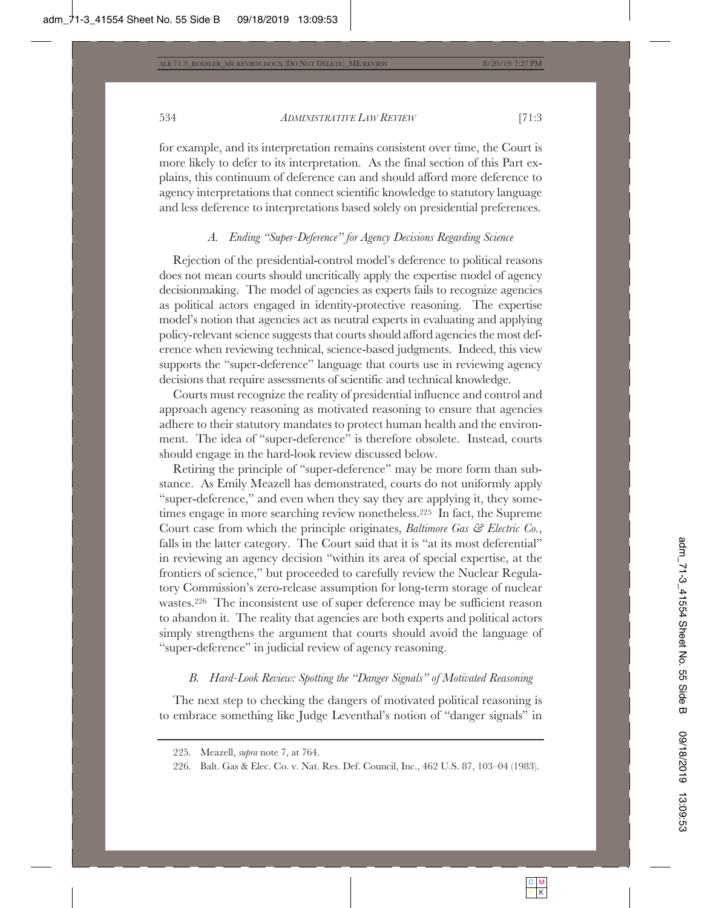for example, and its interpretation remains consistent over time, the Court is more likely to defer to its interpretation. As the final section of this Part explains, this continuum of deference can and should afford more deference to agency interpretations that connect scientific knowledge to statutory language and less deference to interpretations based solely on presidential preferences.

# *A. Ending "Super-Deference" for Agency Decisions Regarding Science*

Rejection of the presidential-control model's deference to political reasons does not mean courts should uncritically apply the expertise model of agency decisionmaking. The model of agencies as experts fails to recognize agencies as political actors engaged in identity-protective reasoning. The expertise model's notion that agencies act as neutral experts in evaluating and applying policy-relevant science suggests that courts should afford agencies the most deference when reviewing technical, science-based judgments. Indeed, this view supports the "super-deference" language that courts use in reviewing agency decisions that require assessments of scientific and technical knowledge.

Courts must recognize the reality of presidential influence and control and approach agency reasoning as motivated reasoning to ensure that agencies adhere to their statutory mandates to protect human health and the environment. The idea of "super-deference" is therefore obsolete. Instead, courts should engage in the hard-look review discussed below.

Retiring the principle of "super-deference" may be more form than substance. As Emily Meazell has demonstrated, courts do not uniformly apply "super-deference," and even when they say they are applying it, they sometimes engage in more searching review nonetheless.225 In fact, the Supreme Court case from which the principle originates, *Baltimore Gas & Electric Co.*, falls in the latter category. The Court said that it is "at its most deferential" in reviewing an agency decision "within its area of special expertise, at the frontiers of science," but proceeded to carefully review the Nuclear Regulatory Commission's zero-release assumption for long-term storage of nuclear wastes.226 The inconsistent use of super deference may be sufficient reason to abandon it. The reality that agencies are both experts and political actors simply strengthens the argument that courts should avoid the language of "super-deference" in judicial review of agency reasoning.

# *B. Hard-Look Review: Spotting the "Danger Signals" of Motivated Reasoning*

The next step to checking the dangers of motivated political reasoning is to embrace something like Judge Leventhal's notion of "danger signals" in

<sup>225.</sup> Meazell, *supra* note 7, at 764.

<sup>226.</sup> Balt. Gas & Elec. Co. v. Nat. Res. Def. Council, Inc., 462 U.S. 87, 103–04 (1983).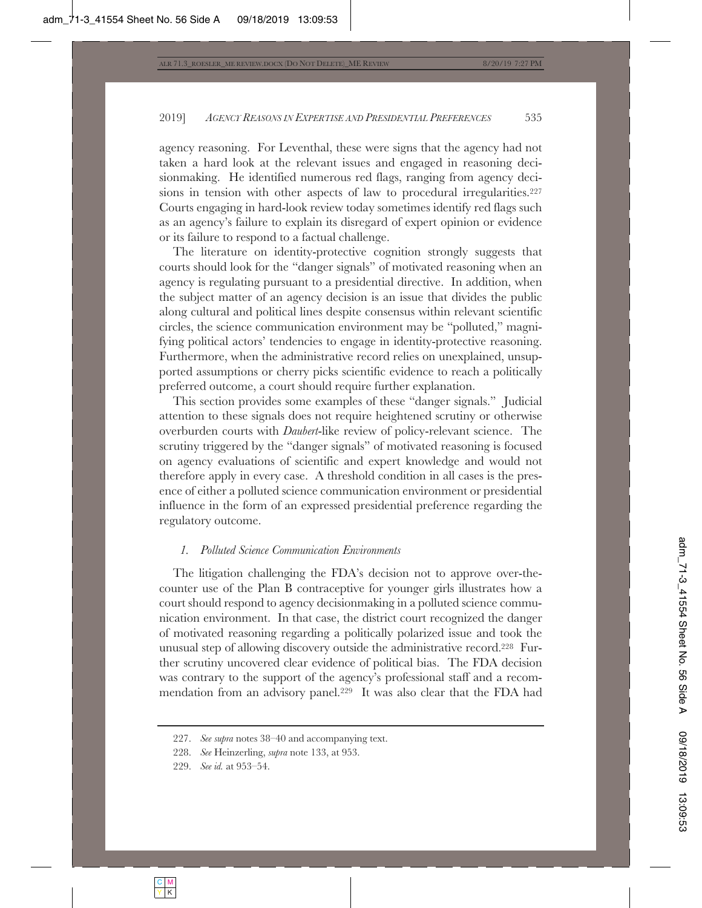agency reasoning. For Leventhal, these were signs that the agency had not taken a hard look at the relevant issues and engaged in reasoning decisionmaking. He identified numerous red flags, ranging from agency decisions in tension with other aspects of law to procedural irregularities.<sup>227</sup> Courts engaging in hard-look review today sometimes identify red flags such as an agency's failure to explain its disregard of expert opinion or evidence or its failure to respond to a factual challenge.

The literature on identity-protective cognition strongly suggests that courts should look for the "danger signals" of motivated reasoning when an agency is regulating pursuant to a presidential directive. In addition, when the subject matter of an agency decision is an issue that divides the public along cultural and political lines despite consensus within relevant scientific circles, the science communication environment may be "polluted," magnifying political actors' tendencies to engage in identity-protective reasoning. Furthermore, when the administrative record relies on unexplained, unsupported assumptions or cherry picks scientific evidence to reach a politically preferred outcome, a court should require further explanation.

This section provides some examples of these "danger signals." Judicial attention to these signals does not require heightened scrutiny or otherwise overburden courts with *Daubert*-like review of policy-relevant science. The scrutiny triggered by the "danger signals" of motivated reasoning is focused on agency evaluations of scientific and expert knowledge and would not therefore apply in every case. A threshold condition in all cases is the presence of either a polluted science communication environment or presidential influence in the form of an expressed presidential preference regarding the regulatory outcome.

## *1. Polluted Science Communication Environments*

The litigation challenging the FDA's decision not to approve over-thecounter use of the Plan B contraceptive for younger girls illustrates how a court should respond to agency decisionmaking in a polluted science communication environment. In that case, the district court recognized the danger of motivated reasoning regarding a politically polarized issue and took the unusual step of allowing discovery outside the administrative record.228 Further scrutiny uncovered clear evidence of political bias. The FDA decision was contrary to the support of the agency's professional staff and a recommendation from an advisory panel.229 It was also clear that the FDA had

<sup>227.</sup> *See supra* notes 38–40 and accompanying text.

<sup>228.</sup> *See* Heinzerling, *supra* note 133, at 953.

<sup>229.</sup> *See id.* at 953–54.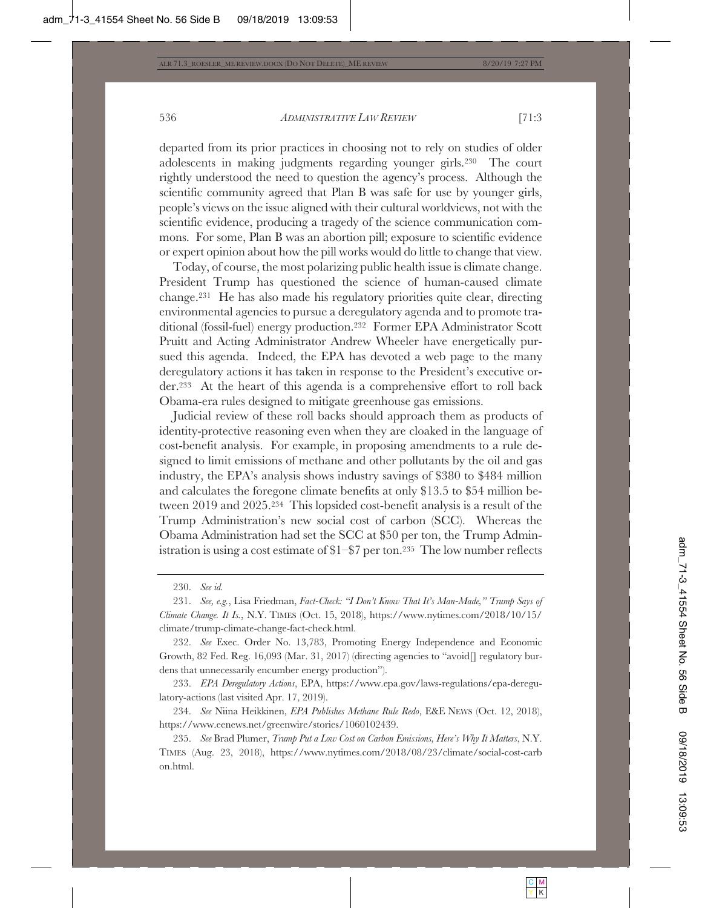departed from its prior practices in choosing not to rely on studies of older adolescents in making judgments regarding younger girls.230 The court rightly understood the need to question the agency's process. Although the scientific community agreed that Plan B was safe for use by younger girls, people's views on the issue aligned with their cultural worldviews, not with the scientific evidence, producing a tragedy of the science communication commons. For some, Plan B was an abortion pill; exposure to scientific evidence or expert opinion about how the pill works would do little to change that view.

Today, of course, the most polarizing public health issue is climate change. President Trump has questioned the science of human-caused climate change.231 He has also made his regulatory priorities quite clear, directing environmental agencies to pursue a deregulatory agenda and to promote traditional (fossil-fuel) energy production.232 Former EPA Administrator Scott Pruitt and Acting Administrator Andrew Wheeler have energetically pursued this agenda. Indeed, the EPA has devoted a web page to the many deregulatory actions it has taken in response to the President's executive order.233 At the heart of this agenda is a comprehensive effort to roll back Obama-era rules designed to mitigate greenhouse gas emissions.

Judicial review of these roll backs should approach them as products of identity-protective reasoning even when they are cloaked in the language of cost-benefit analysis. For example, in proposing amendments to a rule designed to limit emissions of methane and other pollutants by the oil and gas industry, the EPA's analysis shows industry savings of \$380 to \$484 million and calculates the foregone climate benefits at only \$13.5 to \$54 million between 2019 and 2025.234 This lopsided cost-benefit analysis is a result of the Trump Administration's new social cost of carbon (SCC). Whereas the Obama Administration had set the SCC at \$50 per ton, the Trump Administration is using a cost estimate of \$1–\$7 per ton.235 The low number reflects

233. *EPA Deregulatory Actions*, EPA, https://www.epa.gov/laws-regulations/epa-deregulatory-actions (last visited Apr. 17, 2019).

234. *See* Niina Heikkinen, *EPA Publishes Methane Rule Redo*, E&E NEWS (Oct. 12, 2018), https://www.eenews.net/greenwire/stories/1060102439.

235. *See* Brad Plumer, *Trump Put a Low Cost on Carbon Emissions, Here's Why It Matters*, N.Y. TIMES (Aug. 23, 2018), https://www.nytimes.com/2018/08/23/climate/social-cost-carb on.html.

<sup>230.</sup> *See id.*

<sup>231.</sup> *See, e.g.*, Lisa Friedman, *Fact-Check: "I Don't Know That It's Man-Made," Trump Says of Climate Change. It Is.*, N.Y. TIMES (Oct. 15, 2018), https://www.nytimes.com/2018/10/15/ climate/trump-climate-change-fact-check.html.

<sup>232.</sup> *See* Exec. Order No. 13,783, Promoting Energy Independence and Economic Growth, 82 Fed. Reg. 16,093 (Mar. 31, 2017) (directing agencies to "avoid  $\Box$  regulatory burdens that unnecessarily encumber energy production").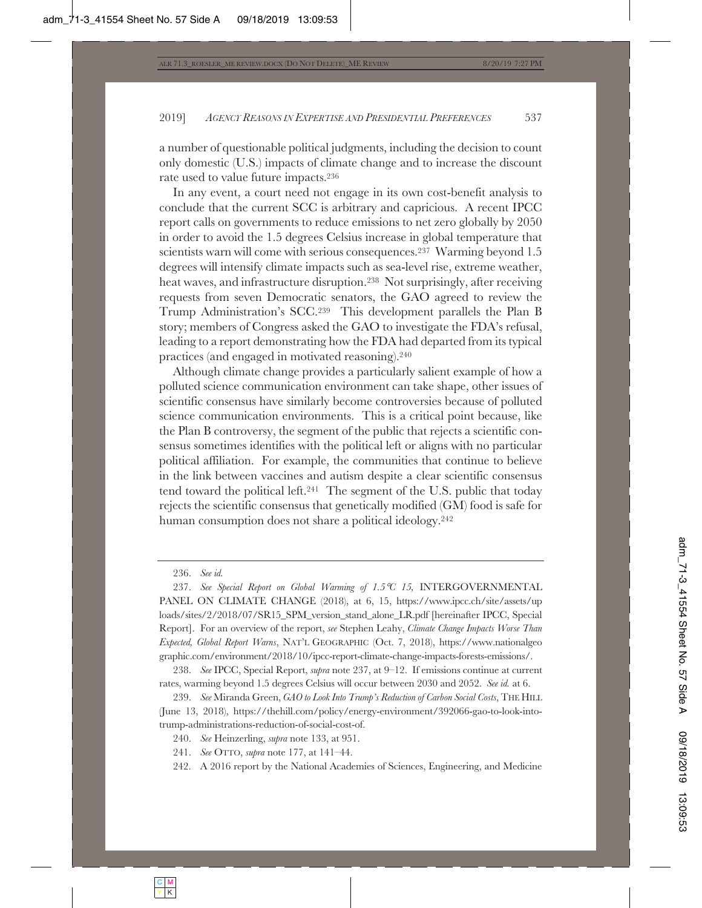a number of questionable political judgments, including the decision to count only domestic (U.S.) impacts of climate change and to increase the discount rate used to value future impacts.236

In any event, a court need not engage in its own cost-benefit analysis to conclude that the current SCC is arbitrary and capricious. A recent IPCC report calls on governments to reduce emissions to net zero globally by 2050 in order to avoid the 1.5 degrees Celsius increase in global temperature that scientists warn will come with serious consequences.237 Warming beyond 1.5 degrees will intensify climate impacts such as sea-level rise, extreme weather, heat waves, and infrastructure disruption.238 Not surprisingly, after receiving requests from seven Democratic senators, the GAO agreed to review the Trump Administration's SCC.239 This development parallels the Plan B story; members of Congress asked the GAO to investigate the FDA's refusal, leading to a report demonstrating how the FDA had departed from its typical practices (and engaged in motivated reasoning).240

Although climate change provides a particularly salient example of how a polluted science communication environment can take shape, other issues of scientific consensus have similarly become controversies because of polluted science communication environments. This is a critical point because, like the Plan B controversy, the segment of the public that rejects a scientific consensus sometimes identifies with the political left or aligns with no particular political affiliation. For example, the communities that continue to believe in the link between vaccines and autism despite a clear scientific consensus tend toward the political left.241 The segment of the U.S. public that today rejects the scientific consensus that genetically modified (GM) food is safe for human consumption does not share a political ideology.242

242. A 2016 report by the National Academies of Sciences, Engineering, and Medicine

<sup>236.</sup> *See id.*

<sup>237.</sup> *See Special Report on Global Warming of 1.5*°*C 15,* INTERGOVERNMENTAL PANEL ON CLIMATE CHANGE (2018), at 6, 15, https://www.ipcc.ch/site/assets/up loads/sites/2/2018/07/SR15\_SPM\_version\_stand\_alone\_LR.pdf [hereinafter IPCC, Special Report]. For an overview of the report, *see* Stephen Leahy, *Climate Change Impacts Worse Than Expected, Global Report Warns*, NAT'L GEOGRAPHIC (Oct. 7, 2018), https://www.nationalgeo graphic.com/environment/2018/10/ipcc-report-climate-change-impacts-forests-emissions/.

<sup>238.</sup> *See* IPCC, Special Report, *supra* note 237, at 9–12. If emissions continue at current rates, warming beyond 1.5 degrees Celsius will occur between 2030 and 2052. *See id.* at 6.

<sup>239.</sup> *See* Miranda Green, *GAO to Look Into Trump's Reduction of Carbon Social Costs*, THE HILL (June 13, 2018), https://thehill.com/policy/energy-environment/392066-gao-to-look-intotrump-administrations-reduction-of-social-cost-of.

<sup>240.</sup> *See* Heinzerling, *supra* note 133, at 951.

<sup>241.</sup> *See* OTTO, *supra* note 177, at 141–44.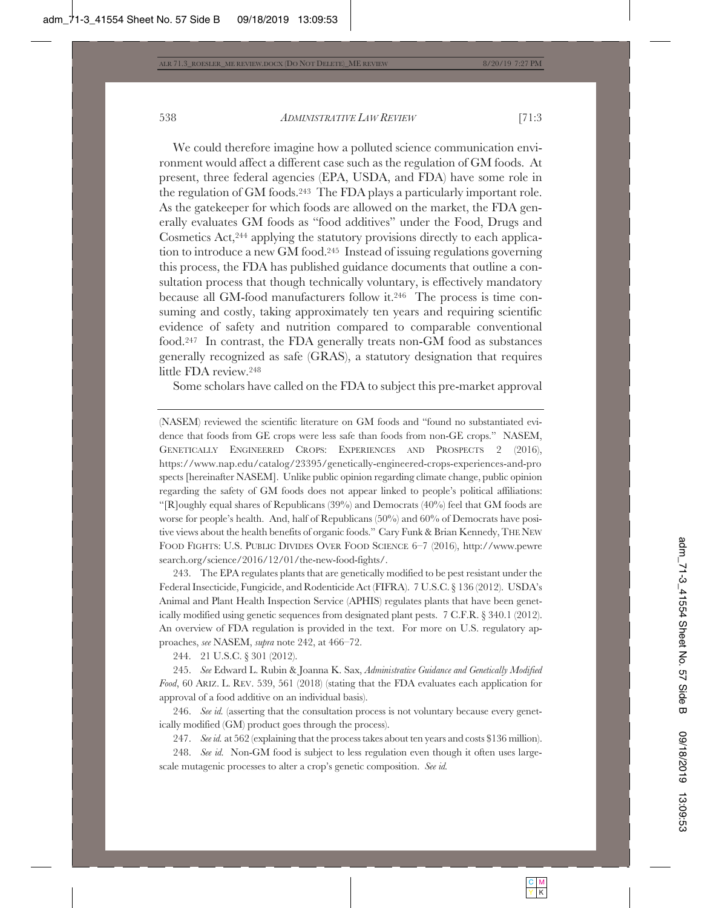We could therefore imagine how a polluted science communication environment would affect a different case such as the regulation of GM foods. At present, three federal agencies (EPA, USDA, and FDA) have some role in the regulation of GM foods.243 The FDA plays a particularly important role. As the gatekeeper for which foods are allowed on the market, the FDA generally evaluates GM foods as "food additives" under the Food, Drugs and Cosmetics Act,244 applying the statutory provisions directly to each application to introduce a new GM food.245 Instead of issuing regulations governing this process, the FDA has published guidance documents that outline a consultation process that though technically voluntary, is effectively mandatory because all GM-food manufacturers follow it.246 The process is time consuming and costly, taking approximately ten years and requiring scientific evidence of safety and nutrition compared to comparable conventional food.247 In contrast, the FDA generally treats non-GM food as substances generally recognized as safe (GRAS), a statutory designation that requires little FDA review.248

Some scholars have called on the FDA to subject this pre-market approval

(NASEM) reviewed the scientific literature on GM foods and "found no substantiated evidence that foods from GE crops were less safe than foods from non-GE crops." NASEM, GENETICALLY ENGINEERED CROPS: EXPERIENCES AND PROSPECTS 2 (2016), https://www.nap.edu/catalog/23395/genetically-engineered-crops-experiences-and-pro spects [hereinafter NASEM]. Unlike public opinion regarding climate change, public opinion regarding the safety of GM foods does not appear linked to people's political affiliations: "[R]oughly equal shares of Republicans  $(39%)$  and Democrats  $(40%)$  feel that GM foods are worse for people's health. And, half of Republicans (50%) and 60% of Democrats have positive views about the health benefits of organic foods." Cary Funk & Brian Kennedy, THE NEW FOOD FIGHTS: U.S. PUBLIC DIVIDES OVER FOOD SCIENCE 6–7 (2016), http://www.pewre search.org/science/2016/12/01/the-new-food-fights/.

243. The EPA regulates plants that are genetically modified to be pest resistant under the Federal Insecticide, Fungicide, and Rodenticide Act (FIFRA). 7 U.S.C. § 136 (2012). USDA's Animal and Plant Health Inspection Service (APHIS) regulates plants that have been genetically modified using genetic sequences from designated plant pests. 7 C.F.R. § 340.1 (2012). An overview of FDA regulation is provided in the text. For more on U.S. regulatory approaches, *see* NASEM, *supra* note 242, at 466–72.

244. 21 U.S.C. § 301 (2012).

245. *See* Edward L. Rubin & Joanna K. Sax, *Administrative Guidance and Genetically Modified Food*, 60 ARIZ. L. REV. 539, 561 (2018) (stating that the FDA evaluates each application for approval of a food additive on an individual basis).

246. *See id.* (asserting that the consultation process is not voluntary because every genetically modified (GM) product goes through the process).

247. *See id.* at 562 (explaining that the process takes about ten years and costs \$136 million).

248. *See id.* Non-GM food is subject to less regulation even though it often uses largescale mutagenic processes to alter a crop's genetic composition. *See id.*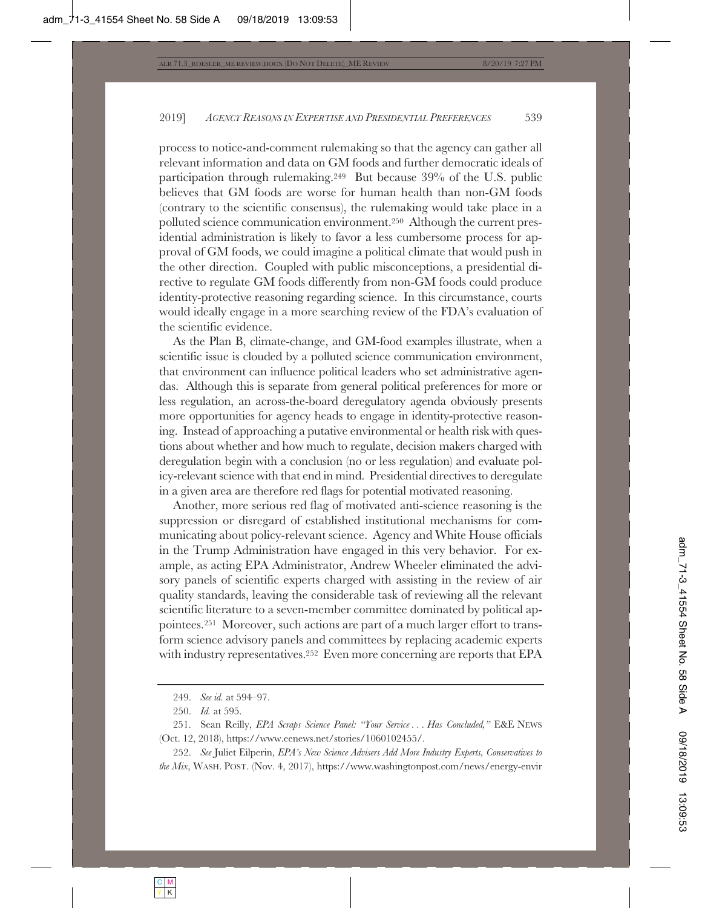process to notice-and-comment rulemaking so that the agency can gather all relevant information and data on GM foods and further democratic ideals of participation through rulemaking.249 But because 39% of the U.S. public believes that GM foods are worse for human health than non-GM foods (contrary to the scientific consensus), the rulemaking would take place in a polluted science communication environment.250 Although the current presidential administration is likely to favor a less cumbersome process for approval of GM foods, we could imagine a political climate that would push in the other direction. Coupled with public misconceptions, a presidential directive to regulate GM foods differently from non-GM foods could produce identity-protective reasoning regarding science. In this circumstance, courts would ideally engage in a more searching review of the FDA's evaluation of the scientific evidence.

As the Plan B, climate-change, and GM-food examples illustrate, when a scientific issue is clouded by a polluted science communication environment, that environment can influence political leaders who set administrative agendas. Although this is separate from general political preferences for more or less regulation, an across-the-board deregulatory agenda obviously presents more opportunities for agency heads to engage in identity-protective reasoning. Instead of approaching a putative environmental or health risk with questions about whether and how much to regulate, decision makers charged with deregulation begin with a conclusion (no or less regulation) and evaluate policy-relevant science with that end in mind. Presidential directives to deregulate in a given area are therefore red flags for potential motivated reasoning.

Another, more serious red flag of motivated anti-science reasoning is the suppression or disregard of established institutional mechanisms for communicating about policy-relevant science. Agency and White House officials in the Trump Administration have engaged in this very behavior. For example, as acting EPA Administrator, Andrew Wheeler eliminated the advisory panels of scientific experts charged with assisting in the review of air quality standards, leaving the considerable task of reviewing all the relevant scientific literature to a seven-member committee dominated by political appointees.251 Moreover, such actions are part of a much larger effort to transform science advisory panels and committees by replacing academic experts with industry representatives.<sup>252</sup> Even more concerning are reports that EPA

252. *See* Juliet Eilperin, *EPA's New Science Advisers Add More Industry Experts, Conservatives to the Mix*, WASH. POST. (Nov. 4, 2017), https://www.washingtonpost.com/news/energy-envir

<sup>249.</sup> *See id.* at 594–97.

<sup>250.</sup> *Id.* at 595.

<sup>251.</sup> Sean Reilly, *EPA Scraps Science Panel: "Your Service . . . Has Concluded,"* E&E NEWS (Oct. 12, 2018), https://www.eenews.net/stories/1060102455/.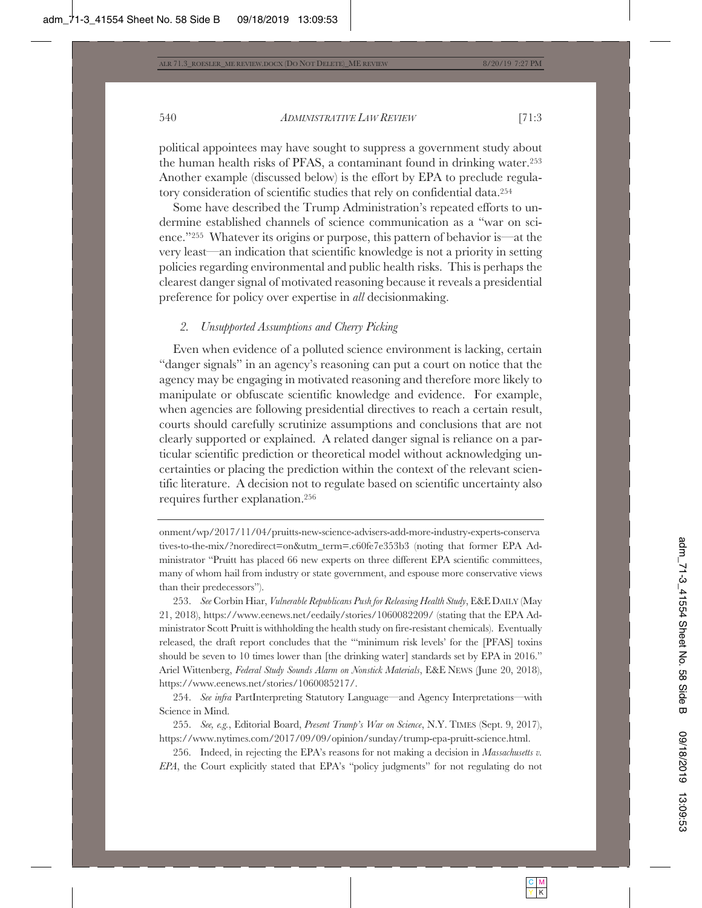political appointees may have sought to suppress a government study about the human health risks of PFAS, a contaminant found in drinking water.253 Another example (discussed below) is the effort by EPA to preclude regulatory consideration of scientific studies that rely on confidential data.254

Some have described the Trump Administration's repeated efforts to undermine established channels of science communication as a "war on science."255 Whatever its origins or purpose, this pattern of behavior is—at the very least—an indication that scientific knowledge is not a priority in setting policies regarding environmental and public health risks. This is perhaps the clearest danger signal of motivated reasoning because it reveals a presidential preference for policy over expertise in *all* decisionmaking.

## *2. Unsupported Assumptions and Cherry Picking*

Even when evidence of a polluted science environment is lacking, certain "danger signals" in an agency's reasoning can put a court on notice that the agency may be engaging in motivated reasoning and therefore more likely to manipulate or obfuscate scientific knowledge and evidence. For example, when agencies are following presidential directives to reach a certain result, courts should carefully scrutinize assumptions and conclusions that are not clearly supported or explained. A related danger signal is reliance on a particular scientific prediction or theoretical model without acknowledging uncertainties or placing the prediction within the context of the relevant scientific literature. A decision not to regulate based on scientific uncertainty also requires further explanation.256

onment/wp/2017/11/04/pruitts-new-science-advisers-add-more-industry-experts-conserva tives-to-the-mix/?noredirect=on&utm\_term=.c60fe7e353b3 (noting that former EPA Administrator "Pruitt has placed 66 new experts on three different EPA scientific committees, many of whom hail from industry or state government, and espouse more conservative views than their predecessors").

253. *See* Corbin Hiar, *Vulnerable Republicans Push for Releasing Health Study*, E&EDAILY (May 21, 2018), https://www.eenews.net/eedaily/stories/1060082209/ (stating that the EPA Administrator Scott Pruitt is withholding the health study on fire-resistant chemicals). Eventually released, the draft report concludes that the "'minimum risk levels' for the [PFAS] toxins should be seven to 10 times lower than [the drinking water] standards set by EPA in 2016." Ariel Wittenberg, *Federal Study Sounds Alarm on Nonstick Materials*, E&E NEWS (June 20, 2018), https://www.eenews.net/stories/1060085217/.

254. *See infra* PartInterpreting Statutory Language—and Agency Interpretations—with Science in Mind.

255. *See, e.g.*, Editorial Board, *Present Trump's War on Science*, N.Y. TIMES (Sept. 9, 2017), https://www.nytimes.com/2017/09/09/opinion/sunday/trump-epa-pruitt-science.html.

256. Indeed, in rejecting the EPA's reasons for not making a decision in *Massachusetts v. EPA*, the Court explicitly stated that EPA's "policy judgments" for not regulating do not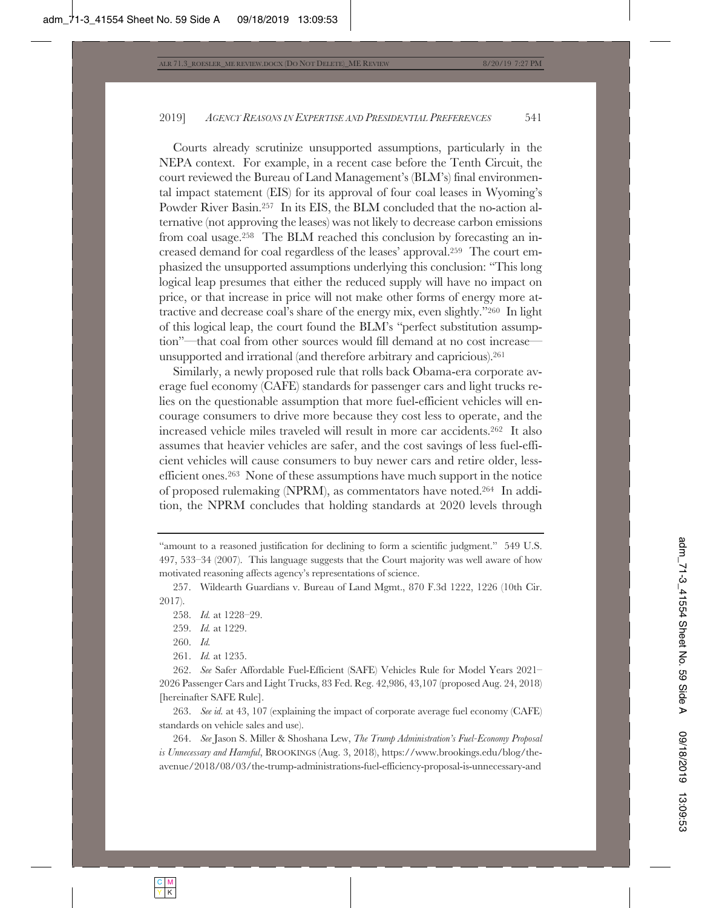Courts already scrutinize unsupported assumptions, particularly in the NEPA context. For example, in a recent case before the Tenth Circuit, the court reviewed the Bureau of Land Management's (BLM's) final environmental impact statement (EIS) for its approval of four coal leases in Wyoming's Powder River Basin.257 In its EIS, the BLM concluded that the no-action alternative (not approving the leases) was not likely to decrease carbon emissions from coal usage.258 The BLM reached this conclusion by forecasting an increased demand for coal regardless of the leases' approval.259 The court emphasized the unsupported assumptions underlying this conclusion: "This long logical leap presumes that either the reduced supply will have no impact on price, or that increase in price will not make other forms of energy more attractive and decrease coal's share of the energy mix, even slightly."260 In light of this logical leap, the court found the BLM's "perfect substitution assumption"—that coal from other sources would fill demand at no cost increase unsupported and irrational (and therefore arbitrary and capricious).261

Similarly, a newly proposed rule that rolls back Obama-era corporate average fuel economy (CAFE) standards for passenger cars and light trucks relies on the questionable assumption that more fuel-efficient vehicles will encourage consumers to drive more because they cost less to operate, and the increased vehicle miles traveled will result in more car accidents.262 It also assumes that heavier vehicles are safer, and the cost savings of less fuel-efficient vehicles will cause consumers to buy newer cars and retire older, lessefficient ones.263 None of these assumptions have much support in the notice of proposed rulemaking (NPRM), as commentators have noted.264 In addition, the NPRM concludes that holding standards at 2020 levels through

263. *See id.* at 43, 107 (explaining the impact of corporate average fuel economy (CAFE) standards on vehicle sales and use).

264. *See* Jason S. Miller & Shoshana Lew, *The Trump Administration's Fuel-Economy Proposal is Unnecessary and Harmful*, BROOKINGS (Aug. 3, 2018), https://www.brookings.edu/blog/theavenue/2018/08/03/the-trump-administrations-fuel-efficiency-proposal-is-unnecessary-and

<sup>&</sup>quot;amount to a reasoned justification for declining to form a scientific judgment." 549 U.S. 497, 533–34 (2007). This language suggests that the Court majority was well aware of how motivated reasoning affects agency's representations of science.

<sup>257.</sup> Wildearth Guardians v. Bureau of Land Mgmt., 870 F.3d 1222, 1226 (10th Cir. 2017).

<sup>258.</sup> *Id.* at 1228–29.

<sup>259.</sup> *Id.* at 1229.

<sup>260.</sup> *Id.*

<sup>261.</sup> *Id.* at 1235.

<sup>262.</sup> *See* Safer Affordable Fuel-Efficient (SAFE) Vehicles Rule for Model Years 2021– 2026 Passenger Cars and Light Trucks, 83 Fed. Reg. 42,986, 43,107 (proposed Aug. 24, 2018) [hereinafter SAFE Rule].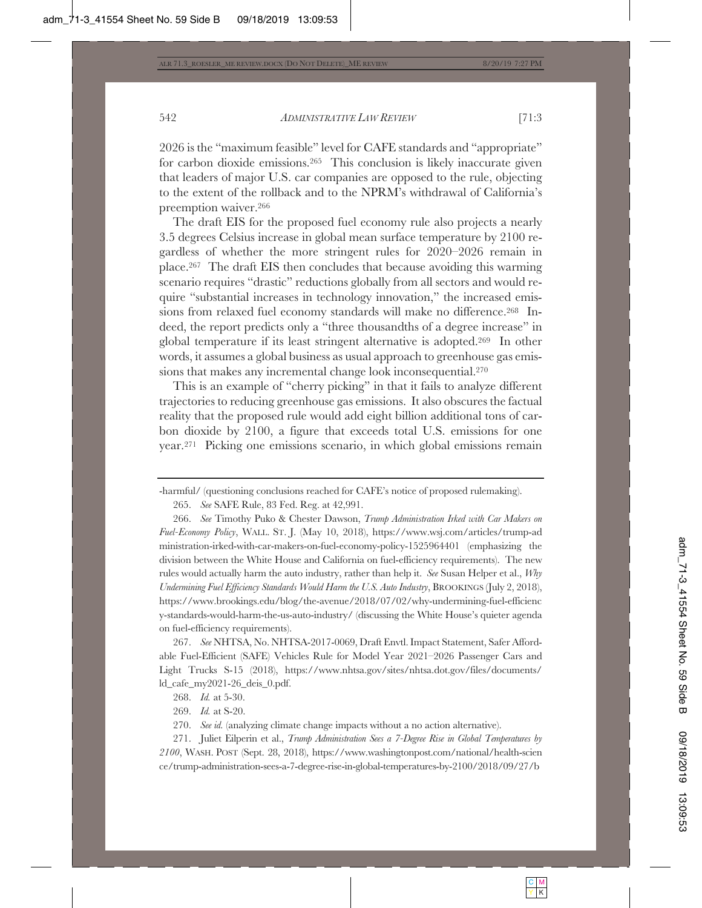2026 is the "maximum feasible" level for CAFE standards and "appropriate" for carbon dioxide emissions.265 This conclusion is likely inaccurate given that leaders of major U.S. car companies are opposed to the rule, objecting to the extent of the rollback and to the NPRM's withdrawal of California's preemption waiver.266

The draft EIS for the proposed fuel economy rule also projects a nearly 3.5 degrees Celsius increase in global mean surface temperature by 2100 regardless of whether the more stringent rules for 2020–2026 remain in place.267 The draft EIS then concludes that because avoiding this warming scenario requires "drastic" reductions globally from all sectors and would require "substantial increases in technology innovation," the increased emissions from relaxed fuel economy standards will make no difference.268 Indeed, the report predicts only a "three thousandths of a degree increase" in global temperature if its least stringent alternative is adopted.269 In other words, it assumes a global business as usual approach to greenhouse gas emissions that makes any incremental change look inconsequential.270

This is an example of "cherry picking" in that it fails to analyze different trajectories to reducing greenhouse gas emissions. It also obscures the factual reality that the proposed rule would add eight billion additional tons of carbon dioxide by 2100, a figure that exceeds total U.S. emissions for one year.271 Picking one emissions scenario, in which global emissions remain

265. *See* SAFE Rule, 83 Fed. Reg. at 42,991.

266. *See* Timothy Puko & Chester Dawson, *Trump Administration Irked with Car Makers on Fuel-Economy Policy*, WALL. ST. J. (May 10, 2018), https://www.wsj.com/articles/trump-ad ministration-irked-with-car-makers-on-fuel-economy-policy-1525964401 (emphasizing the division between the White House and California on fuel-efficiency requirements). The new rules would actually harm the auto industry, rather than help it. *See* Susan Helper et al., *Why Undermining Fuel Efficiency Standards Would Harm the U.S. Auto Industry*, BROOKINGS (July 2, 2018), https://www.brookings.edu/blog/the-avenue/2018/07/02/why-undermining-fuel-efficienc y-standards-would-harm-the-us-auto-industry/ (discussing the White House's quieter agenda on fuel-efficiency requirements).

267. *See* NHTSA, No. NHTSA-2017-0069, Draft Envtl. Impact Statement, Safer Affordable Fuel-Efficient (SAFE) Vehicles Rule for Model Year 2021–2026 Passenger Cars and Light Trucks S-15 (2018), https://www.nhtsa.gov/sites/nhtsa.dot.gov/files/documents/ ld\_cafe\_my2021-26\_deis\_0.pdf.

269. *Id.* at S-20.

271. Juliet Eilperin et al., *Trump Administration Sees a 7-Degree Rise in Global Temperatures by 2100*, WASH. POST (Sept. 28, 2018), https://www.washingtonpost.com/national/health-scien ce/trump-administration-sees-a-7-degree-rise-in-global-temperatures-by-2100/2018/09/27/b

<sup>-</sup>harmful/ (questioning conclusions reached for CAFE's notice of proposed rulemaking).

<sup>268.</sup> *Id.* at 5-30.

<sup>270.</sup> *See id.* (analyzing climate change impacts without a no action alternative).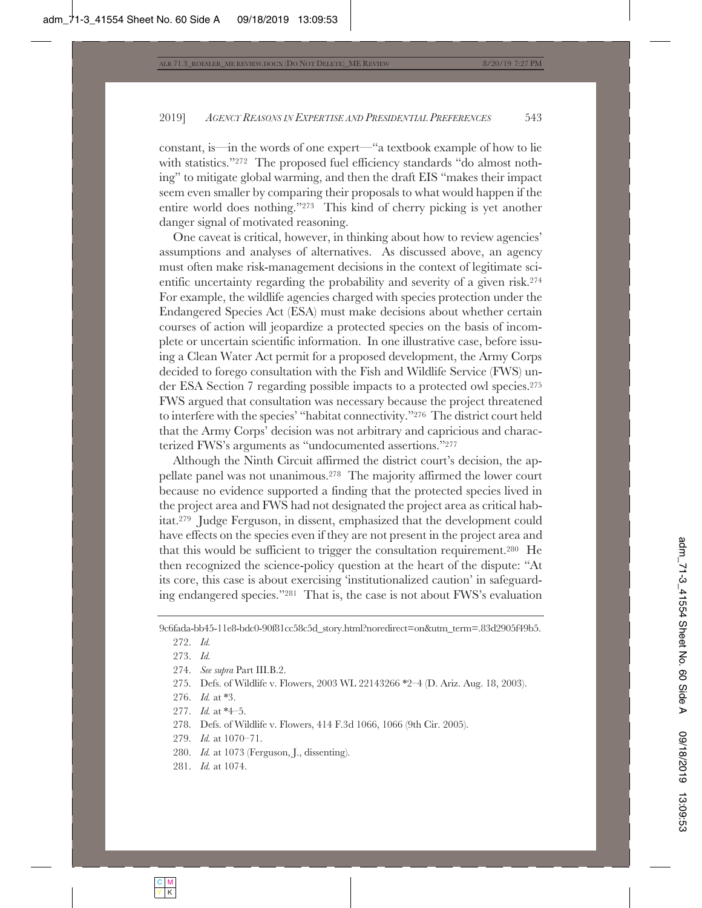constant, is—in the words of one expert—"a textbook example of how to lie with statistics."<sup>272</sup> The proposed fuel efficiency standards "do almost nothing" to mitigate global warming, and then the draft EIS "makes their impact seem even smaller by comparing their proposals to what would happen if the entire world does nothing."273 This kind of cherry picking is yet another danger signal of motivated reasoning.

One caveat is critical, however, in thinking about how to review agencies' assumptions and analyses of alternatives. As discussed above, an agency must often make risk-management decisions in the context of legitimate scientific uncertainty regarding the probability and severity of a given risk.274 For example, the wildlife agencies charged with species protection under the Endangered Species Act (ESA) must make decisions about whether certain courses of action will jeopardize a protected species on the basis of incomplete or uncertain scientific information. In one illustrative case, before issuing a Clean Water Act permit for a proposed development, the Army Corps decided to forego consultation with the Fish and Wildlife Service (FWS) under ESA Section 7 regarding possible impacts to a protected owl species.275 FWS argued that consultation was necessary because the project threatened to interfere with the species' "habitat connectivity."276 The district court held that the Army Corps' decision was not arbitrary and capricious and characterized FWS's arguments as "undocumented assertions."277

Although the Ninth Circuit affirmed the district court's decision, the appellate panel was not unanimous.278 The majority affirmed the lower court because no evidence supported a finding that the protected species lived in the project area and FWS had not designated the project area as critical habitat.279 Judge Ferguson, in dissent, emphasized that the development could have effects on the species even if they are not present in the project area and that this would be sufficient to trigger the consultation requirement.280 He then recognized the science-policy question at the heart of the dispute: "At its core, this case is about exercising 'institutionalized caution' in safeguarding endangered species."281 That is, the case is not about FWS's evaluation

- 274. *See supra* Part III.B.2.
- 275. Defs. of Wildlife v. Flowers, 2003 WL 22143266 \*2–4 (D. Ariz. Aug. 18, 2003).
- 276. *Id.* at \*3.
- 277. *Id.* at \*4–5.
- 278. Defs. of Wildlife v. Flowers, 414 F.3d 1066, 1066 (9th Cir. 2005).
- 279. *Id.* at 1070–71.
- 280. *Id.* at 1073 (Ferguson, J., dissenting).
- 281. *Id.* at 1074.

<sup>9</sup>c6fada-bb45-11e8-bdc0-90f81cc58c5d\_story.html?noredirect=on&utm\_term=.83d2905f49b5.

<sup>272.</sup> *Id.*

<sup>273.</sup> *Id.*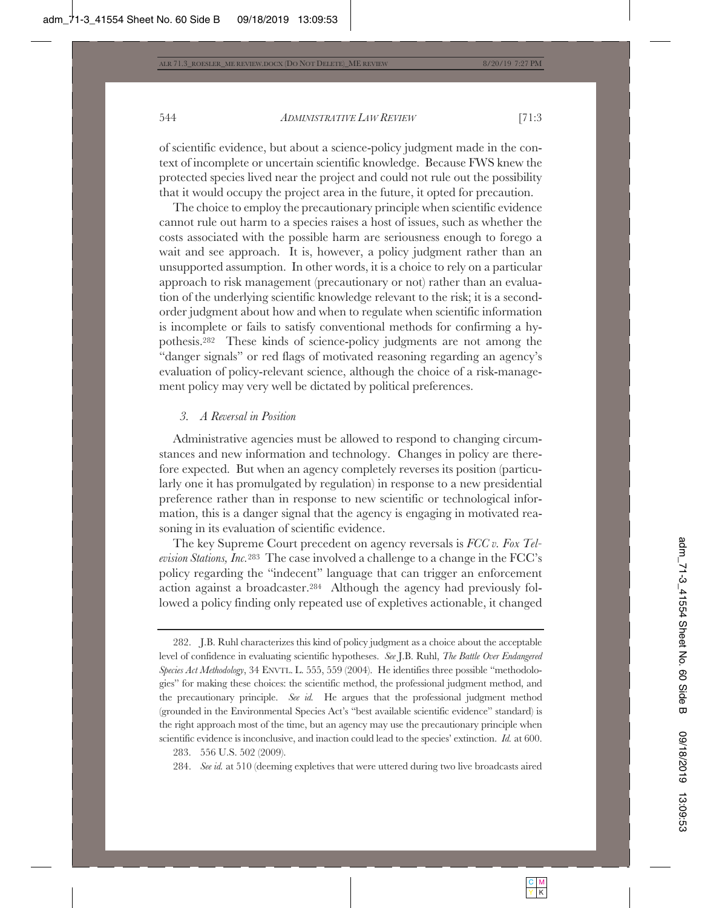of scientific evidence, but about a science-policy judgment made in the context of incomplete or uncertain scientific knowledge. Because FWS knew the protected species lived near the project and could not rule out the possibility that it would occupy the project area in the future, it opted for precaution.

The choice to employ the precautionary principle when scientific evidence cannot rule out harm to a species raises a host of issues, such as whether the costs associated with the possible harm are seriousness enough to forego a wait and see approach. It is, however, a policy judgment rather than an unsupported assumption. In other words, it is a choice to rely on a particular approach to risk management (precautionary or not) rather than an evaluation of the underlying scientific knowledge relevant to the risk; it is a secondorder judgment about how and when to regulate when scientific information is incomplete or fails to satisfy conventional methods for confirming a hypothesis.282 These kinds of science-policy judgments are not among the "danger signals" or red flags of motivated reasoning regarding an agency's evaluation of policy-relevant science, although the choice of a risk-management policy may very well be dictated by political preferences.

# *3. A Reversal in Position*

Administrative agencies must be allowed to respond to changing circumstances and new information and technology. Changes in policy are therefore expected. But when an agency completely reverses its position (particularly one it has promulgated by regulation) in response to a new presidential preference rather than in response to new scientific or technological information, this is a danger signal that the agency is engaging in motivated reasoning in its evaluation of scientific evidence.

The key Supreme Court precedent on agency reversals is *FCC v. Fox Television Stations, Inc.*283 The case involved a challenge to a change in the FCC's policy regarding the "indecent" language that can trigger an enforcement action against a broadcaster.284 Although the agency had previously followed a policy finding only repeated use of expletives actionable, it changed

<sup>282.</sup> J.B. Ruhl characterizes this kind of policy judgment as a choice about the acceptable level of confidence in evaluating scientific hypotheses. *See* J.B. Ruhl, *The Battle Over Endangered Species Act Methodology*, 34 ENVTL. L. 555, 559 (2004). He identifies three possible "methodologies" for making these choices: the scientific method, the professional judgment method, and the precautionary principle. *See id.* He argues that the professional judgment method (grounded in the Environmental Species Act's "best available scientific evidence" standard) is the right approach most of the time, but an agency may use the precautionary principle when scientific evidence is inconclusive, and inaction could lead to the species' extinction. *Id.* at 600.

<sup>283. 556</sup> U.S. 502 (2009).

<sup>284.</sup> *See id.* at 510 (deeming expletives that were uttered during two live broadcasts aired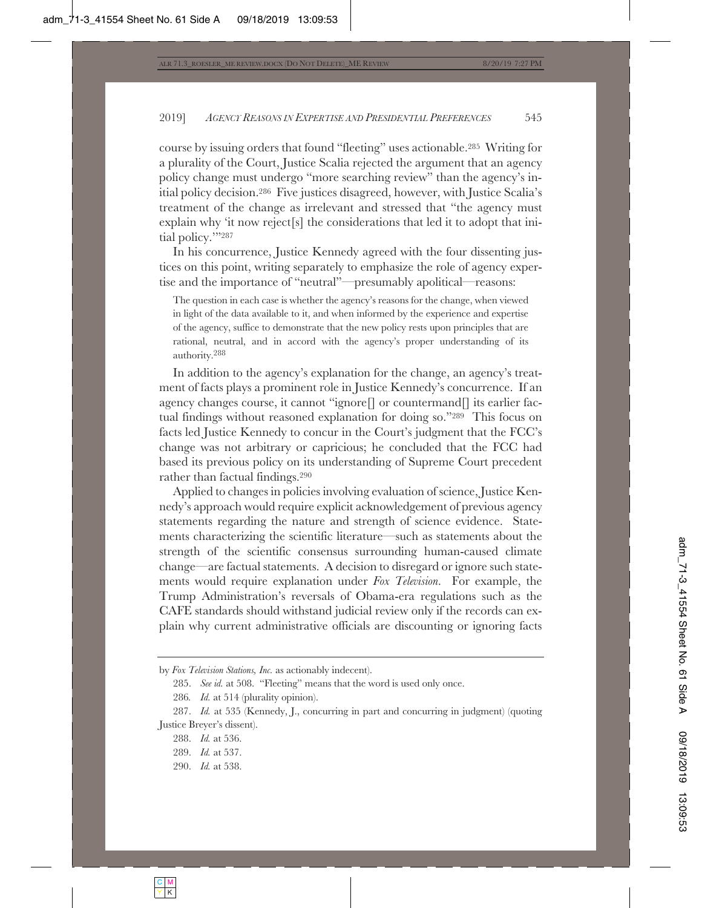course by issuing orders that found "fleeting" uses actionable.285 Writing for a plurality of the Court, Justice Scalia rejected the argument that an agency policy change must undergo "more searching review" than the agency's initial policy decision.286 Five justices disagreed, however, with Justice Scalia's treatment of the change as irrelevant and stressed that "the agency must explain why 'it now reject[s] the considerations that led it to adopt that initial policy.""287

In his concurrence, Justice Kennedy agreed with the four dissenting justices on this point, writing separately to emphasize the role of agency expertise and the importance of "neutral"—presumably apolitical—reasons:

The question in each case is whether the agency's reasons for the change, when viewed in light of the data available to it, and when informed by the experience and expertise of the agency, suffice to demonstrate that the new policy rests upon principles that are rational, neutral, and in accord with the agency's proper understanding of its authority.288

In addition to the agency's explanation for the change, an agency's treatment of facts plays a prominent role in Justice Kennedy's concurrence. If an agency changes course, it cannot "ignore[] or countermand[] its earlier factual findings without reasoned explanation for doing so."289 This focus on facts led Justice Kennedy to concur in the Court's judgment that the FCC's change was not arbitrary or capricious; he concluded that the FCC had based its previous policy on its understanding of Supreme Court precedent rather than factual findings.290

Applied to changes in policies involving evaluation of science, Justice Kennedy's approach would require explicit acknowledgement of previous agency statements regarding the nature and strength of science evidence. Statements characterizing the scientific literature—such as statements about the strength of the scientific consensus surrounding human-caused climate change—are factual statements. A decision to disregard or ignore such statements would require explanation under *Fox Television*. For example, the Trump Administration's reversals of Obama-era regulations such as the CAFE standards should withstand judicial review only if the records can explain why current administrative officials are discounting or ignoring facts

by *Fox Television Stations, Inc.* as actionably indecent).

<sup>285.</sup> *See id.* at 508. "Fleeting" means that the word is used only once.

<sup>286</sup>*. Id.* at 514 (plurality opinion).

<sup>287.</sup> *Id.* at 535 (Kennedy, J., concurring in part and concurring in judgment) (quoting Justice Breyer's dissent).

<sup>288.</sup> *Id.* at 536.

<sup>289.</sup> *Id.* at 537.

<sup>290.</sup> *Id.* at 538.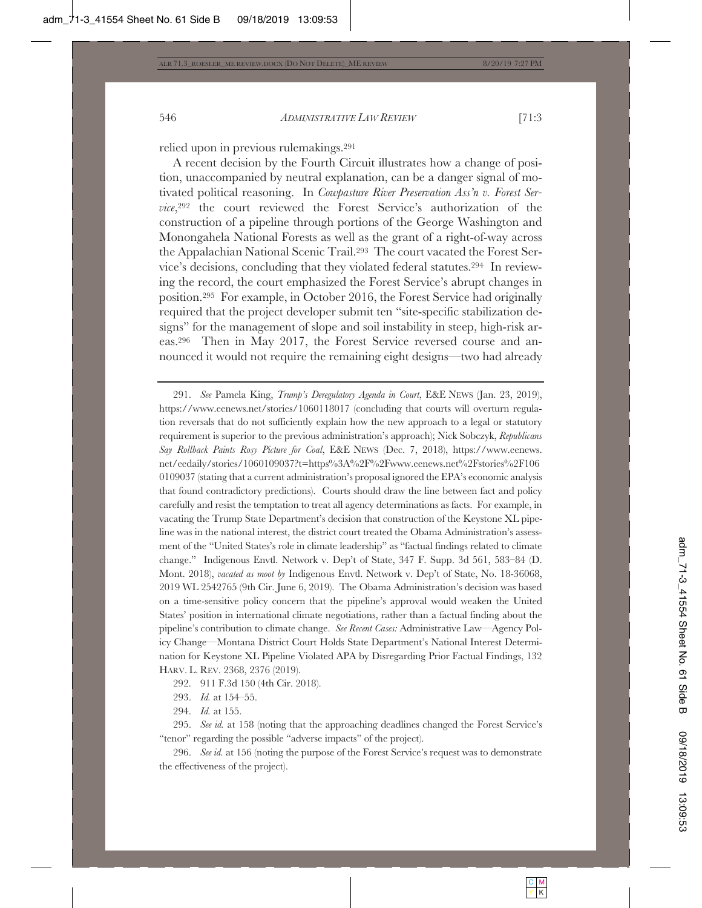A recent decision by the Fourth Circuit illustrates how a change of position, unaccompanied by neutral explanation, can be a danger signal of motivated political reasoning. In *Cowpasture River Preservation Ass'n v. Forest Service*,292 the court reviewed the Forest Service's authorization of the construction of a pipeline through portions of the George Washington and Monongahela National Forests as well as the grant of a right-of-way across the Appalachian National Scenic Trail.293 The court vacated the Forest Service's decisions, concluding that they violated federal statutes.294 In reviewing the record, the court emphasized the Forest Service's abrupt changes in position.295 For example, in October 2016, the Forest Service had originally required that the project developer submit ten "site-specific stabilization designs" for the management of slope and soil instability in steep, high-risk areas.296 Then in May 2017, the Forest Service reversed course and announced it would not require the remaining eight designs—two had already

<sup>291.</sup> *See* Pamela King, *Trump's Deregulatory Agenda in Court*, E&E NEWS (Jan. 23, 2019), https://www.eenews.net/stories/1060118017 (concluding that courts will overturn regulation reversals that do not sufficiently explain how the new approach to a legal or statutory requirement is superior to the previous administration's approach); Nick Sobczyk, *Republicans Say Rollback Paints Rosy Picture for Coal*, E&E NEWS (Dec. 7, 2018), https://www.eenews. net/eedaily/stories/1060109037?t=https%3A%2F%2Fwww.eenews.net%2Fstories%2F106 0109037 (stating that a current administration's proposal ignored the EPA's economic analysis that found contradictory predictions). Courts should draw the line between fact and policy carefully and resist the temptation to treat all agency determinations as facts. For example, in vacating the Trump State Department's decision that construction of the Keystone XL pipeline was in the national interest, the district court treated the Obama Administration's assessment of the "United States's role in climate leadership" as "factual findings related to climate change." Indigenous Envtl. Network v. Dep't of State, 347 F. Supp. 3d 561, 583–84 (D. Mont. 2018), *vacated as moot by* Indigenous Envtl. Network v. Dep't of State, No. 18-36068, 2019 WL 2542765 (9th Cir. June 6, 2019). The Obama Administration's decision was based on a time-sensitive policy concern that the pipeline's approval would weaken the United States' position in international climate negotiations, rather than a factual finding about the pipeline's contribution to climate change. *See Recent Cases:* Administrative Law—Agency Policy Change—Montana District Court Holds State Department's National Interest Determination for Keystone XL Pipeline Violated APA by Disregarding Prior Factual Findings, 132 HARV. L. REV. 2368, 2376 (2019).

<sup>292. 911</sup> F.3d 150 (4th Cir. 2018).

<sup>293.</sup> *Id.* at 154–55.

<sup>294.</sup> *Id.* at 155.

<sup>295.</sup> *See id.* at 158 (noting that the approaching deadlines changed the Forest Service's "tenor" regarding the possible "adverse impacts" of the project).

<sup>296.</sup> *See id.* at 156 (noting the purpose of the Forest Service's request was to demonstrate the effectiveness of the project).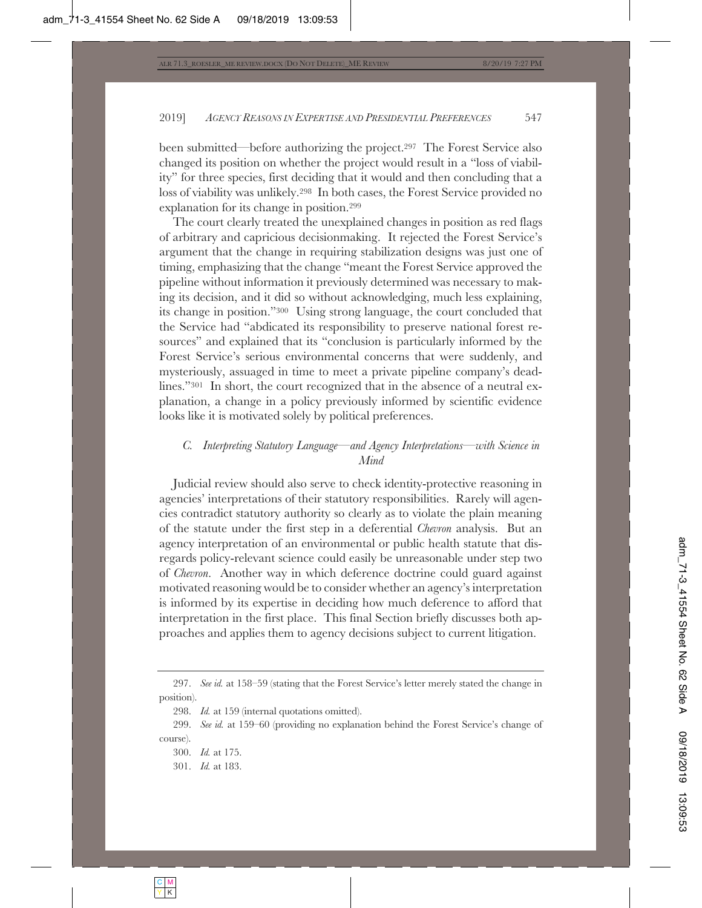been submitted—before authorizing the project.297 The Forest Service also changed its position on whether the project would result in a "loss of viability" for three species, first deciding that it would and then concluding that a loss of viability was unlikely.298 In both cases, the Forest Service provided no explanation for its change in position.299

The court clearly treated the unexplained changes in position as red flags of arbitrary and capricious decisionmaking. It rejected the Forest Service's argument that the change in requiring stabilization designs was just one of timing, emphasizing that the change "meant the Forest Service approved the pipeline without information it previously determined was necessary to making its decision, and it did so without acknowledging, much less explaining, its change in position."300 Using strong language, the court concluded that the Service had "abdicated its responsibility to preserve national forest resources" and explained that its "conclusion is particularly informed by the Forest Service's serious environmental concerns that were suddenly, and mysteriously, assuaged in time to meet a private pipeline company's deadlines."<sup>301</sup> In short, the court recognized that in the absence of a neutral explanation, a change in a policy previously informed by scientific evidence looks like it is motivated solely by political preferences.

# *C. Interpreting Statutory Language—and Agency Interpretations—with Science in Mind*

Judicial review should also serve to check identity-protective reasoning in agencies' interpretations of their statutory responsibilities. Rarely will agencies contradict statutory authority so clearly as to violate the plain meaning of the statute under the first step in a deferential *Chevron* analysis. But an agency interpretation of an environmental or public health statute that disregards policy-relevant science could easily be unreasonable under step two of *Chevron*. Another way in which deference doctrine could guard against motivated reasoning would be to consider whether an agency's interpretation is informed by its expertise in deciding how much deference to afford that interpretation in the first place. This final Section briefly discusses both approaches and applies them to agency decisions subject to current litigation.

<sup>297.</sup> *See id.* at 158–59 (stating that the Forest Service's letter merely stated the change in position).

<sup>298.</sup> *Id.* at 159 (internal quotations omitted).

<sup>299.</sup> *See id.* at 159–60 (providing no explanation behind the Forest Service's change of course).

<sup>300.</sup> *Id.* at 175.

<sup>301.</sup> *Id.* at 183.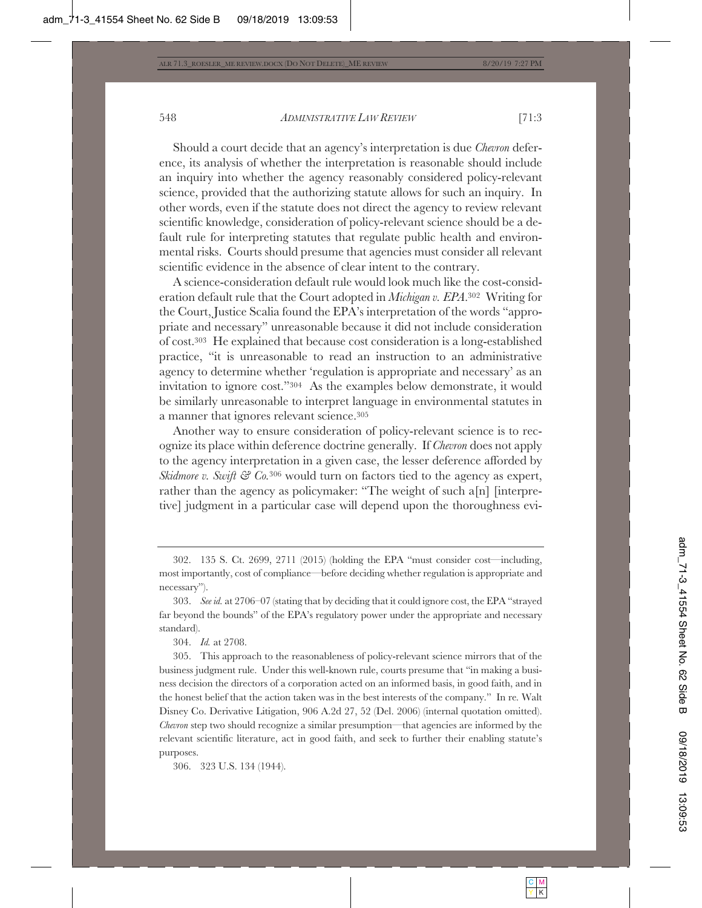Should a court decide that an agency's interpretation is due *Chevron* deference, its analysis of whether the interpretation is reasonable should include an inquiry into whether the agency reasonably considered policy-relevant science, provided that the authorizing statute allows for such an inquiry. In other words, even if the statute does not direct the agency to review relevant scientific knowledge, consideration of policy-relevant science should be a default rule for interpreting statutes that regulate public health and environmental risks. Courts should presume that agencies must consider all relevant scientific evidence in the absence of clear intent to the contrary.

A science-consideration default rule would look much like the cost-consideration default rule that the Court adopted in *Michigan v. EPA*.302 Writing for the Court, Justice Scalia found the EPA's interpretation of the words "appropriate and necessary" unreasonable because it did not include consideration of cost.303 He explained that because cost consideration is a long-established practice, "it is unreasonable to read an instruction to an administrative agency to determine whether 'regulation is appropriate and necessary' as an invitation to ignore cost."304 As the examples below demonstrate, it would be similarly unreasonable to interpret language in environmental statutes in a manner that ignores relevant science.305

Another way to ensure consideration of policy-relevant science is to recognize its place within deference doctrine generally. If *Chevron* does not apply to the agency interpretation in a given case, the lesser deference afforded by *Skidmore v. Swift*  $\mathcal{C}$   $\mathcal{C}$ *o.*<sup>306</sup> would turn on factors tied to the agency as expert, rather than the agency as policymaker: "The weight of such a[n] [interpretive] judgment in a particular case will depend upon the thoroughness evi-

304. *Id.* at 2708.

305. This approach to the reasonableness of policy-relevant science mirrors that of the business judgment rule. Under this well-known rule, courts presume that "in making a business decision the directors of a corporation acted on an informed basis, in good faith, and in the honest belief that the action taken was in the best interests of the company." In re*.* Walt Disney Co. Derivative Litigation, 906 A.2d 27, 52 (Del. 2006) (internal quotation omitted). *Chevron* step two should recognize a similar presumption—that agencies are informed by the relevant scientific literature, act in good faith, and seek to further their enabling statute's purposes.

306. 323 U.S. 134 (1944).

<sup>302. 135</sup> S. Ct. 2699, 2711 (2015) (holding the EPA "must consider cost—including, most importantly, cost of compliance—before deciding whether regulation is appropriate and necessary").

<sup>303.</sup> *See id.* at 2706–07 (stating that by deciding that it could ignore cost, the EPA "strayed far beyond the bounds" of the EPA's regulatory power under the appropriate and necessary standard).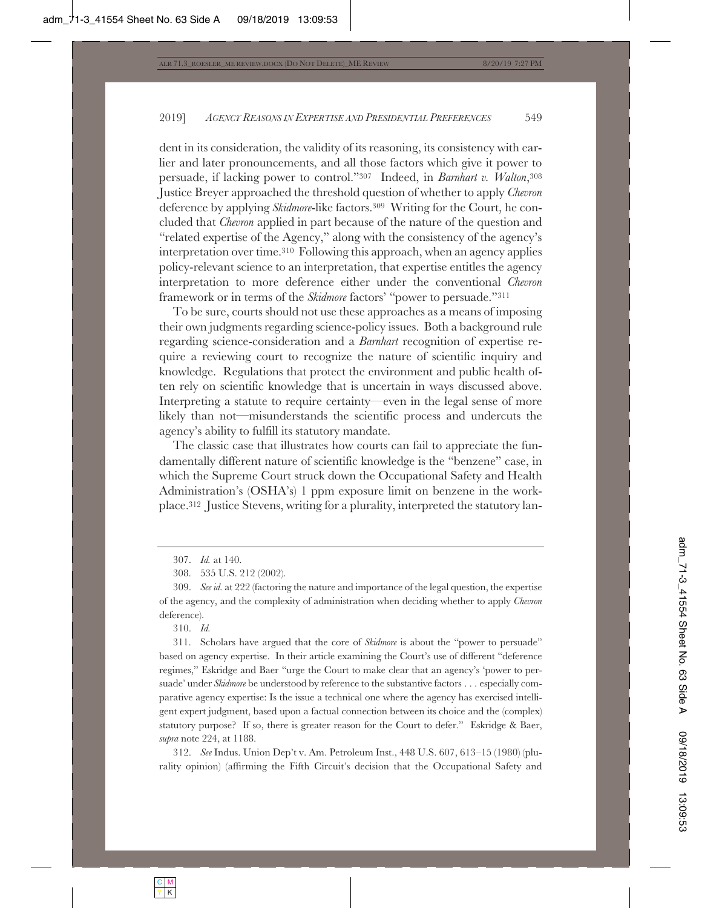dent in its consideration, the validity of its reasoning, its consistency with earlier and later pronouncements, and all those factors which give it power to persuade, if lacking power to control."307 Indeed, in *Barnhart v. Walton*,308 Justice Breyer approached the threshold question of whether to apply *Chevron* deference by applying *Skidmore*-like factors.309 Writing for the Court, he concluded that *Chevron* applied in part because of the nature of the question and "related expertise of the Agency," along with the consistency of the agency's interpretation over time.310 Following this approach, when an agency applies policy-relevant science to an interpretation, that expertise entitles the agency interpretation to more deference either under the conventional *Chevron* framework or in terms of the *Skidmore* factors' "power to persuade."311

To be sure, courts should not use these approaches as a means of imposing their own judgments regarding science-policy issues. Both a background rule regarding science-consideration and a *Barnhart* recognition of expertise require a reviewing court to recognize the nature of scientific inquiry and knowledge. Regulations that protect the environment and public health often rely on scientific knowledge that is uncertain in ways discussed above. Interpreting a statute to require certainty—even in the legal sense of more likely than not—misunderstands the scientific process and undercuts the agency's ability to fulfill its statutory mandate.

The classic case that illustrates how courts can fail to appreciate the fundamentally different nature of scientific knowledge is the "benzene" case, in which the Supreme Court struck down the Occupational Safety and Health Administration's (OSHA's) 1 ppm exposure limit on benzene in the workplace.312 Justice Stevens, writing for a plurality, interpreted the statutory lan-

312. *See* Indus. Union Dep't v. Am. Petroleum Inst., 448 U.S. 607, 613–15 (1980) (plurality opinion) (affirming the Fifth Circuit's decision that the Occupational Safety and

<sup>307.</sup> *Id.* at 140.

<sup>308. 535</sup> U.S. 212 (2002).

<sup>309.</sup> *See id.* at 222 (factoring the nature and importance of the legal question, the expertise of the agency, and the complexity of administration when deciding whether to apply *Chevron* deference).

<sup>310.</sup> *Id.*

<sup>311.</sup> Scholars have argued that the core of *Skidmore* is about the "power to persuade" based on agency expertise. In their article examining the Court's use of different "deference regimes," Eskridge and Baer "urge the Court to make clear that an agency's 'power to persuade' under *Skidmore* be understood by reference to the substantive factors . . . especially comparative agency expertise: Is the issue a technical one where the agency has exercised intelligent expert judgment, based upon a factual connection between its choice and the (complex) statutory purpose? If so, there is greater reason for the Court to defer." Eskridge & Baer, *supra* note 224, at 1188.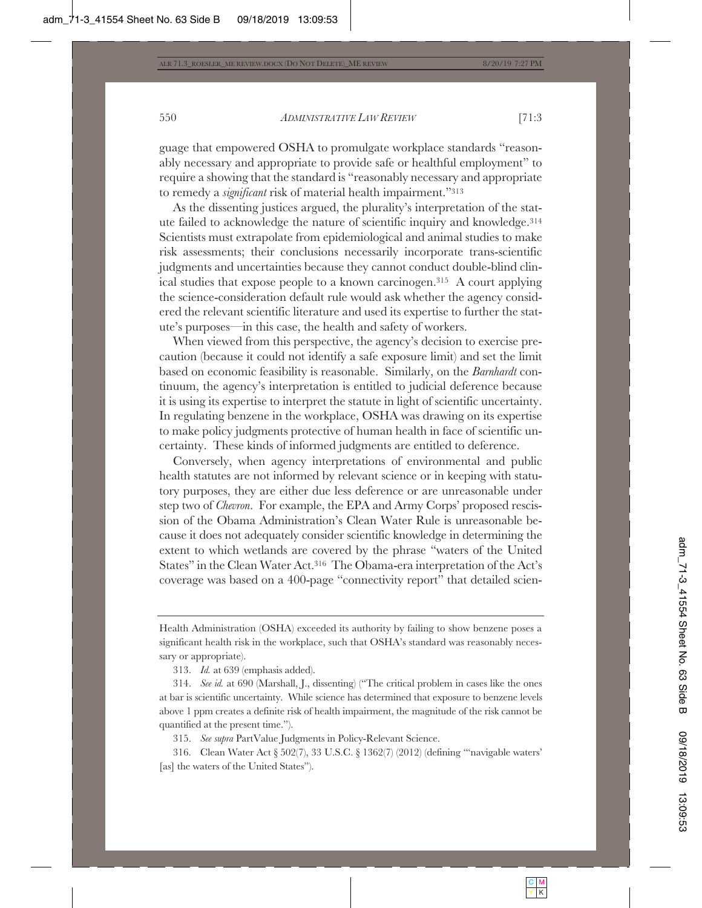guage that empowered OSHA to promulgate workplace standards "reasonably necessary and appropriate to provide safe or healthful employment" to require a showing that the standard is "reasonably necessary and appropriate to remedy a *significant* risk of material health impairment."313

As the dissenting justices argued, the plurality's interpretation of the statute failed to acknowledge the nature of scientific inquiry and knowledge.314 Scientists must extrapolate from epidemiological and animal studies to make risk assessments; their conclusions necessarily incorporate trans-scientific judgments and uncertainties because they cannot conduct double-blind clinical studies that expose people to a known carcinogen.315 A court applying the science-consideration default rule would ask whether the agency considered the relevant scientific literature and used its expertise to further the statute's purposes—in this case, the health and safety of workers.

When viewed from this perspective, the agency's decision to exercise precaution (because it could not identify a safe exposure limit) and set the limit based on economic feasibility is reasonable. Similarly, on the *Barnhardt* continuum, the agency's interpretation is entitled to judicial deference because it is using its expertise to interpret the statute in light of scientific uncertainty. In regulating benzene in the workplace, OSHA was drawing on its expertise to make policy judgments protective of human health in face of scientific uncertainty. These kinds of informed judgments are entitled to deference.

Conversely, when agency interpretations of environmental and public health statutes are not informed by relevant science or in keeping with statutory purposes, they are either due less deference or are unreasonable under step two of *Chevron*. For example, the EPA and Army Corps' proposed rescission of the Obama Administration's Clean Water Rule is unreasonable because it does not adequately consider scientific knowledge in determining the extent to which wetlands are covered by the phrase "waters of the United States" in the Clean Water Act.316 The Obama-era interpretation of the Act's coverage was based on a 400-page "connectivity report" that detailed scien-

313. *Id.* at 639 (emphasis added).

315. *See supra* PartValue Judgments in Policy-Relevant Science.

316. Clean Water Act § 502(7), 33 U.S.C. § 1362(7) (2012) (defining "'navigable waters' [as] the waters of the United States").

Health Administration (OSHA) exceeded its authority by failing to show benzene poses a significant health risk in the workplace, such that OSHA's standard was reasonably necessary or appropriate).

<sup>314.</sup> *See id.* at 690 (Marshall, J., dissenting) ("The critical problem in cases like the ones at bar is scientific uncertainty. While science has determined that exposure to benzene levels above 1 ppm creates a definite risk of health impairment, the magnitude of the risk cannot be quantified at the present time.").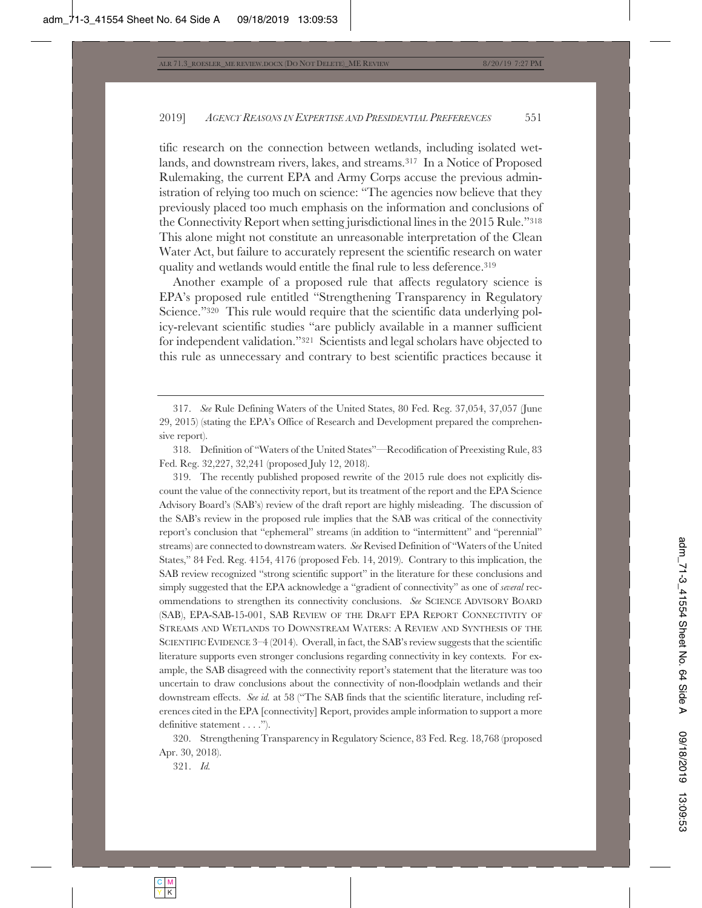tific research on the connection between wetlands, including isolated wetlands, and downstream rivers, lakes, and streams.317 In a Notice of Proposed Rulemaking, the current EPA and Army Corps accuse the previous administration of relying too much on science: "The agencies now believe that they previously placed too much emphasis on the information and conclusions of the Connectivity Report when setting jurisdictional lines in the 2015 Rule."318 This alone might not constitute an unreasonable interpretation of the Clean Water Act, but failure to accurately represent the scientific research on water quality and wetlands would entitle the final rule to less deference.<sup>319</sup>

Another example of a proposed rule that affects regulatory science is EPA's proposed rule entitled "Strengthening Transparency in Regulatory Science."<sup>320</sup> This rule would require that the scientific data underlying policy-relevant scientific studies "are publicly available in a manner sufficient for independent validation."321 Scientists and legal scholars have objected to this rule as unnecessary and contrary to best scientific practices because it

319. The recently published proposed rewrite of the 2015 rule does not explicitly discount the value of the connectivity report, but its treatment of the report and the EPA Science Advisory Board's (SAB's) review of the draft report are highly misleading. The discussion of the SAB's review in the proposed rule implies that the SAB was critical of the connectivity report's conclusion that "ephemeral" streams (in addition to "intermittent" and "perennial" streams) are connected to downstream waters. *See* Revised Definition of "Waters of the United States," 84 Fed. Reg. 4154, 4176 (proposed Feb. 14, 2019). Contrary to this implication, the SAB review recognized "strong scientific support" in the literature for these conclusions and simply suggested that the EPA acknowledge a "gradient of connectivity" as one of *several* recommendations to strengthen its connectivity conclusions. *See* SCIENCE ADVISORY BOARD (SAB), EPA-SAB-15-001, SAB REVIEW OF THE DRAFT EPA REPORT CONNECTIVITY OF STREAMS AND WETLANDS TO DOWNSTREAM WATERS: A REVIEW AND SYNTHESIS OF THE SCIENTIFIC EVIDENCE 3–4 (2014). Overall, in fact, the SAB's review suggests that the scientific literature supports even stronger conclusions regarding connectivity in key contexts. For example, the SAB disagreed with the connectivity report's statement that the literature was too uncertain to draw conclusions about the connectivity of non-floodplain wetlands and their downstream effects. *See id.* at 58 ("The SAB finds that the scientific literature, including references cited in the EPA [connectivity] Report, provides ample information to support a more definitive statement . . . .").

320. Strengthening Transparency in Regulatory Science, 83 Fed. Reg. 18,768 (proposed Apr. 30, 2018).

321. *Id.*

<sup>317.</sup> *See* Rule Defining Waters of the United States, 80 Fed. Reg. 37,054, 37,057 (June 29, 2015) (stating the EPA's Office of Research and Development prepared the comprehensive report).

<sup>318.</sup> Definition of "Waters of the United States"—Recodification of Preexisting Rule, 83 Fed. Reg. 32,227, 32,241 (proposed July 12, 2018).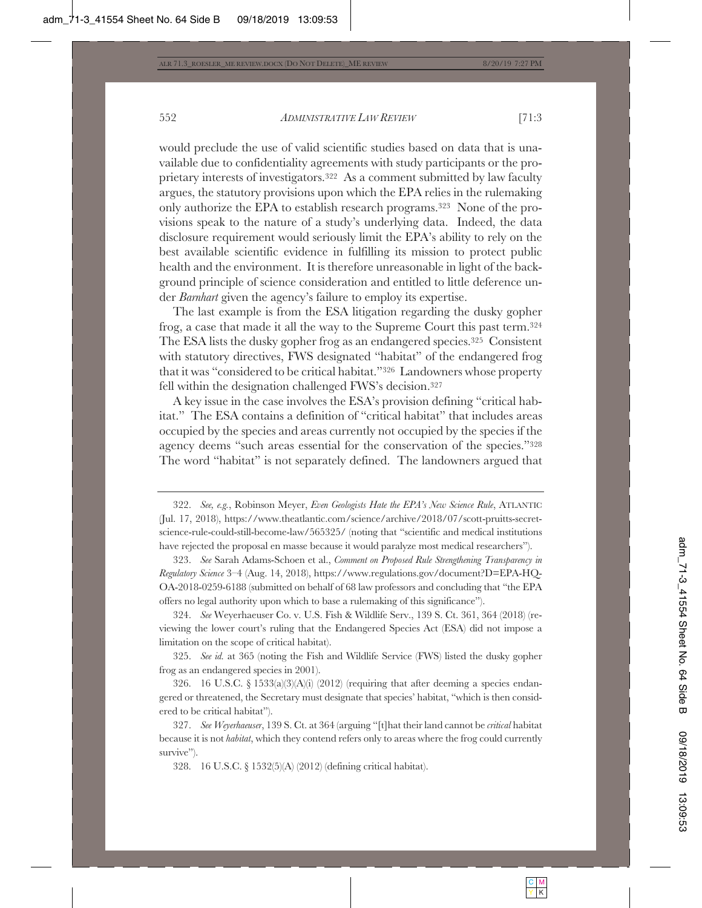would preclude the use of valid scientific studies based on data that is unavailable due to confidentiality agreements with study participants or the proprietary interests of investigators.322 As a comment submitted by law faculty argues, the statutory provisions upon which the EPA relies in the rulemaking only authorize the EPA to establish research programs.323 None of the provisions speak to the nature of a study's underlying data. Indeed, the data disclosure requirement would seriously limit the EPA's ability to rely on the best available scientific evidence in fulfilling its mission to protect public health and the environment. It is therefore unreasonable in light of the background principle of science consideration and entitled to little deference under *Barnhart* given the agency's failure to employ its expertise.

The last example is from the ESA litigation regarding the dusky gopher frog, a case that made it all the way to the Supreme Court this past term.324 The ESA lists the dusky gopher frog as an endangered species.325 Consistent with statutory directives, FWS designated "habitat" of the endangered frog that it was "considered to be critical habitat."326 Landowners whose property fell within the designation challenged FWS's decision.327

A key issue in the case involves the ESA's provision defining "critical habitat." The ESA contains a definition of "critical habitat" that includes areas occupied by the species and areas currently not occupied by the species if the agency deems "such areas essential for the conservation of the species."328 The word "habitat" is not separately defined. The landowners argued that

323. *See* Sarah Adams-Schoen et al., *Comment on Proposed Rule Strengthening Transparency in Regulatory Science* 3–4 (Aug. 14, 2018), https://www.regulations.gov/document?D=EPA-HQ-OA-2018-0259-6188 (submitted on behalf of 68 law professors and concluding that "the EPA offers no legal authority upon which to base a rulemaking of this significance").

324. *See* Weyerhaeuser Co. v. U.S. Fish & Wildlife Serv., 139 S. Ct. 361, 364 (2018) (reviewing the lower court's ruling that the Endangered Species Act (ESA) did not impose a limitation on the scope of critical habitat).

325. *See id.* at 365 (noting the Fish and Wildlife Service (FWS) listed the dusky gopher frog as an endangered species in 2001).

326. 16 U.S.C. § 1533(a)(3)(A)(i) (2012) (requiring that after deeming a species endangered or threatened, the Secretary must designate that species' habitat, "which is then considered to be critical habitat").

327. *See Weyerhaeuser*, 139 S. Ct. at 364 (arguing "[t]hat their land cannot be *critical* habitat because it is not *habitat*, which they contend refers only to areas where the frog could currently survive").

328. 16 U.S.C. § 1532(5)(A) (2012) (defining critical habitat).

<sup>322.</sup> *See, e.g.*, Robinson Meyer, *Even Geologists Hate the EPA's New Science Rule*, ATLANTIC (Jul. 17, 2018), https://www.theatlantic.com/science/archive/2018/07/scott-pruitts-secretscience-rule-could-still-become-law/565325/ (noting that "scientific and medical institutions have rejected the proposal en masse because it would paralyze most medical researchers").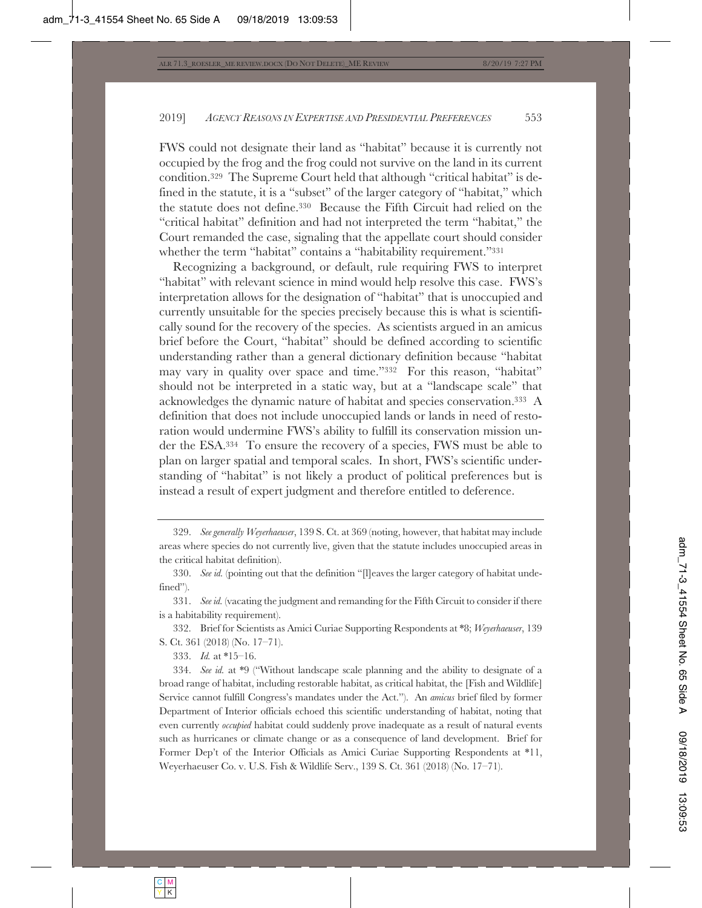FWS could not designate their land as "habitat" because it is currently not occupied by the frog and the frog could not survive on the land in its current condition.329 The Supreme Court held that although "critical habitat" is defined in the statute, it is a "subset" of the larger category of "habitat," which the statute does not define.330 Because the Fifth Circuit had relied on the "critical habitat" definition and had not interpreted the term "habitat," the Court remanded the case, signaling that the appellate court should consider whether the term "habitat" contains a "habitability requirement."331

Recognizing a background, or default, rule requiring FWS to interpret "habitat" with relevant science in mind would help resolve this case. FWS's interpretation allows for the designation of "habitat" that is unoccupied and currently unsuitable for the species precisely because this is what is scientifically sound for the recovery of the species. As scientists argued in an amicus brief before the Court, "habitat" should be defined according to scientific understanding rather than a general dictionary definition because "habitat may vary in quality over space and time."332 For this reason, "habitat" should not be interpreted in a static way, but at a "landscape scale" that acknowledges the dynamic nature of habitat and species conservation.333 A definition that does not include unoccupied lands or lands in need of restoration would undermine FWS's ability to fulfill its conservation mission under the ESA.334 To ensure the recovery of a species, FWS must be able to plan on larger spatial and temporal scales. In short, FWS's scientific understanding of "habitat" is not likely a product of political preferences but is instead a result of expert judgment and therefore entitled to deference.

332. Brief for Scientists as Amici Curiae Supporting Respondents at \*8; *Weyerhaeuser*, 139 S. Ct. 361 (2018) (No. 17–71).

333. *Id.* at \*15–16.

334. *See id.* at \*9 ("Without landscape scale planning and the ability to designate of a broad range of habitat, including restorable habitat, as critical habitat, the [Fish and Wildlife] Service cannot fulfill Congress's mandates under the Act."). An *amicus* brief filed by former Department of Interior officials echoed this scientific understanding of habitat, noting that even currently *occupied* habitat could suddenly prove inadequate as a result of natural events such as hurricanes or climate change or as a consequence of land development. Brief for Former Dep't of the Interior Officials as Amici Curiae Supporting Respondents at \*11, Weyerhaeuser Co. v. U.S. Fish & Wildlife Serv., 139 S. Ct. 361 (2018) (No. 17–71).

<sup>329.</sup> *See generally Weyerhaeuser*, 139 S. Ct. at 369 (noting, however, that habitat may include areas where species do not currently live, given that the statute includes unoccupied areas in the critical habitat definition).

<sup>330.</sup> *See id.* (pointing out that the definition "[l]eaves the larger category of habitat undefined").

<sup>331.</sup> *See id.* (vacating the judgment and remanding for the Fifth Circuit to consider if there is a habitability requirement).